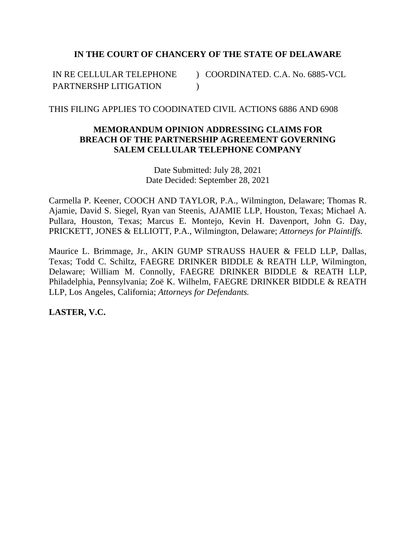# **IN THE COURT OF CHANCERY OF THE STATE OF DELAWARE**

IN RE CELLULAR TELEPHONE PARTNERSHP LITIGATION ) COORDINATED. C.A. No. 6885-VCL  $\lambda$ 

## THIS FILING APPLIES TO COODINATED CIVIL ACTIONS 6886 AND 6908

# **MEMORANDUM OPINION ADDRESSING CLAIMS FOR BREACH OF THE PARTNERSHIP AGREEMENT GOVERNING SALEM CELLULAR TELEPHONE COMPANY**

Date Submitted: July 28, 2021 Date Decided: September 28, 2021

Carmella P. Keener, COOCH AND TAYLOR, P.A., Wilmington, Delaware; Thomas R. Ajamie, David S. Siegel, Ryan van Steenis, AJAMIE LLP, Houston, Texas; Michael A. Pullara, Houston, Texas; Marcus E. Montejo, Kevin H. Davenport, John G. Day, PRICKETT, JONES & ELLIOTT, P.A., Wilmington, Delaware; *Attorneys for Plaintiffs.*

Maurice L. Brimmage, Jr., AKIN GUMP STRAUSS HAUER & FELD LLP, Dallas, Texas; Todd C. Schiltz, FAEGRE DRINKER BIDDLE & REATH LLP, Wilmington, Delaware; William M. Connolly, FAEGRE DRINKER BIDDLE & REATH LLP, Philadelphia, Pennsylvania; Zoë K. Wilhelm, FAEGRE DRINKER BIDDLE & REATH LLP, Los Angeles, California; *Attorneys for Defendants.*

**LASTER, V.C.**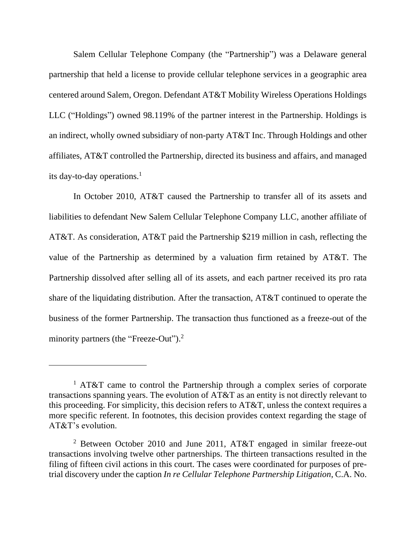Salem Cellular Telephone Company (the "Partnership") was a Delaware general partnership that held a license to provide cellular telephone services in a geographic area centered around Salem, Oregon. Defendant AT&T Mobility Wireless Operations Holdings LLC ("Holdings") owned 98.119% of the partner interest in the Partnership. Holdings is an indirect, wholly owned subsidiary of non-party AT&T Inc. Through Holdings and other affiliates, AT&T controlled the Partnership, directed its business and affairs, and managed its day-to-day operations.<sup>1</sup>

In October 2010, AT&T caused the Partnership to transfer all of its assets and liabilities to defendant New Salem Cellular Telephone Company LLC, another affiliate of AT&T. As consideration, AT&T paid the Partnership \$219 million in cash, reflecting the value of the Partnership as determined by a valuation firm retained by AT&T. The Partnership dissolved after selling all of its assets, and each partner received its pro rata share of the liquidating distribution. After the transaction, AT&T continued to operate the business of the former Partnership. The transaction thus functioned as a freeze-out of the minority partners (the "Freeze-Out").<sup>2</sup>

<sup>&</sup>lt;sup>1</sup> AT&T came to control the Partnership through a complex series of corporate transactions spanning years. The evolution of AT&T as an entity is not directly relevant to this proceeding. For simplicity, this decision refers to AT&T, unless the context requires a more specific referent. In footnotes, this decision provides context regarding the stage of AT&T's evolution.

<sup>&</sup>lt;sup>2</sup> Between October 2010 and June 2011, AT&T engaged in similar freeze-out transactions involving twelve other partnerships. The thirteen transactions resulted in the filing of fifteen civil actions in this court. The cases were coordinated for purposes of pretrial discovery under the caption *In re Cellular Telephone Partnership Litigation*, C.A. No.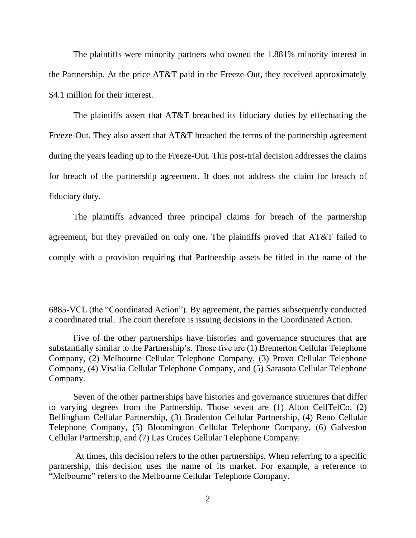The plaintiffs were minority partners who owned the 1.881% minority interest in the Partnership. At the price AT&T paid in the Freeze-Out, they received approximately \$4.1 million for their interest.

The plaintiffs assert that AT&T breached its fiduciary duties by effectuating the Freeze-Out. They also assert that AT&T breached the terms of the partnership agreement during the years leading up to the Freeze-Out. This post-trial decision addresses the claims for breach of the partnership agreement. It does not address the claim for breach of fiduciary duty.

The plaintiffs advanced three principal claims for breach of the partnership agreement, but they prevailed on only one. The plaintiffs proved that AT&T failed to comply with a provision requiring that Partnership assets be titled in the name of the

<sup>6885-</sup>VCL (the "Coordinated Action"). By agreement, the parties subsequently conducted a coordinated trial. The court therefore is issuing decisions in the Coordinated Action.

Five of the other partnerships have histories and governance structures that are substantially similar to the Partnership's. Those five are (1) Bremerton Cellular Telephone Company, (2) Melbourne Cellular Telephone Company, (3) Provo Cellular Telephone Company, (4) Visalia Cellular Telephone Company, and (5) Sarasota Cellular Telephone Company.

Seven of the other partnerships have histories and governance structures that differ to varying degrees from the Partnership. Those seven are (1) Alton CellTelCo, (2) Bellingham Cellular Partnership, (3) Bradenton Cellular Partnership, (4) Reno Cellular Telephone Company, (5) Bloomington Cellular Telephone Company, (6) Galveston Cellular Partnership, and (7) Las Cruces Cellular Telephone Company.

At times, this decision refers to the other partnerships. When referring to a specific partnership, this decision uses the name of its market. For example, a reference to "Melbourne" refers to the Melbourne Cellular Telephone Company.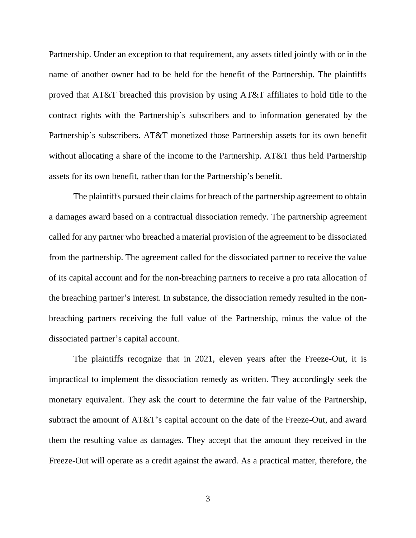Partnership. Under an exception to that requirement, any assets titled jointly with or in the name of another owner had to be held for the benefit of the Partnership. The plaintiffs proved that AT&T breached this provision by using AT&T affiliates to hold title to the contract rights with the Partnership's subscribers and to information generated by the Partnership's subscribers. AT&T monetized those Partnership assets for its own benefit without allocating a share of the income to the Partnership. AT&T thus held Partnership assets for its own benefit, rather than for the Partnership's benefit.

The plaintiffs pursued their claims for breach of the partnership agreement to obtain a damages award based on a contractual dissociation remedy. The partnership agreement called for any partner who breached a material provision of the agreement to be dissociated from the partnership. The agreement called for the dissociated partner to receive the value of its capital account and for the non-breaching partners to receive a pro rata allocation of the breaching partner's interest. In substance, the dissociation remedy resulted in the nonbreaching partners receiving the full value of the Partnership, minus the value of the dissociated partner's capital account.

The plaintiffs recognize that in 2021, eleven years after the Freeze-Out, it is impractical to implement the dissociation remedy as written. They accordingly seek the monetary equivalent. They ask the court to determine the fair value of the Partnership, subtract the amount of AT&T's capital account on the date of the Freeze-Out, and award them the resulting value as damages. They accept that the amount they received in the Freeze-Out will operate as a credit against the award. As a practical matter, therefore, the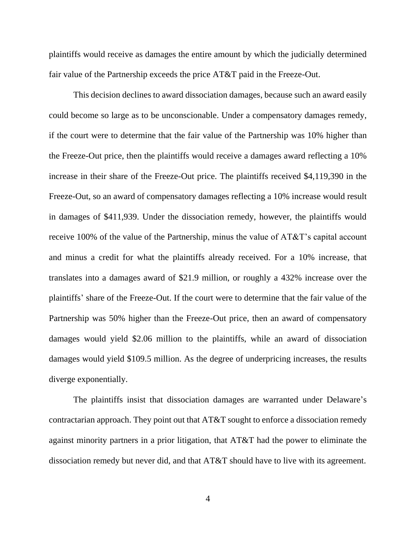plaintiffs would receive as damages the entire amount by which the judicially determined fair value of the Partnership exceeds the price AT&T paid in the Freeze-Out.

This decision declines to award dissociation damages, because such an award easily could become so large as to be unconscionable. Under a compensatory damages remedy, if the court were to determine that the fair value of the Partnership was 10% higher than the Freeze-Out price, then the plaintiffs would receive a damages award reflecting a 10% increase in their share of the Freeze-Out price. The plaintiffs received \$4,119,390 in the Freeze-Out, so an award of compensatory damages reflecting a 10% increase would result in damages of \$411,939. Under the dissociation remedy, however, the plaintiffs would receive 100% of the value of the Partnership, minus the value of AT&T's capital account and minus a credit for what the plaintiffs already received. For a 10% increase, that translates into a damages award of \$21.9 million, or roughly a 432% increase over the plaintiffs' share of the Freeze-Out. If the court were to determine that the fair value of the Partnership was 50% higher than the Freeze-Out price, then an award of compensatory damages would yield \$2.06 million to the plaintiffs, while an award of dissociation damages would yield \$109.5 million. As the degree of underpricing increases, the results diverge exponentially.

The plaintiffs insist that dissociation damages are warranted under Delaware's contractarian approach. They point out that AT&T sought to enforce a dissociation remedy against minority partners in a prior litigation, that AT&T had the power to eliminate the dissociation remedy but never did, and that AT&T should have to live with its agreement.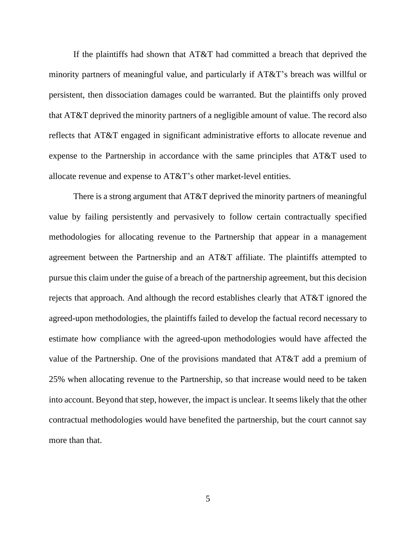If the plaintiffs had shown that AT&T had committed a breach that deprived the minority partners of meaningful value, and particularly if AT&T's breach was willful or persistent, then dissociation damages could be warranted. But the plaintiffs only proved that AT&T deprived the minority partners of a negligible amount of value. The record also reflects that AT&T engaged in significant administrative efforts to allocate revenue and expense to the Partnership in accordance with the same principles that AT&T used to allocate revenue and expense to AT&T's other market-level entities.

There is a strong argument that AT&T deprived the minority partners of meaningful value by failing persistently and pervasively to follow certain contractually specified methodologies for allocating revenue to the Partnership that appear in a management agreement between the Partnership and an AT&T affiliate. The plaintiffs attempted to pursue this claim under the guise of a breach of the partnership agreement, but this decision rejects that approach. And although the record establishes clearly that AT&T ignored the agreed-upon methodologies, the plaintiffs failed to develop the factual record necessary to estimate how compliance with the agreed-upon methodologies would have affected the value of the Partnership. One of the provisions mandated that AT&T add a premium of 25% when allocating revenue to the Partnership, so that increase would need to be taken into account. Beyond that step, however, the impact is unclear. It seems likely that the other contractual methodologies would have benefited the partnership, but the court cannot say more than that.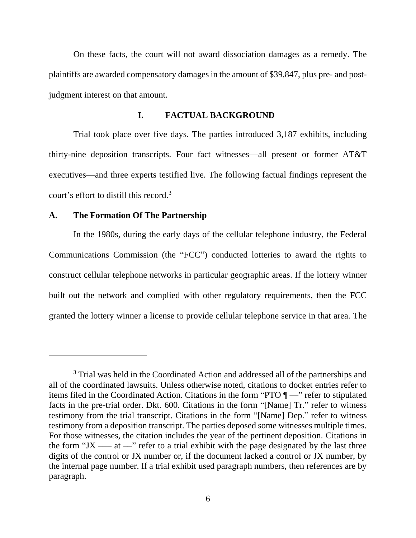On these facts, the court will not award dissociation damages as a remedy. The plaintiffs are awarded compensatory damages in the amount of \$39,847, plus pre- and postjudgment interest on that amount.

### **I. FACTUAL BACKGROUND**

Trial took place over five days. The parties introduced 3,187 exhibits, including thirty-nine deposition transcripts. Four fact witnesses—all present or former AT&T executives—and three experts testified live. The following factual findings represent the court's effort to distill this record.<sup>3</sup>

#### **A. The Formation Of The Partnership**

In the 1980s, during the early days of the cellular telephone industry, the Federal Communications Commission (the "FCC") conducted lotteries to award the rights to construct cellular telephone networks in particular geographic areas. If the lottery winner built out the network and complied with other regulatory requirements, then the FCC granted the lottery winner a license to provide cellular telephone service in that area. The

<sup>&</sup>lt;sup>3</sup> Trial was held in the Coordinated Action and addressed all of the partnerships and all of the coordinated lawsuits. Unless otherwise noted, citations to docket entries refer to items filed in the Coordinated Action. Citations in the form "PTO ¶ ––" refer to stipulated facts in the pre-trial order. Dkt. 600. Citations in the form "[Name] Tr." refer to witness testimony from the trial transcript. Citations in the form "[Name] Dep." refer to witness testimony from a deposition transcript. The parties deposed some witnesses multiple times. For those witnesses, the citation includes the year of the pertinent deposition. Citations in the form "JX —— at  $\rightarrow$ " refer to a trial exhibit with the page designated by the last three digits of the control or JX number or, if the document lacked a control or JX number, by the internal page number. If a trial exhibit used paragraph numbers, then references are by paragraph.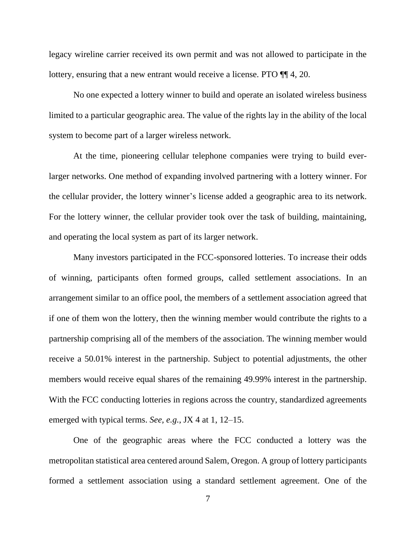legacy wireline carrier received its own permit and was not allowed to participate in the lottery, ensuring that a new entrant would receive a license. PTO  $\P$  4, 20.

No one expected a lottery winner to build and operate an isolated wireless business limited to a particular geographic area. The value of the rights lay in the ability of the local system to become part of a larger wireless network.

At the time, pioneering cellular telephone companies were trying to build everlarger networks. One method of expanding involved partnering with a lottery winner. For the cellular provider, the lottery winner's license added a geographic area to its network. For the lottery winner, the cellular provider took over the task of building, maintaining, and operating the local system as part of its larger network.

Many investors participated in the FCC-sponsored lotteries. To increase their odds of winning, participants often formed groups, called settlement associations. In an arrangement similar to an office pool, the members of a settlement association agreed that if one of them won the lottery, then the winning member would contribute the rights to a partnership comprising all of the members of the association. The winning member would receive a 50.01% interest in the partnership. Subject to potential adjustments, the other members would receive equal shares of the remaining 49.99% interest in the partnership. With the FCC conducting lotteries in regions across the country, standardized agreements emerged with typical terms. *See, e.g.*, JX 4 at 1, 12–15.

One of the geographic areas where the FCC conducted a lottery was the metropolitan statistical area centered around Salem, Oregon. A group of lottery participants formed a settlement association using a standard settlement agreement. One of the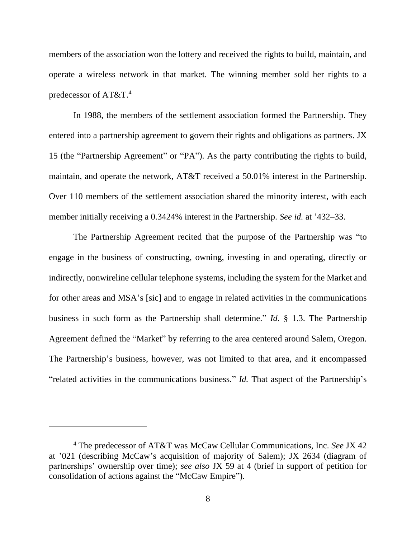members of the association won the lottery and received the rights to build, maintain, and operate a wireless network in that market. The winning member sold her rights to a predecessor of AT&T.<sup>4</sup>

In 1988, the members of the settlement association formed the Partnership. They entered into a partnership agreement to govern their rights and obligations as partners. JX 15 (the "Partnership Agreement" or "PA"). As the party contributing the rights to build, maintain, and operate the network, AT&T received a 50.01% interest in the Partnership. Over 110 members of the settlement association shared the minority interest, with each member initially receiving a 0.3424% interest in the Partnership. *See id.* at '432–33.

The Partnership Agreement recited that the purpose of the Partnership was "to engage in the business of constructing, owning, investing in and operating, directly or indirectly, nonwireline cellular telephone systems, including the system for the Market and for other areas and MSA's [sic] and to engage in related activities in the communications business in such form as the Partnership shall determine." *Id.* § 1.3. The Partnership Agreement defined the "Market" by referring to the area centered around Salem, Oregon. The Partnership's business, however, was not limited to that area, and it encompassed "related activities in the communications business." *Id.* That aspect of the Partnership's

<sup>4</sup> The predecessor of AT&T was McCaw Cellular Communications, Inc. *See* JX 42 at '021 (describing McCaw's acquisition of majority of Salem); JX 2634 (diagram of partnerships' ownership over time); *see also* JX 59 at 4 (brief in support of petition for consolidation of actions against the "McCaw Empire").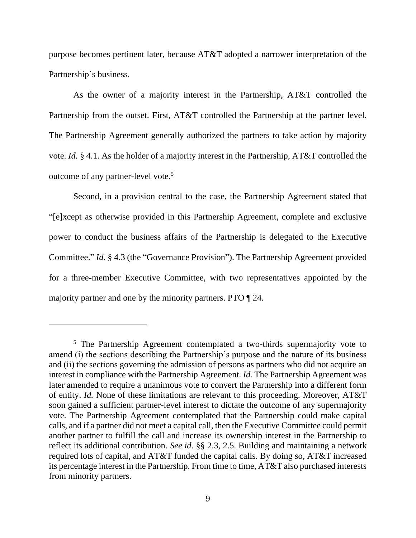purpose becomes pertinent later, because AT&T adopted a narrower interpretation of the Partnership's business.

As the owner of a majority interest in the Partnership, AT&T controlled the Partnership from the outset. First, AT&T controlled the Partnership at the partner level. The Partnership Agreement generally authorized the partners to take action by majority vote. *Id.* § 4.1. As the holder of a majority interest in the Partnership, AT&T controlled the outcome of any partner-level vote.<sup>5</sup>

Second, in a provision central to the case, the Partnership Agreement stated that "[e]xcept as otherwise provided in this Partnership Agreement, complete and exclusive power to conduct the business affairs of the Partnership is delegated to the Executive Committee." *Id.* § 4.3 (the "Governance Provision"). The Partnership Agreement provided for a three-member Executive Committee, with two representatives appointed by the majority partner and one by the minority partners. PTO ¶ 24.

<sup>&</sup>lt;sup>5</sup> The Partnership Agreement contemplated a two-thirds supermajority vote to amend (i) the sections describing the Partnership's purpose and the nature of its business and (ii) the sections governing the admission of persons as partners who did not acquire an interest in compliance with the Partnership Agreement. *Id.* The Partnership Agreement was later amended to require a unanimous vote to convert the Partnership into a different form of entity. *Id.* None of these limitations are relevant to this proceeding. Moreover, AT&T soon gained a sufficient partner-level interest to dictate the outcome of any supermajority vote. The Partnership Agreement contemplated that the Partnership could make capital calls, and if a partner did not meet a capital call, then the Executive Committee could permit another partner to fulfill the call and increase its ownership interest in the Partnership to reflect its additional contribution. *See id.* §§ 2.3, 2.5. Building and maintaining a network required lots of capital, and AT&T funded the capital calls. By doing so, AT&T increased its percentage interest in the Partnership. From time to time, AT&T also purchased interests from minority partners.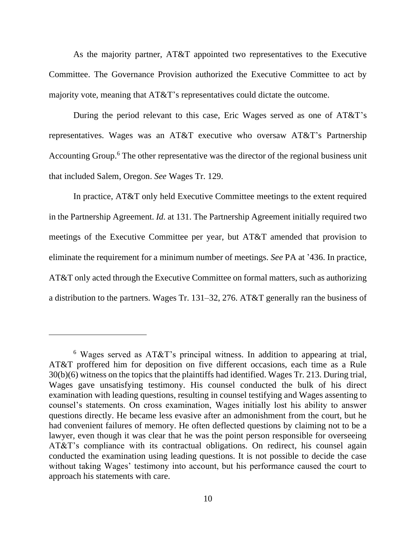As the majority partner, AT&T appointed two representatives to the Executive Committee. The Governance Provision authorized the Executive Committee to act by majority vote, meaning that AT&T's representatives could dictate the outcome.

During the period relevant to this case, Eric Wages served as one of AT&T's representatives. Wages was an AT&T executive who oversaw AT&T's Partnership Accounting Group.<sup>6</sup> The other representative was the director of the regional business unit that included Salem, Oregon. *See* Wages Tr. 129.

In practice, AT&T only held Executive Committee meetings to the extent required in the Partnership Agreement. *Id.* at 131. The Partnership Agreement initially required two meetings of the Executive Committee per year, but AT&T amended that provision to eliminate the requirement for a minimum number of meetings. *See* PA at '436. In practice, AT&T only acted through the Executive Committee on formal matters, such as authorizing a distribution to the partners. Wages Tr. 131–32, 276. AT&T generally ran the business of

<sup>6</sup> Wages served as AT&T's principal witness. In addition to appearing at trial, AT&T proffered him for deposition on five different occasions, each time as a Rule 30(b)(6) witness on the topics that the plaintiffs had identified. Wages Tr. 213. During trial, Wages gave unsatisfying testimony. His counsel conducted the bulk of his direct examination with leading questions, resulting in counsel testifying and Wages assenting to counsel's statements. On cross examination, Wages initially lost his ability to answer questions directly. He became less evasive after an admonishment from the court, but he had convenient failures of memory. He often deflected questions by claiming not to be a lawyer, even though it was clear that he was the point person responsible for overseeing AT&T's compliance with its contractual obligations. On redirect, his counsel again conducted the examination using leading questions. It is not possible to decide the case without taking Wages' testimony into account, but his performance caused the court to approach his statements with care.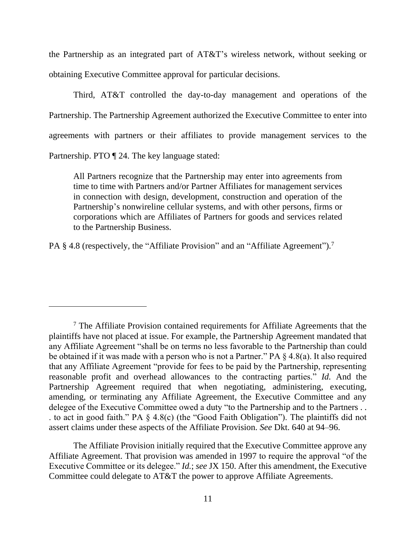the Partnership as an integrated part of AT&T's wireless network, without seeking or obtaining Executive Committee approval for particular decisions.

Third, AT&T controlled the day-to-day management and operations of the Partnership. The Partnership Agreement authorized the Executive Committee to enter into agreements with partners or their affiliates to provide management services to the Partnership. PTO ¶ 24. The key language stated:

All Partners recognize that the Partnership may enter into agreements from time to time with Partners and/or Partner Affiliates for management services in connection with design, development, construction and operation of the Partnership's nonwireline cellular systems, and with other persons, firms or corporations which are Affiliates of Partners for goods and services related to the Partnership Business.

PA § 4.8 (respectively, the "Affiliate Provision" and an "Affiliate Agreement").<sup>7</sup>

The Affiliate Provision initially required that the Executive Committee approve any Affiliate Agreement. That provision was amended in 1997 to require the approval "of the Executive Committee or its delegee." *Id.*; *see* JX 150. After this amendment, the Executive Committee could delegate to AT&T the power to approve Affiliate Agreements.

 $<sup>7</sup>$  The Affiliate Provision contained requirements for Affiliate Agreements that the</sup> plaintiffs have not placed at issue. For example, the Partnership Agreement mandated that any Affiliate Agreement "shall be on terms no less favorable to the Partnership than could be obtained if it was made with a person who is not a Partner." PA § 4.8(a). It also required that any Affiliate Agreement "provide for fees to be paid by the Partnership, representing reasonable profit and overhead allowances to the contracting parties." *Id.* And the Partnership Agreement required that when negotiating, administering, executing, amending, or terminating any Affiliate Agreement, the Executive Committee and any delegee of the Executive Committee owed a duty "to the Partnership and to the Partners . . . to act in good faith." PA § 4.8(c) (the "Good Faith Obligation"). The plaintiffs did not assert claims under these aspects of the Affiliate Provision. *See* Dkt. 640 at 94–96.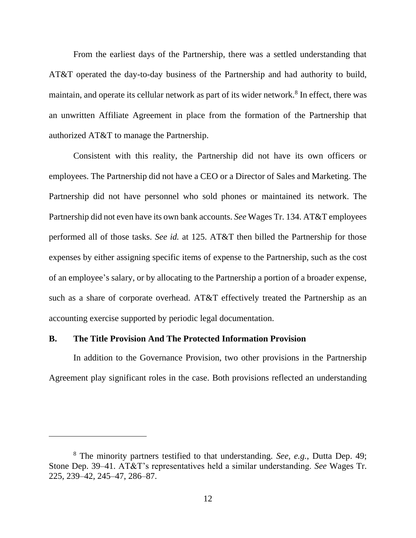From the earliest days of the Partnership, there was a settled understanding that AT&T operated the day-to-day business of the Partnership and had authority to build, maintain, and operate its cellular network as part of its wider network.<sup>8</sup> In effect, there was an unwritten Affiliate Agreement in place from the formation of the Partnership that authorized AT&T to manage the Partnership.

Consistent with this reality, the Partnership did not have its own officers or employees. The Partnership did not have a CEO or a Director of Sales and Marketing. The Partnership did not have personnel who sold phones or maintained its network. The Partnership did not even have its own bank accounts. *See* Wages Tr. 134. AT&T employees performed all of those tasks. *See id.* at 125. AT&T then billed the Partnership for those expenses by either assigning specific items of expense to the Partnership, such as the cost of an employee's salary, or by allocating to the Partnership a portion of a broader expense, such as a share of corporate overhead. AT&T effectively treated the Partnership as an accounting exercise supported by periodic legal documentation.

#### **B. The Title Provision And The Protected Information Provision**

In addition to the Governance Provision, two other provisions in the Partnership Agreement play significant roles in the case. Both provisions reflected an understanding

<sup>8</sup> The minority partners testified to that understanding. *See, e.g.*, Dutta Dep. 49; Stone Dep. 39–41. AT&T's representatives held a similar understanding. *See* Wages Tr. 225, 239–42, 245–47, 286–87.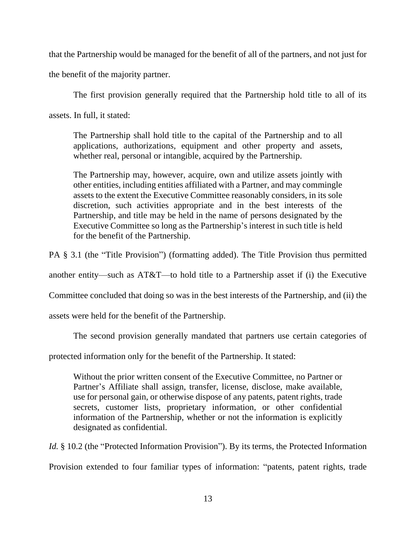that the Partnership would be managed for the benefit of all of the partners, and not just for

the benefit of the majority partner.

The first provision generally required that the Partnership hold title to all of its

assets. In full, it stated:

The Partnership shall hold title to the capital of the Partnership and to all applications, authorizations, equipment and other property and assets, whether real, personal or intangible, acquired by the Partnership.

The Partnership may, however, acquire, own and utilize assets jointly with other entities, including entities affiliated with a Partner, and may commingle assets to the extent the Executive Committee reasonably considers, in its sole discretion, such activities appropriate and in the best interests of the Partnership, and title may be held in the name of persons designated by the Executive Committee so long as the Partnership's interest in such title is held for the benefit of the Partnership.

PA § 3.1 (the "Title Provision") (formatting added). The Title Provision thus permitted

another entity—such as AT&T—to hold title to a Partnership asset if (i) the Executive

Committee concluded that doing so was in the best interests of the Partnership, and (ii) the

assets were held for the benefit of the Partnership.

The second provision generally mandated that partners use certain categories of

protected information only for the benefit of the Partnership. It stated:

Without the prior written consent of the Executive Committee, no Partner or Partner's Affiliate shall assign, transfer, license, disclose, make available, use for personal gain, or otherwise dispose of any patents, patent rights, trade secrets, customer lists, proprietary information, or other confidential information of the Partnership, whether or not the information is explicitly designated as confidential.

*Id.* § 10.2 (the "Protected Information Provision"). By its terms, the Protected Information

Provision extended to four familiar types of information: "patents, patent rights, trade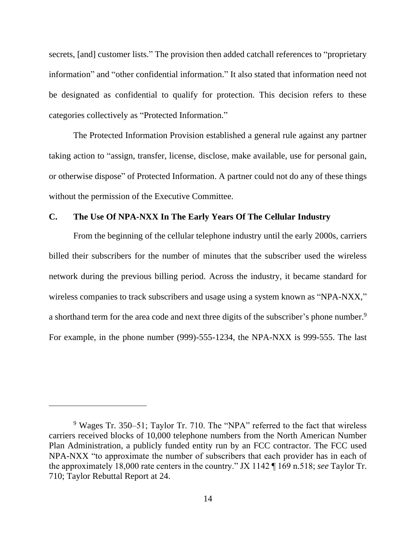secrets, [and] customer lists." The provision then added catchall references to "proprietary information" and "other confidential information." It also stated that information need not be designated as confidential to qualify for protection. This decision refers to these categories collectively as "Protected Information."

The Protected Information Provision established a general rule against any partner taking action to "assign, transfer, license, disclose, make available, use for personal gain, or otherwise dispose" of Protected Information. A partner could not do any of these things without the permission of the Executive Committee.

## **C. The Use Of NPA-NXX In The Early Years Of The Cellular Industry**

From the beginning of the cellular telephone industry until the early 2000s, carriers billed their subscribers for the number of minutes that the subscriber used the wireless network during the previous billing period. Across the industry, it became standard for wireless companies to track subscribers and usage using a system known as "NPA-NXX," a shorthand term for the area code and next three digits of the subscriber's phone number.<sup>9</sup> For example, in the phone number (999)-555-1234, the NPA-NXX is 999-555. The last

<sup>&</sup>lt;sup>9</sup> Wages Tr. 350–51; Taylor Tr. 710. The "NPA" referred to the fact that wireless carriers received blocks of 10,000 telephone numbers from the North American Number Plan Administration, a publicly funded entity run by an FCC contractor. The FCC used NPA-NXX "to approximate the number of subscribers that each provider has in each of the approximately 18,000 rate centers in the country." JX 1142 ¶ 169 n.518; *see* Taylor Tr. 710; Taylor Rebuttal Report at 24.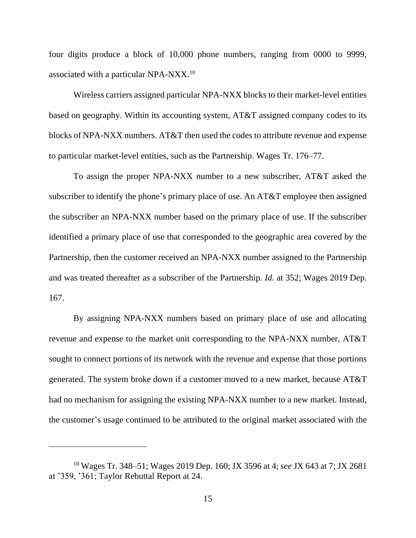four digits produce a block of 10,000 phone numbers, ranging from 0000 to 9999, associated with a particular NPA-NXX. $10$ 

Wireless carriers assigned particular NPA-NXX blocks to their market-level entities based on geography. Within its accounting system, AT&T assigned company codes to its blocks of NPA-NXX numbers. AT&T then used the codes to attribute revenue and expense to particular market-level entities, such as the Partnership. Wages Tr. 176–77.

To assign the proper NPA-NXX number to a new subscriber, AT&T asked the subscriber to identify the phone's primary place of use. An AT&T employee then assigned the subscriber an NPA-NXX number based on the primary place of use. If the subscriber identified a primary place of use that corresponded to the geographic area covered by the Partnership, then the customer received an NPA-NXX number assigned to the Partnership and was treated thereafter as a subscriber of the Partnership. *Id.* at 352; Wages 2019 Dep. 167.

By assigning NPA-NXX numbers based on primary place of use and allocating revenue and expense to the market unit corresponding to the NPA-NXX number, AT&T sought to connect portions of its network with the revenue and expense that those portions generated. The system broke down if a customer moved to a new market, because AT&T had no mechanism for assigning the existing NPA-NXX number to a new market. Instead, the customer's usage continued to be attributed to the original market associated with the

<sup>10</sup> Wages Tr. 348–51; Wages 2019 Dep. 160; JX 3596 at 4; *see* JX 643 at 7; JX 2681 at '359, '361; Taylor Rebuttal Report at 24.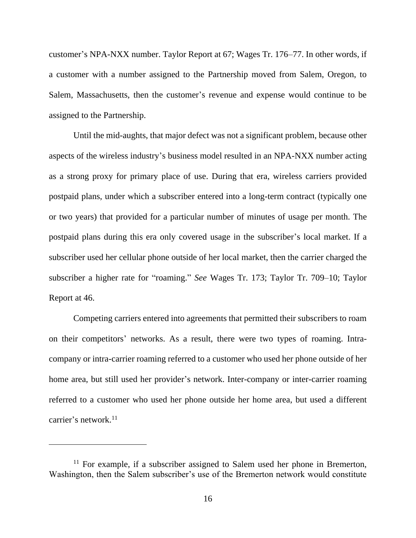customer's NPA-NXX number. Taylor Report at 67; Wages Tr. 176–77. In other words, if a customer with a number assigned to the Partnership moved from Salem, Oregon, to Salem, Massachusetts, then the customer's revenue and expense would continue to be assigned to the Partnership.

Until the mid-aughts, that major defect was not a significant problem, because other aspects of the wireless industry's business model resulted in an NPA-NXX number acting as a strong proxy for primary place of use. During that era, wireless carriers provided postpaid plans, under which a subscriber entered into a long-term contract (typically one or two years) that provided for a particular number of minutes of usage per month. The postpaid plans during this era only covered usage in the subscriber's local market. If a subscriber used her cellular phone outside of her local market, then the carrier charged the subscriber a higher rate for "roaming." *See* Wages Tr. 173; Taylor Tr. 709–10; Taylor Report at 46.

Competing carriers entered into agreements that permitted their subscribers to roam on their competitors' networks. As a result, there were two types of roaming. Intracompany or intra-carrier roaming referred to a customer who used her phone outside of her home area, but still used her provider's network. Inter-company or inter-carrier roaming referred to a customer who used her phone outside her home area, but used a different carrier's network.<sup>11</sup>

 $11$  For example, if a subscriber assigned to Salem used her phone in Bremerton, Washington, then the Salem subscriber's use of the Bremerton network would constitute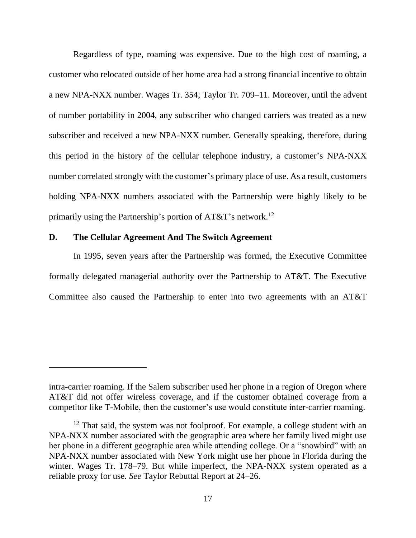Regardless of type, roaming was expensive. Due to the high cost of roaming, a customer who relocated outside of her home area had a strong financial incentive to obtain a new NPA-NXX number. Wages Tr. 354; Taylor Tr. 709–11. Moreover, until the advent of number portability in 2004, any subscriber who changed carriers was treated as a new subscriber and received a new NPA-NXX number. Generally speaking, therefore, during this period in the history of the cellular telephone industry, a customer's NPA-NXX number correlated strongly with the customer's primary place of use. As a result, customers holding NPA-NXX numbers associated with the Partnership were highly likely to be primarily using the Partnership's portion of  $AT&T$ 's network.<sup>12</sup>

## **D. The Cellular Agreement And The Switch Agreement**

In 1995, seven years after the Partnership was formed, the Executive Committee formally delegated managerial authority over the Partnership to AT&T. The Executive Committee also caused the Partnership to enter into two agreements with an AT&T

intra-carrier roaming. If the Salem subscriber used her phone in a region of Oregon where AT&T did not offer wireless coverage, and if the customer obtained coverage from a competitor like T-Mobile, then the customer's use would constitute inter-carrier roaming.

 $12$  That said, the system was not foolproof. For example, a college student with an NPA-NXX number associated with the geographic area where her family lived might use her phone in a different geographic area while attending college. Or a "snowbird" with an NPA-NXX number associated with New York might use her phone in Florida during the winter. Wages Tr. 178–79. But while imperfect, the NPA-NXX system operated as a reliable proxy for use. *See* Taylor Rebuttal Report at 24–26.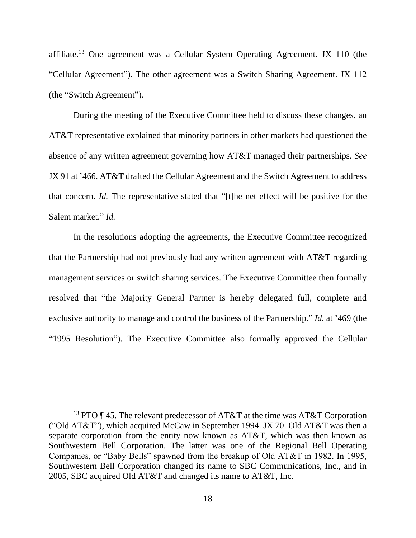affiliate.<sup>13</sup> One agreement was a Cellular System Operating Agreement. JX 110 (the "Cellular Agreement"). The other agreement was a Switch Sharing Agreement. JX 112 (the "Switch Agreement").

During the meeting of the Executive Committee held to discuss these changes, an AT&T representative explained that minority partners in other markets had questioned the absence of any written agreement governing how AT&T managed their partnerships. *See*  JX 91 at '466. AT&T drafted the Cellular Agreement and the Switch Agreement to address that concern. *Id.* The representative stated that "[t]he net effect will be positive for the Salem market." *Id.*

In the resolutions adopting the agreements, the Executive Committee recognized that the Partnership had not previously had any written agreement with AT&T regarding management services or switch sharing services. The Executive Committee then formally resolved that "the Majority General Partner is hereby delegated full, complete and exclusive authority to manage and control the business of the Partnership." *Id.* at '469 (the "1995 Resolution"). The Executive Committee also formally approved the Cellular

<sup>&</sup>lt;sup>13</sup> PTO ¶ 45. The relevant predecessor of AT&T at the time was AT&T Corporation ("Old AT&T"), which acquired McCaw in September 1994. JX 70. Old AT&T was then a separate corporation from the entity now known as AT&T, which was then known as Southwestern Bell Corporation. The latter was one of the Regional Bell Operating Companies, or "Baby Bells" spawned from the breakup of Old AT&T in 1982. In 1995, Southwestern Bell Corporation changed its name to SBC Communications, Inc., and in 2005, SBC acquired Old AT&T and changed its name to AT&T, Inc.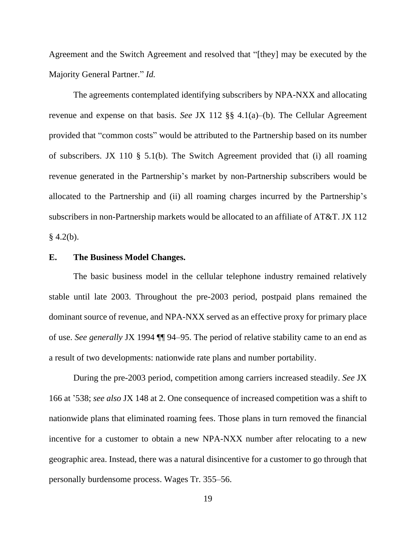Agreement and the Switch Agreement and resolved that "[they] may be executed by the Majority General Partner." *Id.*

The agreements contemplated identifying subscribers by NPA-NXX and allocating revenue and expense on that basis. *See* JX 112 §§ 4.1(a)–(b). The Cellular Agreement provided that "common costs" would be attributed to the Partnership based on its number of subscribers. JX 110 § 5.1(b). The Switch Agreement provided that (i) all roaming revenue generated in the Partnership's market by non-Partnership subscribers would be allocated to the Partnership and (ii) all roaming charges incurred by the Partnership's subscribers in non-Partnership markets would be allocated to an affiliate of AT&T. JX 112  $§$  4.2(b).

### **E. The Business Model Changes.**

The basic business model in the cellular telephone industry remained relatively stable until late 2003. Throughout the pre-2003 period, postpaid plans remained the dominant source of revenue, and NPA-NXX served as an effective proxy for primary place of use. *See generally* JX 1994 ¶¶ 94–95. The period of relative stability came to an end as a result of two developments: nationwide rate plans and number portability.

During the pre-2003 period, competition among carriers increased steadily. *See* JX 166 at '538; *see also* JX 148 at 2. One consequence of increased competition was a shift to nationwide plans that eliminated roaming fees. Those plans in turn removed the financial incentive for a customer to obtain a new NPA-NXX number after relocating to a new geographic area. Instead, there was a natural disincentive for a customer to go through that personally burdensome process. Wages Tr. 355–56.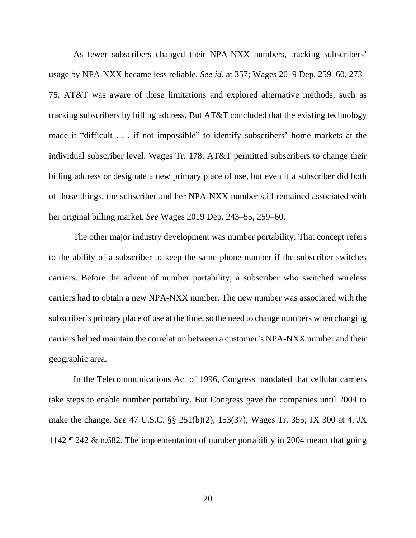As fewer subscribers changed their NPA-NXX numbers, tracking subscribers' usage by NPA-NXX became less reliable. *See id.* at 357; Wages 2019 Dep. 259–60, 273– 75. AT&T was aware of these limitations and explored alternative methods, such as tracking subscribers by billing address. But AT&T concluded that the existing technology made it "difficult . . . if not impossible" to identify subscribers' home markets at the individual subscriber level. Wages Tr. 178. AT&T permitted subscribers to change their billing address or designate a new primary place of use, but even if a subscriber did both of those things, the subscriber and her NPA-NXX number still remained associated with her original billing market. *See* Wages 2019 Dep. 243–55, 259–60.

The other major industry development was number portability. That concept refers to the ability of a subscriber to keep the same phone number if the subscriber switches carriers. Before the advent of number portability, a subscriber who switched wireless carriers had to obtain a new NPA-NXX number. The new number was associated with the subscriber's primary place of use at the time, so the need to change numbers when changing carriers helped maintain the correlation between a customer's NPA-NXX number and their geographic area.

In the Telecommunications Act of 1996, Congress mandated that cellular carriers take steps to enable number portability. But Congress gave the companies until 2004 to make the change. *See* 47 U.S.C. §§ 251(b)(2), 153(37); Wages Tr. 355; JX 300 at 4; JX 1142 ¶ 242 & n.682. The implementation of number portability in 2004 meant that going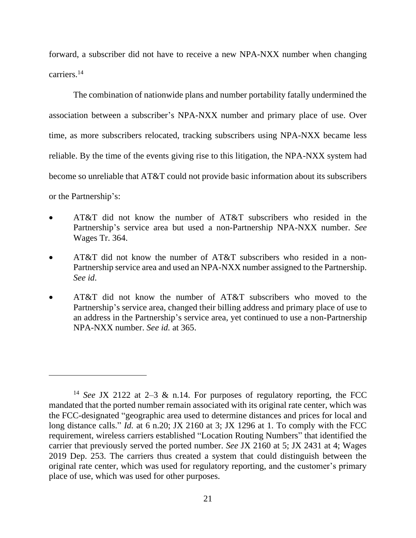forward, a subscriber did not have to receive a new NPA-NXX number when changing carriers. 14

The combination of nationwide plans and number portability fatally undermined the association between a subscriber's NPA-NXX number and primary place of use. Over time, as more subscribers relocated, tracking subscribers using NPA-NXX became less reliable. By the time of the events giving rise to this litigation, the NPA-NXX system had become so unreliable that AT&T could not provide basic information about its subscribers or the Partnership's:

- AT&T did not know the number of AT&T subscribers who resided in the Partnership's service area but used a non-Partnership NPA-NXX number. *See*  Wages Tr. 364.
- AT&T did not know the number of AT&T subscribers who resided in a non-Partnership service area and used an NPA-NXX number assigned to the Partnership. *See id*.
- AT&T did not know the number of AT&T subscribers who moved to the Partnership's service area, changed their billing address and primary place of use to an address in the Partnership's service area, yet continued to use a non-Partnership NPA-NXX number. *See id.* at 365.

<sup>14</sup> *See* JX 2122 at 2–3 & n.14. For purposes of regulatory reporting, the FCC mandated that the ported number remain associated with its original rate center, which was the FCC-designated "geographic area used to determine distances and prices for local and long distance calls." *Id.* at 6 n.20; JX 2160 at 3; JX 1296 at 1. To comply with the FCC requirement, wireless carriers established "Location Routing Numbers" that identified the carrier that previously served the ported number. *See* JX 2160 at 5; JX 2431 at 4; Wages 2019 Dep. 253. The carriers thus created a system that could distinguish between the original rate center, which was used for regulatory reporting, and the customer's primary place of use, which was used for other purposes.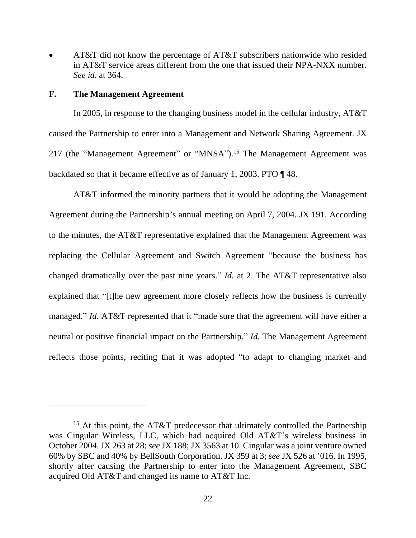• AT&T did not know the percentage of AT&T subscribers nationwide who resided in AT&T service areas different from the one that issued their NPA-NXX number. *See id.* at 364.

#### **F. The Management Agreement**

In 2005, in response to the changing business model in the cellular industry, AT&T caused the Partnership to enter into a Management and Network Sharing Agreement. JX 217 (the "Management Agreement" or "MNSA").<sup>15</sup> The Management Agreement was backdated so that it became effective as of January 1, 2003. PTO ¶ 48.

AT&T informed the minority partners that it would be adopting the Management Agreement during the Partnership's annual meeting on April 7, 2004. JX 191. According to the minutes, the AT&T representative explained that the Management Agreement was replacing the Cellular Agreement and Switch Agreement "because the business has changed dramatically over the past nine years." *Id.* at 2. The AT&T representative also explained that "[t]he new agreement more closely reflects how the business is currently managed." *Id.* AT&T represented that it "made sure that the agreement will have either a neutral or positive financial impact on the Partnership." *Id.* The Management Agreement reflects those points, reciting that it was adopted "to adapt to changing market and

<sup>&</sup>lt;sup>15</sup> At this point, the AT&T predecessor that ultimately controlled the Partnership was Cingular Wireless, LLC, which had acquired Old AT&T's wireless business in October 2004. JX 263 at 28; *see* JX 188; JX 3563 at 10. Cingular was a joint venture owned 60% by SBC and 40% by BellSouth Corporation. JX 359 at 3; *see* JX 526 at '016. In 1995, shortly after causing the Partnership to enter into the Management Agreement, SBC acquired Old AT&T and changed its name to AT&T Inc.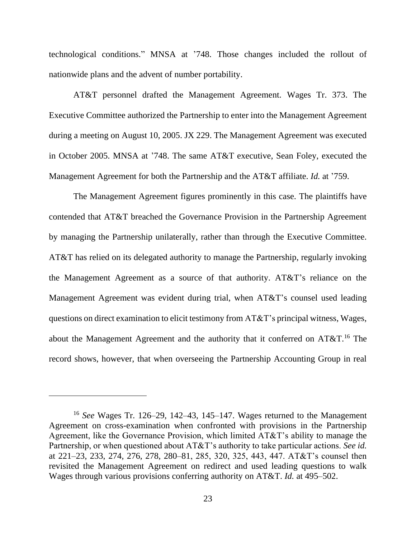technological conditions." MNSA at '748. Those changes included the rollout of nationwide plans and the advent of number portability.

AT&T personnel drafted the Management Agreement. Wages Tr. 373. The Executive Committee authorized the Partnership to enter into the Management Agreement during a meeting on August 10, 2005. JX 229. The Management Agreement was executed in October 2005. MNSA at '748. The same AT&T executive, Sean Foley, executed the Management Agreement for both the Partnership and the AT&T affiliate. *Id.* at '759.

The Management Agreement figures prominently in this case. The plaintiffs have contended that AT&T breached the Governance Provision in the Partnership Agreement by managing the Partnership unilaterally, rather than through the Executive Committee. AT&T has relied on its delegated authority to manage the Partnership, regularly invoking the Management Agreement as a source of that authority. AT&T's reliance on the Management Agreement was evident during trial, when AT&T's counsel used leading questions on direct examination to elicit testimony from AT&T's principal witness, Wages, about the Management Agreement and the authority that it conferred on  $AT&T.^{16}$  The record shows, however, that when overseeing the Partnership Accounting Group in real

<sup>16</sup> *See* Wages Tr. 126–29, 142–43, 145–147. Wages returned to the Management Agreement on cross-examination when confronted with provisions in the Partnership Agreement, like the Governance Provision, which limited AT&T's ability to manage the Partnership, or when questioned about AT&T's authority to take particular actions. *See id.*  at 221–23, 233, 274, 276, 278, 280–81, 285, 320, 325, 443, 447. AT&T's counsel then revisited the Management Agreement on redirect and used leading questions to walk Wages through various provisions conferring authority on AT&T. *Id.* at 495–502.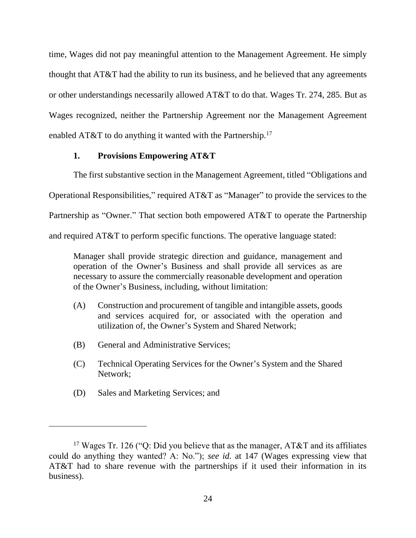time, Wages did not pay meaningful attention to the Management Agreement. He simply thought that AT&T had the ability to run its business, and he believed that any agreements or other understandings necessarily allowed AT&T to do that. Wages Tr. 274, 285. But as Wages recognized, neither the Partnership Agreement nor the Management Agreement enabled AT&T to do anything it wanted with the Partnership.<sup>17</sup>

## **1. Provisions Empowering AT&T**

The first substantive section in the Management Agreement, titled "Obligations and Operational Responsibilities," required AT&T as "Manager" to provide the services to the Partnership as "Owner." That section both empowered AT&T to operate the Partnership and required AT&T to perform specific functions. The operative language stated:

Manager shall provide strategic direction and guidance, management and operation of the Owner's Business and shall provide all services as are necessary to assure the commercially reasonable development and operation of the Owner's Business, including, without limitation:

- (A) Construction and procurement of tangible and intangible assets, goods and services acquired for, or associated with the operation and utilization of, the Owner's System and Shared Network;
- (B) General and Administrative Services;
- (C) Technical Operating Services for the Owner's System and the Shared Network;
- (D) Sales and Marketing Services; and

<sup>&</sup>lt;sup>17</sup> Wages Tr. 126 ("Q: Did you believe that as the manager,  $AT&T$  and its affiliates could do anything they wanted? A: No."); *see id.* at 147 (Wages expressing view that AT&T had to share revenue with the partnerships if it used their information in its business).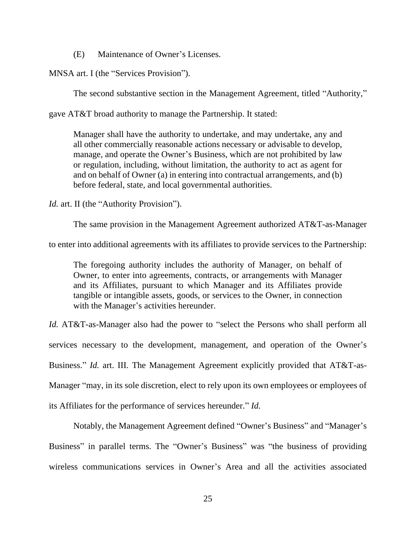(E) Maintenance of Owner's Licenses.

MNSA art. I (the "Services Provision").

The second substantive section in the Management Agreement, titled "Authority,"

gave AT&T broad authority to manage the Partnership. It stated:

Manager shall have the authority to undertake, and may undertake, any and all other commercially reasonable actions necessary or advisable to develop, manage, and operate the Owner's Business, which are not prohibited by law or regulation, including, without limitation, the authority to act as agent for and on behalf of Owner (a) in entering into contractual arrangements, and (b) before federal, state, and local governmental authorities.

*Id.* art. II (the "Authority Provision").

The same provision in the Management Agreement authorized AT&T-as-Manager

to enter into additional agreements with its affiliates to provide services to the Partnership:

The foregoing authority includes the authority of Manager, on behalf of Owner, to enter into agreements, contracts, or arrangements with Manager and its Affiliates, pursuant to which Manager and its Affiliates provide tangible or intangible assets, goods, or services to the Owner, in connection with the Manager's activities hereunder.

*Id.* AT&T-as-Manager also had the power to "select the Persons who shall perform all services necessary to the development, management, and operation of the Owner's Business." *Id.* art. III. The Management Agreement explicitly provided that AT&T-as-Manager "may, in its sole discretion, elect to rely upon its own employees or employees of its Affiliates for the performance of services hereunder." *Id.* 

Notably, the Management Agreement defined "Owner's Business" and "Manager's Business" in parallel terms. The "Owner's Business" was "the business of providing wireless communications services in Owner's Area and all the activities associated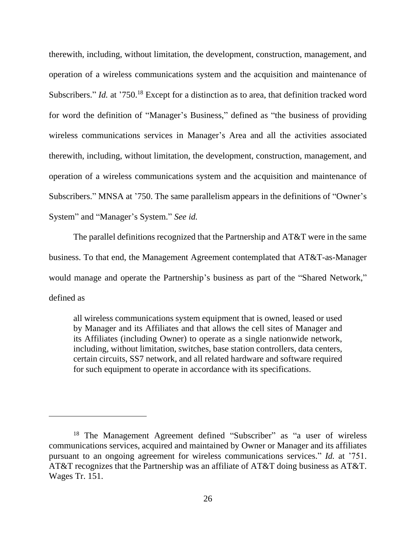therewith, including, without limitation, the development, construction, management, and operation of a wireless communications system and the acquisition and maintenance of Subscribers." *Id.* at '750.<sup>18</sup> Except for a distinction as to area, that definition tracked word for word the definition of "Manager's Business," defined as "the business of providing wireless communications services in Manager's Area and all the activities associated therewith, including, without limitation, the development, construction, management, and operation of a wireless communications system and the acquisition and maintenance of Subscribers." MNSA at '750. The same parallelism appears in the definitions of "Owner's System" and "Manager's System." *See id.*

The parallel definitions recognized that the Partnership and AT&T were in the same business. To that end, the Management Agreement contemplated that AT&T-as-Manager would manage and operate the Partnership's business as part of the "Shared Network," defined as

all wireless communications system equipment that is owned, leased or used by Manager and its Affiliates and that allows the cell sites of Manager and its Affiliates (including Owner) to operate as a single nationwide network, including, without limitation, switches, base station controllers, data centers, certain circuits, SS7 network, and all related hardware and software required for such equipment to operate in accordance with its specifications.

<sup>&</sup>lt;sup>18</sup> The Management Agreement defined "Subscriber" as "a user of wireless communications services, acquired and maintained by Owner or Manager and its affiliates pursuant to an ongoing agreement for wireless communications services." *Id.* at '751. AT&T recognizes that the Partnership was an affiliate of AT&T doing business as AT&T. Wages Tr. 151.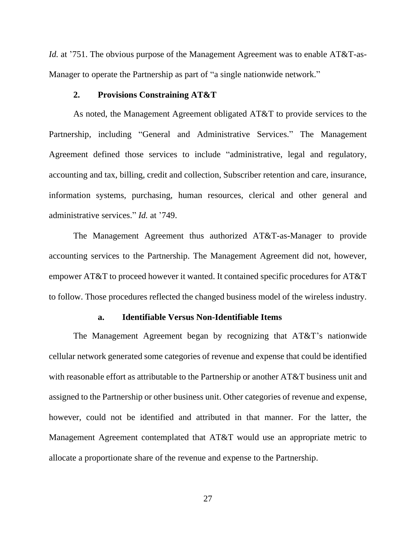*Id.* at '751. The obvious purpose of the Management Agreement was to enable AT&T-as-Manager to operate the Partnership as part of "a single nationwide network."

## **2. Provisions Constraining AT&T**

As noted, the Management Agreement obligated AT&T to provide services to the Partnership, including "General and Administrative Services." The Management Agreement defined those services to include "administrative, legal and regulatory, accounting and tax, billing, credit and collection, Subscriber retention and care, insurance, information systems, purchasing, human resources, clerical and other general and administrative services." *Id.* at '749.

The Management Agreement thus authorized AT&T-as-Manager to provide accounting services to the Partnership. The Management Agreement did not, however, empower AT&T to proceed however it wanted. It contained specific procedures for AT&T to follow. Those procedures reflected the changed business model of the wireless industry.

#### **a. Identifiable Versus Non-Identifiable Items**

The Management Agreement began by recognizing that AT&T's nationwide cellular network generated some categories of revenue and expense that could be identified with reasonable effort as attributable to the Partnership or another AT&T business unit and assigned to the Partnership or other business unit. Other categories of revenue and expense, however, could not be identified and attributed in that manner. For the latter, the Management Agreement contemplated that AT&T would use an appropriate metric to allocate a proportionate share of the revenue and expense to the Partnership.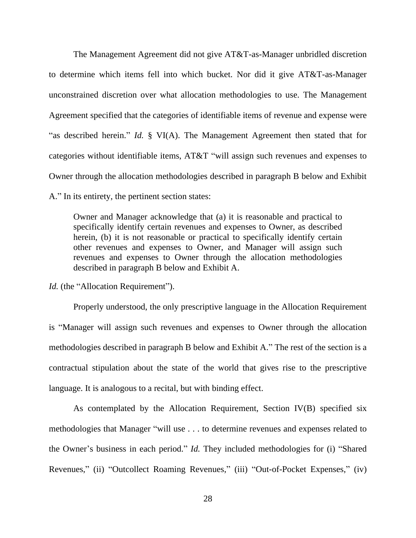The Management Agreement did not give AT&T-as-Manager unbridled discretion to determine which items fell into which bucket. Nor did it give AT&T-as-Manager unconstrained discretion over what allocation methodologies to use. The Management Agreement specified that the categories of identifiable items of revenue and expense were "as described herein." *Id.* § VI(A). The Management Agreement then stated that for categories without identifiable items, AT&T "will assign such revenues and expenses to Owner through the allocation methodologies described in paragraph B below and Exhibit A." In its entirety, the pertinent section states:

Owner and Manager acknowledge that (a) it is reasonable and practical to specifically identify certain revenues and expenses to Owner, as described herein, (b) it is not reasonable or practical to specifically identify certain other revenues and expenses to Owner, and Manager will assign such revenues and expenses to Owner through the allocation methodologies described in paragraph B below and Exhibit A.

*Id.* (the "Allocation Requirement").

Properly understood, the only prescriptive language in the Allocation Requirement is "Manager will assign such revenues and expenses to Owner through the allocation methodologies described in paragraph B below and Exhibit A." The rest of the section is a contractual stipulation about the state of the world that gives rise to the prescriptive language. It is analogous to a recital, but with binding effect.

As contemplated by the Allocation Requirement, Section IV(B) specified six methodologies that Manager "will use . . . to determine revenues and expenses related to the Owner's business in each period." *Id.* They included methodologies for (i) "Shared Revenues," (ii) "Outcollect Roaming Revenues," (iii) "Out-of-Pocket Expenses," (iv)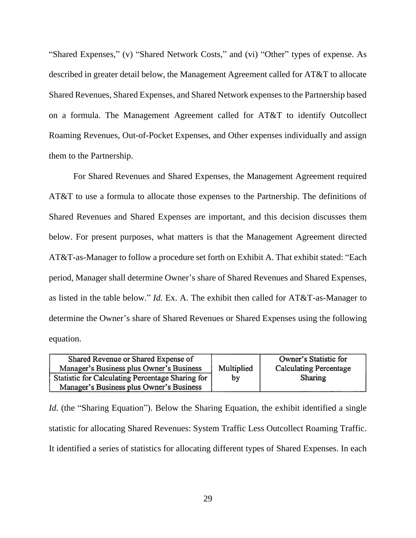"Shared Expenses," (v) "Shared Network Costs," and (vi) "Other" types of expense. As described in greater detail below, the Management Agreement called for AT&T to allocate Shared Revenues, Shared Expenses, and Shared Network expenses to the Partnership based on a formula. The Management Agreement called for AT&T to identify Outcollect Roaming Revenues, Out-of-Pocket Expenses, and Other expenses individually and assign them to the Partnership.

For Shared Revenues and Shared Expenses, the Management Agreement required AT&T to use a formula to allocate those expenses to the Partnership. The definitions of Shared Revenues and Shared Expenses are important, and this decision discusses them below. For present purposes, what matters is that the Management Agreement directed AT&T-as-Manager to follow a procedure set forth on Exhibit A. That exhibit stated: "Each period, Manager shall determine Owner's share of Shared Revenues and Shared Expenses, as listed in the table below." *Id.* Ex. A. The exhibit then called for AT&T-as-Manager to determine the Owner's share of Shared Revenues or Shared Expenses using the following equation.

| Shared Revenue or Shared Expense of              |            | Owner's Statistic for         |
|--------------------------------------------------|------------|-------------------------------|
| Manager's Business plus Owner's Business         | Multiplied | <b>Calculating Percentage</b> |
| Statistic for Calculating Percentage Sharing for | by         | Sharing                       |
| Manager's Business plus Owner's Business         |            |                               |

*Id.* (the "Sharing Equation"). Below the Sharing Equation, the exhibit identified a single statistic for allocating Shared Revenues: System Traffic Less Outcollect Roaming Traffic. It identified a series of statistics for allocating different types of Shared Expenses. In each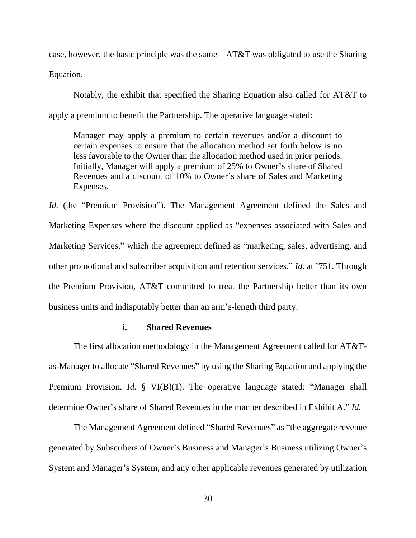case, however, the basic principle was the same—AT&T was obligated to use the Sharing Equation.

Notably, the exhibit that specified the Sharing Equation also called for AT&T to apply a premium to benefit the Partnership. The operative language stated:

Manager may apply a premium to certain revenues and/or a discount to certain expenses to ensure that the allocation method set forth below is no less favorable to the Owner than the allocation method used in prior periods. Initially, Manager will apply a premium of 25% to Owner's share of Shared Revenues and a discount of 10% to Owner's share of Sales and Marketing Expenses.

*Id.* (the "Premium Provision"). The Management Agreement defined the Sales and Marketing Expenses where the discount applied as "expenses associated with Sales and Marketing Services," which the agreement defined as "marketing, sales, advertising, and other promotional and subscriber acquisition and retention services." *Id.* at '751. Through the Premium Provision, AT&T committed to treat the Partnership better than its own business units and indisputably better than an arm's-length third party.

### **i. Shared Revenues**

The first allocation methodology in the Management Agreement called for AT&Tas-Manager to allocate "Shared Revenues" by using the Sharing Equation and applying the Premium Provision. *Id.* § VI(B)(1). The operative language stated: "Manager shall determine Owner's share of Shared Revenues in the manner described in Exhibit A." *Id.*

The Management Agreement defined "Shared Revenues" as "the aggregate revenue generated by Subscribers of Owner's Business and Manager's Business utilizing Owner's System and Manager's System, and any other applicable revenues generated by utilization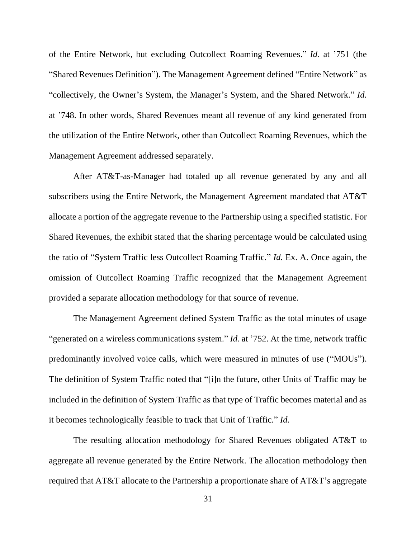of the Entire Network, but excluding Outcollect Roaming Revenues." *Id.* at '751 (the "Shared Revenues Definition"). The Management Agreement defined "Entire Network" as "collectively, the Owner's System, the Manager's System, and the Shared Network." *Id.* at '748. In other words, Shared Revenues meant all revenue of any kind generated from the utilization of the Entire Network, other than Outcollect Roaming Revenues, which the Management Agreement addressed separately.

After AT&T-as-Manager had totaled up all revenue generated by any and all subscribers using the Entire Network, the Management Agreement mandated that AT&T allocate a portion of the aggregate revenue to the Partnership using a specified statistic. For Shared Revenues, the exhibit stated that the sharing percentage would be calculated using the ratio of "System Traffic less Outcollect Roaming Traffic." *Id.* Ex. A. Once again, the omission of Outcollect Roaming Traffic recognized that the Management Agreement provided a separate allocation methodology for that source of revenue.

The Management Agreement defined System Traffic as the total minutes of usage "generated on a wireless communications system." *Id.* at '752. At the time, network traffic predominantly involved voice calls, which were measured in minutes of use ("MOUs"). The definition of System Traffic noted that "[i]n the future, other Units of Traffic may be included in the definition of System Traffic as that type of Traffic becomes material and as it becomes technologically feasible to track that Unit of Traffic." *Id.* 

The resulting allocation methodology for Shared Revenues obligated AT&T to aggregate all revenue generated by the Entire Network. The allocation methodology then required that AT&T allocate to the Partnership a proportionate share of AT&T's aggregate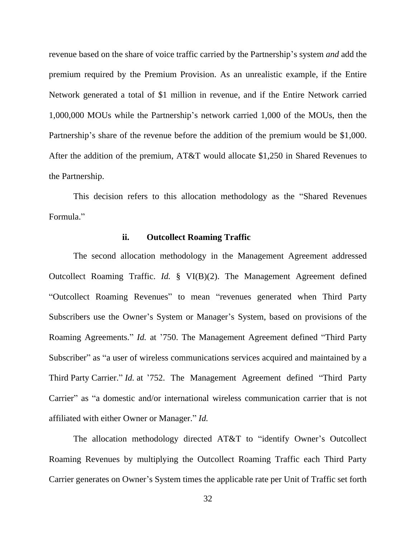revenue based on the share of voice traffic carried by the Partnership's system *and* add the premium required by the Premium Provision. As an unrealistic example, if the Entire Network generated a total of \$1 million in revenue, and if the Entire Network carried 1,000,000 MOUs while the Partnership's network carried 1,000 of the MOUs, then the Partnership's share of the revenue before the addition of the premium would be \$1,000. After the addition of the premium, AT&T would allocate \$1,250 in Shared Revenues to the Partnership.

This decision refers to this allocation methodology as the "Shared Revenues Formula."

## **ii. Outcollect Roaming Traffic**

The second allocation methodology in the Management Agreement addressed Outcollect Roaming Traffic. *Id.* § VI(B)(2). The Management Agreement defined "Outcollect Roaming Revenues" to mean "revenues generated when Third Party Subscribers use the Owner's System or Manager's System, based on provisions of the Roaming Agreements." *Id.* at '750. The Management Agreement defined "Third Party Subscriber" as "a user of wireless communications services acquired and maintained by a Third Party Carrier." *Id.* at '752. The Management Agreement defined "Third Party Carrier" as "a domestic and/or international wireless communication carrier that is not affiliated with either Owner or Manager." *Id.*

The allocation methodology directed AT&T to "identify Owner's Outcollect Roaming Revenues by multiplying the Outcollect Roaming Traffic each Third Party Carrier generates on Owner's System times the applicable rate per Unit of Traffic set forth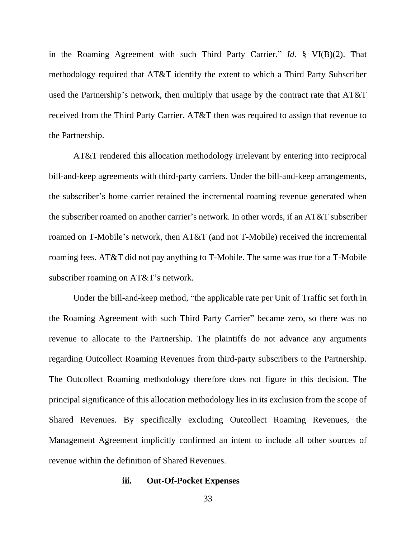in the Roaming Agreement with such Third Party Carrier." *Id.* § VI(B)(2). That methodology required that AT&T identify the extent to which a Third Party Subscriber used the Partnership's network, then multiply that usage by the contract rate that AT&T received from the Third Party Carrier. AT&T then was required to assign that revenue to the Partnership.

AT&T rendered this allocation methodology irrelevant by entering into reciprocal bill-and-keep agreements with third-party carriers. Under the bill-and-keep arrangements, the subscriber's home carrier retained the incremental roaming revenue generated when the subscriber roamed on another carrier's network. In other words, if an AT&T subscriber roamed on T-Mobile's network, then AT&T (and not T-Mobile) received the incremental roaming fees. AT&T did not pay anything to T-Mobile. The same was true for a T-Mobile subscriber roaming on AT&T's network.

Under the bill-and-keep method, "the applicable rate per Unit of Traffic set forth in the Roaming Agreement with such Third Party Carrier" became zero, so there was no revenue to allocate to the Partnership. The plaintiffs do not advance any arguments regarding Outcollect Roaming Revenues from third-party subscribers to the Partnership. The Outcollect Roaming methodology therefore does not figure in this decision. The principal significance of this allocation methodology lies in its exclusion from the scope of Shared Revenues. By specifically excluding Outcollect Roaming Revenues, the Management Agreement implicitly confirmed an intent to include all other sources of revenue within the definition of Shared Revenues.

#### **iii. Out-Of-Pocket Expenses**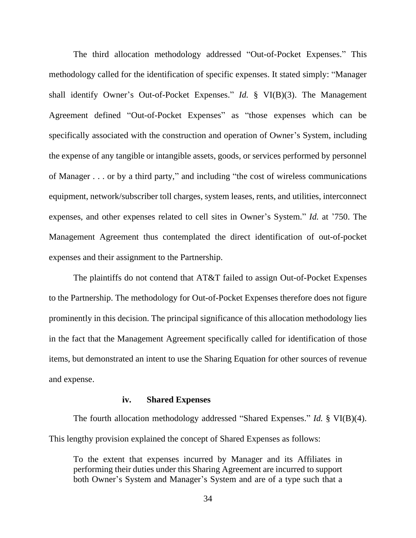The third allocation methodology addressed "Out-of-Pocket Expenses." This methodology called for the identification of specific expenses. It stated simply: "Manager shall identify Owner's Out-of-Pocket Expenses." *Id.* § VI(B)(3). The Management Agreement defined "Out-of-Pocket Expenses" as "those expenses which can be specifically associated with the construction and operation of Owner's System, including the expense of any tangible or intangible assets, goods, or services performed by personnel of Manager . . . or by a third party," and including "the cost of wireless communications equipment, network/subscriber toll charges, system leases, rents, and utilities, interconnect expenses, and other expenses related to cell sites in Owner's System." *Id.* at '750. The Management Agreement thus contemplated the direct identification of out-of-pocket expenses and their assignment to the Partnership.

The plaintiffs do not contend that AT&T failed to assign Out-of-Pocket Expenses to the Partnership. The methodology for Out-of-Pocket Expenses therefore does not figure prominently in this decision. The principal significance of this allocation methodology lies in the fact that the Management Agreement specifically called for identification of those items, but demonstrated an intent to use the Sharing Equation for other sources of revenue and expense.

## **iv. Shared Expenses**

The fourth allocation methodology addressed "Shared Expenses." *Id.* § VI(B)(4). This lengthy provision explained the concept of Shared Expenses as follows:

To the extent that expenses incurred by Manager and its Affiliates in performing their duties under this Sharing Agreement are incurred to support both Owner's System and Manager's System and are of a type such that a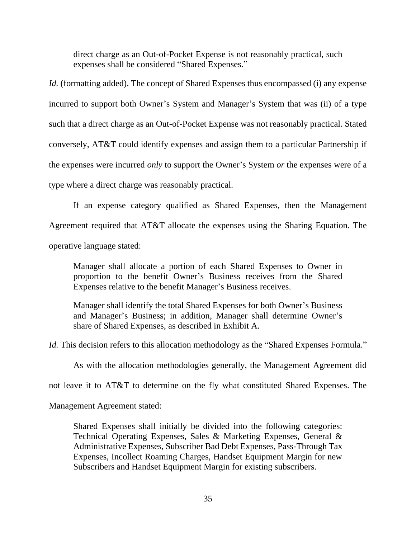direct charge as an Out-of-Pocket Expense is not reasonably practical, such expenses shall be considered "Shared Expenses."

*Id.* (formatting added). The concept of Shared Expenses thus encompassed (i) any expense incurred to support both Owner's System and Manager's System that was (ii) of a type such that a direct charge as an Out-of-Pocket Expense was not reasonably practical. Stated conversely, AT&T could identify expenses and assign them to a particular Partnership if the expenses were incurred *only* to support the Owner's System *or* the expenses were of a type where a direct charge was reasonably practical.

If an expense category qualified as Shared Expenses, then the Management Agreement required that AT&T allocate the expenses using the Sharing Equation. The operative language stated:

Manager shall allocate a portion of each Shared Expenses to Owner in proportion to the benefit Owner's Business receives from the Shared Expenses relative to the benefit Manager's Business receives.

Manager shall identify the total Shared Expenses for both Owner's Business and Manager's Business; in addition, Manager shall determine Owner's share of Shared Expenses, as described in Exhibit A.

*Id.* This decision refers to this allocation methodology as the "Shared Expenses Formula."

As with the allocation methodologies generally, the Management Agreement did

not leave it to AT&T to determine on the fly what constituted Shared Expenses. The

Management Agreement stated:

Shared Expenses shall initially be divided into the following categories: Technical Operating Expenses, Sales & Marketing Expenses, General & Administrative Expenses, Subscriber Bad Debt Expenses, Pass-Through Tax Expenses, Incollect Roaming Charges, Handset Equipment Margin for new Subscribers and Handset Equipment Margin for existing subscribers.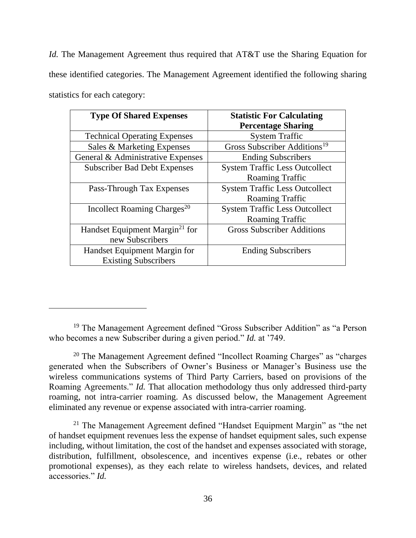*Id.* The Management Agreement thus required that AT&T use the Sharing Equation for these identified categories. The Management Agreement identified the following sharing statistics for each category:

| <b>Type Of Shared Expenses</b>             | <b>Statistic For Calculating</b><br><b>Percentage Sharing</b> |
|--------------------------------------------|---------------------------------------------------------------|
| <b>Technical Operating Expenses</b>        | <b>System Traffic</b>                                         |
| Sales & Marketing Expenses                 | Gross Subscriber Additions <sup>19</sup>                      |
| General & Administrative Expenses          | <b>Ending Subscribers</b>                                     |
| <b>Subscriber Bad Debt Expenses</b>        | <b>System Traffic Less Outcollect</b>                         |
|                                            | Roaming Traffic                                               |
| Pass-Through Tax Expenses                  | <b>System Traffic Less Outcollect</b>                         |
|                                            | Roaming Traffic                                               |
| Incollect Roaming Charges <sup>20</sup>    | <b>System Traffic Less Outcollect</b>                         |
|                                            | Roaming Traffic                                               |
| Handset Equipment Margin <sup>21</sup> for | <b>Gross Subscriber Additions</b>                             |
| new Subscribers                            |                                                               |
| Handset Equipment Margin for               | <b>Ending Subscribers</b>                                     |
| <b>Existing Subscribers</b>                |                                                               |

<sup>&</sup>lt;sup>19</sup> The Management Agreement defined "Gross Subscriber Addition" as "a Person who becomes a new Subscriber during a given period." *Id.* at '749.

 $20$  The Management Agreement defined "Incollect Roaming Charges" as "charges" generated when the Subscribers of Owner's Business or Manager's Business use the wireless communications systems of Third Party Carriers, based on provisions of the Roaming Agreements." *Id.* That allocation methodology thus only addressed third-party roaming, not intra-carrier roaming. As discussed below, the Management Agreement eliminated any revenue or expense associated with intra-carrier roaming.

<sup>&</sup>lt;sup>21</sup> The Management Agreement defined "Handset Equipment Margin" as "the net of handset equipment revenues less the expense of handset equipment sales, such expense including, without limitation, the cost of the handset and expenses associated with storage, distribution, fulfillment, obsolescence, and incentives expense (i.e., rebates or other promotional expenses), as they each relate to wireless handsets, devices, and related accessories." *Id.*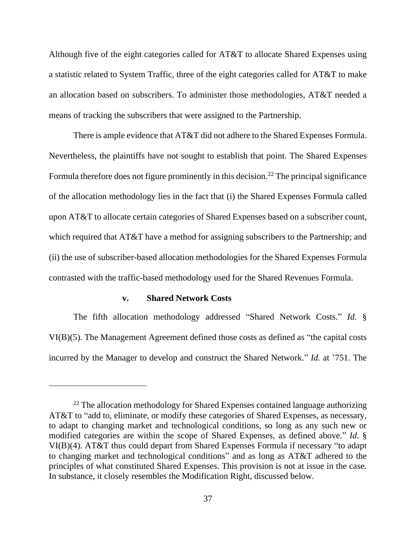Although five of the eight categories called for AT&T to allocate Shared Expenses using a statistic related to System Traffic, three of the eight categories called for AT&T to make an allocation based on subscribers. To administer those methodologies, AT&T needed a means of tracking the subscribers that were assigned to the Partnership.

There is ample evidence that AT&T did not adhere to the Shared Expenses Formula. Nevertheless, the plaintiffs have not sought to establish that point. The Shared Expenses Formula therefore does not figure prominently in this decision.<sup>22</sup> The principal significance of the allocation methodology lies in the fact that (i) the Shared Expenses Formula called upon AT&T to allocate certain categories of Shared Expenses based on a subscriber count, which required that AT&T have a method for assigning subscribers to the Partnership; and (ii) the use of subscriber-based allocation methodologies for the Shared Expenses Formula contrasted with the traffic-based methodology used for the Shared Revenues Formula.

#### **v. Shared Network Costs**

The fifth allocation methodology addressed "Shared Network Costs." *Id.* § VI(B)(5). The Management Agreement defined those costs as defined as "the capital costs incurred by the Manager to develop and construct the Shared Network." *Id.* at '751. The

 $22$  The allocation methodology for Shared Expenses contained language authorizing AT&T to "add to, eliminate, or modify these categories of Shared Expenses, as necessary, to adapt to changing market and technological conditions, so long as any such new or modified categories are within the scope of Shared Expenses, as defined above." *Id*. § VI(B)(4). AT&T thus could depart from Shared Expenses Formula if necessary "to adapt to changing market and technological conditions" and as long as AT&T adhered to the principles of what constituted Shared Expenses. This provision is not at issue in the case. In substance, it closely resembles the Modification Right, discussed below.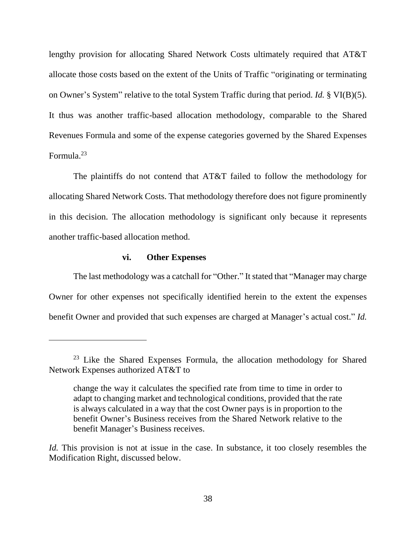lengthy provision for allocating Shared Network Costs ultimately required that AT&T allocate those costs based on the extent of the Units of Traffic "originating or terminating on Owner's System" relative to the total System Traffic during that period. *Id.* § VI(B)(5). It thus was another traffic-based allocation methodology, comparable to the Shared Revenues Formula and some of the expense categories governed by the Shared Expenses Formula.<sup>23</sup>

The plaintiffs do not contend that AT&T failed to follow the methodology for allocating Shared Network Costs. That methodology therefore does not figure prominently in this decision. The allocation methodology is significant only because it represents another traffic-based allocation method.

# **vi. Other Expenses**

The last methodology was a catchall for "Other." It stated that "Manager may charge Owner for other expenses not specifically identified herein to the extent the expenses benefit Owner and provided that such expenses are charged at Manager's actual cost." *Id.*

 $23$  Like the Shared Expenses Formula, the allocation methodology for Shared Network Expenses authorized AT&T to

change the way it calculates the specified rate from time to time in order to adapt to changing market and technological conditions, provided that the rate is always calculated in a way that the cost Owner pays is in proportion to the benefit Owner's Business receives from the Shared Network relative to the benefit Manager's Business receives.

*Id.* This provision is not at issue in the case. In substance, it too closely resembles the Modification Right, discussed below.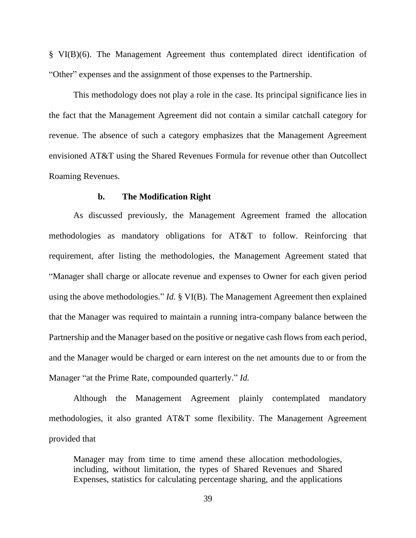§ VI(B)(6). The Management Agreement thus contemplated direct identification of "Other" expenses and the assignment of those expenses to the Partnership.

This methodology does not play a role in the case. Its principal significance lies in the fact that the Management Agreement did not contain a similar catchall category for revenue. The absence of such a category emphasizes that the Management Agreement envisioned AT&T using the Shared Revenues Formula for revenue other than Outcollect Roaming Revenues.

### **b. The Modification Right**

As discussed previously, the Management Agreement framed the allocation methodologies as mandatory obligations for AT&T to follow. Reinforcing that requirement, after listing the methodologies, the Management Agreement stated that "Manager shall charge or allocate revenue and expenses to Owner for each given period using the above methodologies." *Id.* § VI(B). The Management Agreement then explained that the Manager was required to maintain a running intra-company balance between the Partnership and the Manager based on the positive or negative cash flows from each period, and the Manager would be charged or earn interest on the net amounts due to or from the Manager "at the Prime Rate, compounded quarterly." *Id.*

Although the Management Agreement plainly contemplated mandatory methodologies, it also granted AT&T some flexibility. The Management Agreement provided that

Manager may from time to time amend these allocation methodologies, including, without limitation, the types of Shared Revenues and Shared Expenses, statistics for calculating percentage sharing, and the applications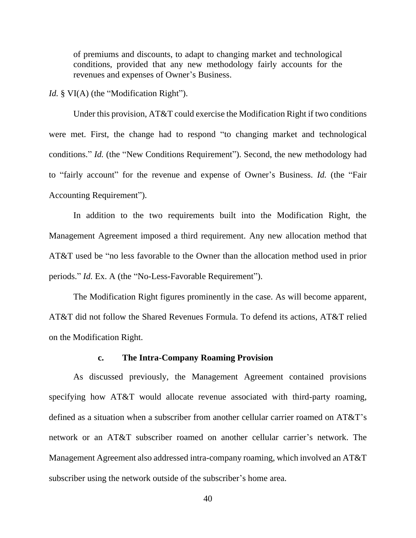of premiums and discounts, to adapt to changing market and technological conditions, provided that any new methodology fairly accounts for the revenues and expenses of Owner's Business.

*Id.* § VI(A) (the "Modification Right").

Under this provision, AT&T could exercise the Modification Right if two conditions were met. First, the change had to respond "to changing market and technological conditions." *Id.* (the "New Conditions Requirement"). Second, the new methodology had to "fairly account" for the revenue and expense of Owner's Business. *Id.* (the "Fair Accounting Requirement").

In addition to the two requirements built into the Modification Right, the Management Agreement imposed a third requirement. Any new allocation method that AT&T used be "no less favorable to the Owner than the allocation method used in prior periods." *Id.* Ex. A (the "No-Less-Favorable Requirement").

The Modification Right figures prominently in the case. As will become apparent, AT&T did not follow the Shared Revenues Formula. To defend its actions, AT&T relied on the Modification Right.

# **c. The Intra-Company Roaming Provision**

As discussed previously, the Management Agreement contained provisions specifying how AT&T would allocate revenue associated with third-party roaming, defined as a situation when a subscriber from another cellular carrier roamed on AT&T's network or an AT&T subscriber roamed on another cellular carrier's network. The Management Agreement also addressed intra-company roaming, which involved an AT&T subscriber using the network outside of the subscriber's home area.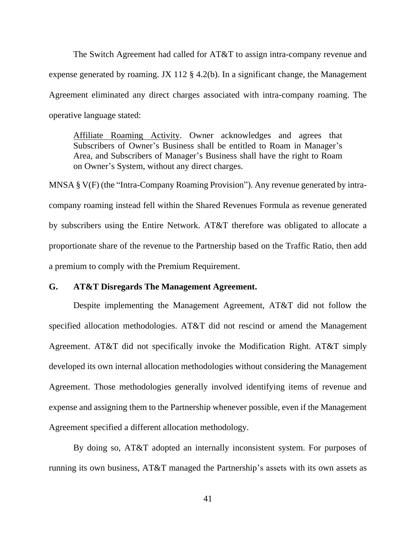The Switch Agreement had called for AT&T to assign intra-company revenue and expense generated by roaming. JX 112 § 4.2(b). In a significant change, the Management Agreement eliminated any direct charges associated with intra-company roaming. The operative language stated:

Affiliate Roaming Activity. Owner acknowledges and agrees that Subscribers of Owner's Business shall be entitled to Roam in Manager's Area, and Subscribers of Manager's Business shall have the right to Roam on Owner's System, without any direct charges.

MNSA § V(F) (the "Intra-Company Roaming Provision"). Any revenue generated by intracompany roaming instead fell within the Shared Revenues Formula as revenue generated by subscribers using the Entire Network. AT&T therefore was obligated to allocate a proportionate share of the revenue to the Partnership based on the Traffic Ratio, then add a premium to comply with the Premium Requirement.

# **G. AT&T Disregards The Management Agreement.**

Despite implementing the Management Agreement, AT&T did not follow the specified allocation methodologies. AT&T did not rescind or amend the Management Agreement. AT&T did not specifically invoke the Modification Right. AT&T simply developed its own internal allocation methodologies without considering the Management Agreement. Those methodologies generally involved identifying items of revenue and expense and assigning them to the Partnership whenever possible, even if the Management Agreement specified a different allocation methodology.

By doing so, AT&T adopted an internally inconsistent system. For purposes of running its own business, AT&T managed the Partnership's assets with its own assets as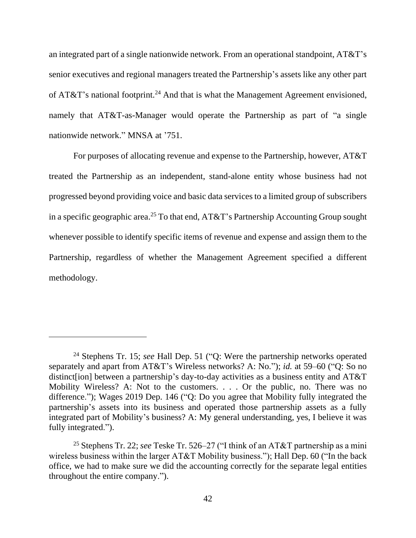an integrated part of a single nationwide network. From an operational standpoint, AT&T's senior executives and regional managers treated the Partnership's assets like any other part of  $AT&T$ 's national footprint.<sup>24</sup> And that is what the Management Agreement envisioned, namely that AT&T-as-Manager would operate the Partnership as part of "a single nationwide network." MNSA at '751.

For purposes of allocating revenue and expense to the Partnership, however, AT&T treated the Partnership as an independent, stand-alone entity whose business had not progressed beyond providing voice and basic data services to a limited group of subscribers in a specific geographic area.<sup>25</sup> To that end, AT&T's Partnership Accounting Group sought whenever possible to identify specific items of revenue and expense and assign them to the Partnership, regardless of whether the Management Agreement specified a different methodology.

<sup>24</sup> Stephens Tr. 15; *see* Hall Dep. 51 ("Q: Were the partnership networks operated separately and apart from AT&T's Wireless networks? A: No."); *id.* at 59–60 ("Q: So no distinct[ion] between a partnership's day-to-day activities as a business entity and AT&T Mobility Wireless? A: Not to the customers. . . . Or the public, no. There was no difference."); Wages 2019 Dep. 146 ("Q: Do you agree that Mobility fully integrated the partnership's assets into its business and operated those partnership assets as a fully integrated part of Mobility's business? A: My general understanding, yes, I believe it was fully integrated.").

<sup>25</sup> Stephens Tr. 22; *see* Teske Tr. 526–27 ("I think of an AT&T partnership as a mini wireless business within the larger AT&T Mobility business."); Hall Dep. 60 ("In the back office, we had to make sure we did the accounting correctly for the separate legal entities throughout the entire company.").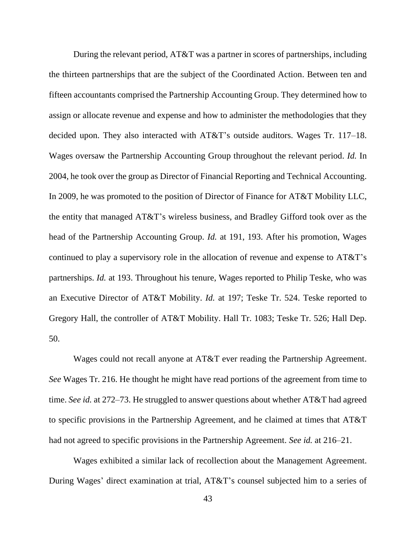During the relevant period, AT&T was a partner in scores of partnerships, including the thirteen partnerships that are the subject of the Coordinated Action. Between ten and fifteen accountants comprised the Partnership Accounting Group. They determined how to assign or allocate revenue and expense and how to administer the methodologies that they decided upon. They also interacted with AT&T's outside auditors. Wages Tr. 117–18. Wages oversaw the Partnership Accounting Group throughout the relevant period. *Id.* In 2004, he took over the group as Director of Financial Reporting and Technical Accounting. In 2009, he was promoted to the position of Director of Finance for AT&T Mobility LLC, the entity that managed AT&T's wireless business, and Bradley Gifford took over as the head of the Partnership Accounting Group. *Id.* at 191, 193. After his promotion, Wages continued to play a supervisory role in the allocation of revenue and expense to AT&T's partnerships. *Id.* at 193. Throughout his tenure, Wages reported to Philip Teske, who was an Executive Director of AT&T Mobility. *Id.* at 197; Teske Tr. 524. Teske reported to Gregory Hall, the controller of AT&T Mobility. Hall Tr. 1083; Teske Tr. 526; Hall Dep. 50.

Wages could not recall anyone at AT&T ever reading the Partnership Agreement. *See* Wages Tr. 216. He thought he might have read portions of the agreement from time to time. *See id.* at 272–73. He struggled to answer questions about whether AT&T had agreed to specific provisions in the Partnership Agreement, and he claimed at times that AT&T had not agreed to specific provisions in the Partnership Agreement. *See id.* at 216–21.

Wages exhibited a similar lack of recollection about the Management Agreement. During Wages' direct examination at trial, AT&T's counsel subjected him to a series of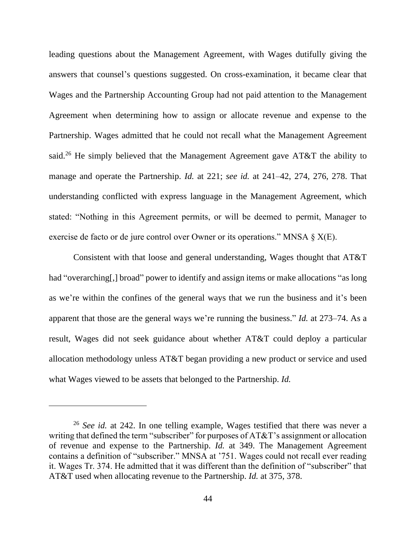leading questions about the Management Agreement, with Wages dutifully giving the answers that counsel's questions suggested. On cross-examination, it became clear that Wages and the Partnership Accounting Group had not paid attention to the Management Agreement when determining how to assign or allocate revenue and expense to the Partnership. Wages admitted that he could not recall what the Management Agreement said.<sup>26</sup> He simply believed that the Management Agreement gave AT&T the ability to manage and operate the Partnership. *Id.* at 221; *see id.* at 241–42, 274, 276, 278. That understanding conflicted with express language in the Management Agreement, which stated: "Nothing in this Agreement permits, or will be deemed to permit, Manager to exercise de facto or de jure control over Owner or its operations." MNSA § X(E).

Consistent with that loose and general understanding, Wages thought that AT&T had "overarching[,] broad" power to identify and assign items or make allocations "as long as we're within the confines of the general ways that we run the business and it's been apparent that those are the general ways we're running the business." *Id.* at 273–74. As a result, Wages did not seek guidance about whether AT&T could deploy a particular allocation methodology unless AT&T began providing a new product or service and used what Wages viewed to be assets that belonged to the Partnership. *Id.*

<sup>26</sup> *See id.* at 242. In one telling example, Wages testified that there was never a writing that defined the term "subscriber" for purposes of AT&T's assignment or allocation of revenue and expense to the Partnership. *Id.* at 349. The Management Agreement contains a definition of "subscriber." MNSA at '751. Wages could not recall ever reading it. Wages Tr. 374. He admitted that it was different than the definition of "subscriber" that AT&T used when allocating revenue to the Partnership. *Id.* at 375, 378.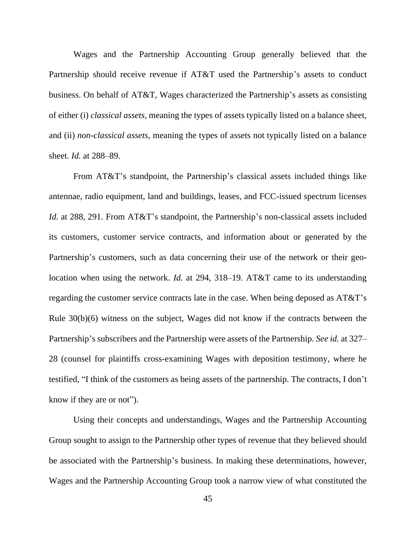Wages and the Partnership Accounting Group generally believed that the Partnership should receive revenue if AT&T used the Partnership's assets to conduct business. On behalf of AT&T, Wages characterized the Partnership's assets as consisting of either (i) *classical assets*, meaning the types of assets typically listed on a balance sheet, and (ii) *non-classical assets*, meaning the types of assets not typically listed on a balance sheet. *Id.* at 288–89.

From AT&T's standpoint, the Partnership's classical assets included things like antennae, radio equipment, land and buildings, leases, and FCC-issued spectrum licenses *Id.* at 288, 291. From AT&T's standpoint, the Partnership's non-classical assets included its customers, customer service contracts, and information about or generated by the Partnership's customers, such as data concerning their use of the network or their geolocation when using the network. *Id.* at 294, 318–19. AT&T came to its understanding regarding the customer service contracts late in the case. When being deposed as AT&T's Rule 30(b)(6) witness on the subject, Wages did not know if the contracts between the Partnership's subscribers and the Partnership were assets of the Partnership. *See id.* at 327– 28 (counsel for plaintiffs cross-examining Wages with deposition testimony, where he testified, "I think of the customers as being assets of the partnership. The contracts, I don't know if they are or not").

Using their concepts and understandings, Wages and the Partnership Accounting Group sought to assign to the Partnership other types of revenue that they believed should be associated with the Partnership's business. In making these determinations, however, Wages and the Partnership Accounting Group took a narrow view of what constituted the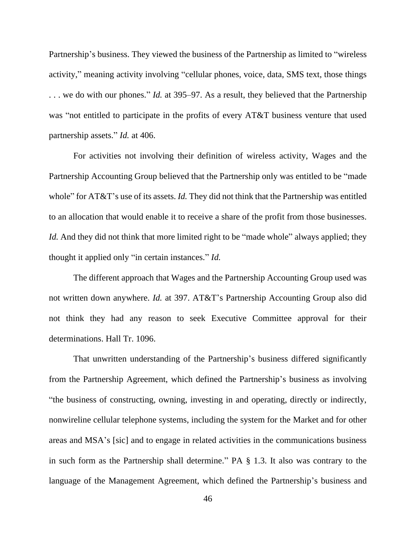Partnership's business. They viewed the business of the Partnership as limited to "wireless activity," meaning activity involving "cellular phones, voice, data, SMS text, those things . . . we do with our phones." *Id.* at 395–97. As a result, they believed that the Partnership was "not entitled to participate in the profits of every AT&T business venture that used partnership assets." *Id.* at 406.

For activities not involving their definition of wireless activity, Wages and the Partnership Accounting Group believed that the Partnership only was entitled to be "made whole" for AT&T's use of its assets. *Id.* They did not think that the Partnership was entitled to an allocation that would enable it to receive a share of the profit from those businesses. *Id.* And they did not think that more limited right to be "made whole" always applied; they thought it applied only "in certain instances." *Id.*

The different approach that Wages and the Partnership Accounting Group used was not written down anywhere. *Id.* at 397. AT&T's Partnership Accounting Group also did not think they had any reason to seek Executive Committee approval for their determinations. Hall Tr. 1096.

That unwritten understanding of the Partnership's business differed significantly from the Partnership Agreement, which defined the Partnership's business as involving "the business of constructing, owning, investing in and operating, directly or indirectly, nonwireline cellular telephone systems, including the system for the Market and for other areas and MSA's [sic] and to engage in related activities in the communications business in such form as the Partnership shall determine." PA § 1.3. It also was contrary to the language of the Management Agreement, which defined the Partnership's business and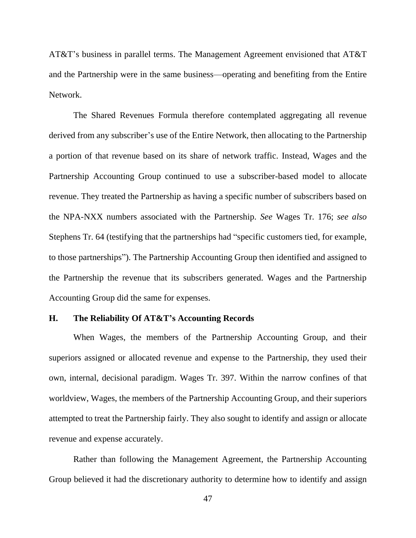AT&T's business in parallel terms. The Management Agreement envisioned that AT&T and the Partnership were in the same business—operating and benefiting from the Entire Network.

The Shared Revenues Formula therefore contemplated aggregating all revenue derived from any subscriber's use of the Entire Network, then allocating to the Partnership a portion of that revenue based on its share of network traffic. Instead, Wages and the Partnership Accounting Group continued to use a subscriber-based model to allocate revenue. They treated the Partnership as having a specific number of subscribers based on the NPA-NXX numbers associated with the Partnership. *See* Wages Tr. 176; *see also*  Stephens Tr. 64 (testifying that the partnerships had "specific customers tied, for example, to those partnerships"). The Partnership Accounting Group then identified and assigned to the Partnership the revenue that its subscribers generated. Wages and the Partnership Accounting Group did the same for expenses.

### **H. The Reliability Of AT&T's Accounting Records**

When Wages, the members of the Partnership Accounting Group, and their superiors assigned or allocated revenue and expense to the Partnership, they used their own, internal, decisional paradigm. Wages Tr. 397. Within the narrow confines of that worldview, Wages, the members of the Partnership Accounting Group, and their superiors attempted to treat the Partnership fairly. They also sought to identify and assign or allocate revenue and expense accurately.

Rather than following the Management Agreement, the Partnership Accounting Group believed it had the discretionary authority to determine how to identify and assign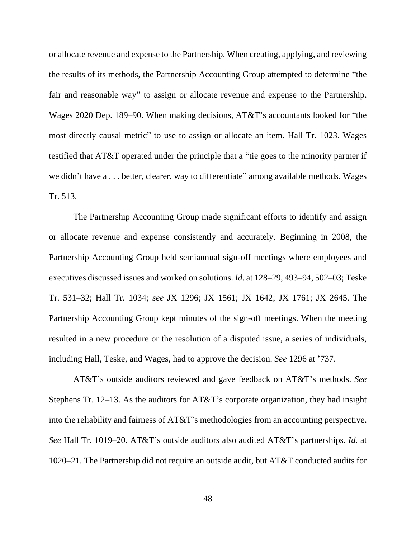or allocate revenue and expense to the Partnership. When creating, applying, and reviewing the results of its methods, the Partnership Accounting Group attempted to determine "the fair and reasonable way" to assign or allocate revenue and expense to the Partnership. Wages 2020 Dep. 189–90. When making decisions, AT&T's accountants looked for "the most directly causal metric" to use to assign or allocate an item. Hall Tr. 1023. Wages testified that AT&T operated under the principle that a "tie goes to the minority partner if we didn't have a . . . better, clearer, way to differentiate" among available methods. Wages Tr. 513.

The Partnership Accounting Group made significant efforts to identify and assign or allocate revenue and expense consistently and accurately. Beginning in 2008, the Partnership Accounting Group held semiannual sign-off meetings where employees and executives discussed issues and worked on solutions. *Id.* at 128–29, 493–94, 502–03; Teske Tr. 531–32; Hall Tr. 1034; *see* JX 1296; JX 1561; JX 1642; JX 1761; JX 2645. The Partnership Accounting Group kept minutes of the sign-off meetings. When the meeting resulted in a new procedure or the resolution of a disputed issue, a series of individuals, including Hall, Teske, and Wages, had to approve the decision. *See* 1296 at '737.

AT&T's outside auditors reviewed and gave feedback on AT&T's methods. *See* Stephens Tr. 12–13. As the auditors for AT&T's corporate organization, they had insight into the reliability and fairness of AT&T's methodologies from an accounting perspective. *See* Hall Tr. 1019–20. AT&T's outside auditors also audited AT&T's partnerships. *Id.* at 1020–21. The Partnership did not require an outside audit, but AT&T conducted audits for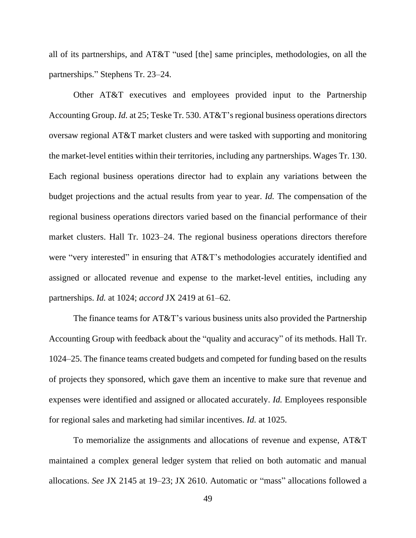all of its partnerships, and AT&T "used [the] same principles, methodologies, on all the partnerships." Stephens Tr. 23–24.

Other AT&T executives and employees provided input to the Partnership Accounting Group. *Id.* at 25; Teske Tr. 530. AT&T's regional business operations directors oversaw regional AT&T market clusters and were tasked with supporting and monitoring the market-level entities within their territories, including any partnerships. Wages Tr. 130. Each regional business operations director had to explain any variations between the budget projections and the actual results from year to year. *Id.* The compensation of the regional business operations directors varied based on the financial performance of their market clusters. Hall Tr. 1023–24. The regional business operations directors therefore were "very interested" in ensuring that AT&T's methodologies accurately identified and assigned or allocated revenue and expense to the market-level entities, including any partnerships. *Id.* at 1024; *accord* JX 2419 at 61–62.

The finance teams for AT&T's various business units also provided the Partnership Accounting Group with feedback about the "quality and accuracy" of its methods. Hall Tr. 1024–25. The finance teams created budgets and competed for funding based on the results of projects they sponsored, which gave them an incentive to make sure that revenue and expenses were identified and assigned or allocated accurately. *Id.* Employees responsible for regional sales and marketing had similar incentives. *Id.* at 1025.

To memorialize the assignments and allocations of revenue and expense, AT&T maintained a complex general ledger system that relied on both automatic and manual allocations. *See* JX 2145 at 19–23; JX 2610. Automatic or "mass" allocations followed a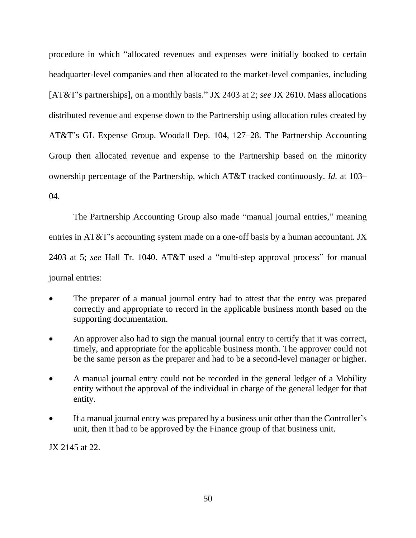procedure in which "allocated revenues and expenses were initially booked to certain headquarter-level companies and then allocated to the market-level companies, including [AT&T's partnerships], on a monthly basis." JX 2403 at 2; *see* JX 2610. Mass allocations distributed revenue and expense down to the Partnership using allocation rules created by AT&T's GL Expense Group. Woodall Dep. 104, 127–28. The Partnership Accounting Group then allocated revenue and expense to the Partnership based on the minority ownership percentage of the Partnership, which AT&T tracked continuously. *Id.* at 103–  $04$ .

The Partnership Accounting Group also made "manual journal entries," meaning entries in AT&T's accounting system made on a one-off basis by a human accountant. JX 2403 at 5; *see* Hall Tr. 1040. AT&T used a "multi-step approval process" for manual journal entries:

- The preparer of a manual journal entry had to attest that the entry was prepared correctly and appropriate to record in the applicable business month based on the supporting documentation.
- An approver also had to sign the manual journal entry to certify that it was correct, timely, and appropriate for the applicable business month. The approver could not be the same person as the preparer and had to be a second-level manager or higher.
- A manual journal entry could not be recorded in the general ledger of a Mobility entity without the approval of the individual in charge of the general ledger for that entity.
- If a manual journal entry was prepared by a business unit other than the Controller's unit, then it had to be approved by the Finance group of that business unit.

JX 2145 at 22.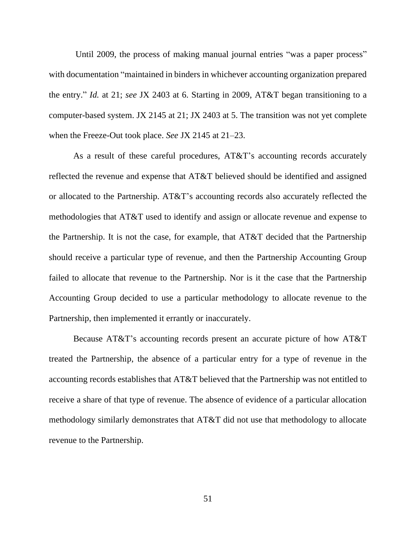Until 2009, the process of making manual journal entries "was a paper process" with documentation "maintained in binders in whichever accounting organization prepared the entry." *Id.* at 21; *see* JX 2403 at 6. Starting in 2009, AT&T began transitioning to a computer-based system. JX 2145 at 21; JX 2403 at 5. The transition was not yet complete when the Freeze-Out took place. *See* JX 2145 at 21–23.

As a result of these careful procedures, AT&T's accounting records accurately reflected the revenue and expense that AT&T believed should be identified and assigned or allocated to the Partnership. AT&T's accounting records also accurately reflected the methodologies that AT&T used to identify and assign or allocate revenue and expense to the Partnership. It is not the case, for example, that AT&T decided that the Partnership should receive a particular type of revenue, and then the Partnership Accounting Group failed to allocate that revenue to the Partnership. Nor is it the case that the Partnership Accounting Group decided to use a particular methodology to allocate revenue to the Partnership, then implemented it errantly or inaccurately.

Because AT&T's accounting records present an accurate picture of how AT&T treated the Partnership, the absence of a particular entry for a type of revenue in the accounting records establishes that AT&T believed that the Partnership was not entitled to receive a share of that type of revenue. The absence of evidence of a particular allocation methodology similarly demonstrates that AT&T did not use that methodology to allocate revenue to the Partnership.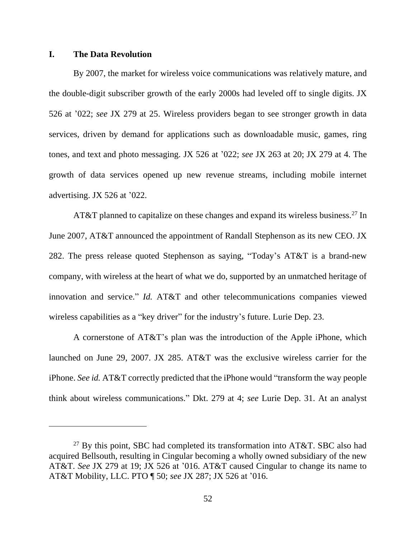# **I. The Data Revolution**

By 2007, the market for wireless voice communications was relatively mature, and the double-digit subscriber growth of the early 2000s had leveled off to single digits. JX 526 at '022; *see* JX 279 at 25. Wireless providers began to see stronger growth in data services, driven by demand for applications such as downloadable music, games, ring tones, and text and photo messaging. JX 526 at '022; *see* JX 263 at 20; JX 279 at 4. The growth of data services opened up new revenue streams, including mobile internet advertising. JX 526 at '022.

AT&T planned to capitalize on these changes and expand its wireless business.<sup>27</sup> In June 2007, AT&T announced the appointment of Randall Stephenson as its new CEO. JX 282. The press release quoted Stephenson as saying, "Today's AT&T is a brand-new company, with wireless at the heart of what we do, supported by an unmatched heritage of innovation and service." *Id.* AT&T and other telecommunications companies viewed wireless capabilities as a "key driver" for the industry's future. Lurie Dep. 23.

A cornerstone of AT&T's plan was the introduction of the Apple iPhone, which launched on June 29, 2007. JX 285. AT&T was the exclusive wireless carrier for the iPhone. *See id.* AT&T correctly predicted that the iPhone would "transform the way people think about wireless communications." Dkt. 279 at 4; *see* Lurie Dep. 31. At an analyst

 $27$  By this point, SBC had completed its transformation into AT&T. SBC also had acquired Bellsouth, resulting in Cingular becoming a wholly owned subsidiary of the new AT&T. *See* JX 279 at 19; JX 526 at '016. AT&T caused Cingular to change its name to AT&T Mobility, LLC. PTO ¶ 50; *see* JX 287; JX 526 at '016.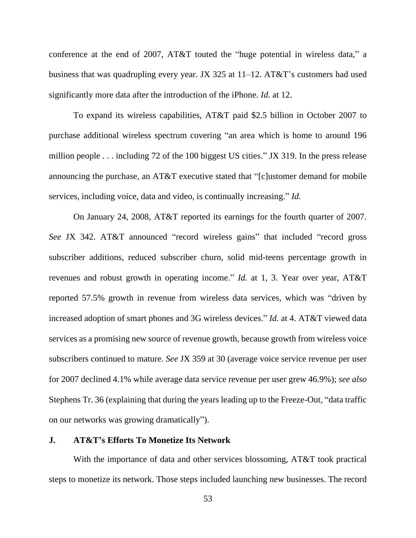conference at the end of 2007, AT&T touted the "huge potential in wireless data," a business that was quadrupling every year. JX 325 at 11–12. AT&T's customers had used significantly more data after the introduction of the iPhone. *Id.* at 12.

To expand its wireless capabilities, AT&T paid \$2.5 billion in October 2007 to purchase additional wireless spectrum covering "an area which is home to around 196 million people . . . including 72 of the 100 biggest US cities." JX 319. In the press release announcing the purchase, an AT&T executive stated that "[c]ustomer demand for mobile services, including voice, data and video, is continually increasing." *Id.*

On January 24, 2008, AT&T reported its earnings for the fourth quarter of 2007. *See* JX 342. AT&T announced "record wireless gains" that included "record gross subscriber additions, reduced subscriber churn, solid mid-teens percentage growth in revenues and robust growth in operating income." *Id.* at 1, 3. Year over year, AT&T reported 57.5% growth in revenue from wireless data services, which was "driven by increased adoption of smart phones and 3G wireless devices." *Id.* at 4. AT&T viewed data services as a promising new source of revenue growth, because growth from wireless voice subscribers continued to mature. *See* JX 359 at 30 (average voice service revenue per user for 2007 declined 4.1% while average data service revenue per user grew 46.9%); *see also*  Stephens Tr. 36 (explaining that during the years leading up to the Freeze-Out, "data traffic on our networks was growing dramatically").

# **J. AT&T's Efforts To Monetize Its Network**

With the importance of data and other services blossoming, AT&T took practical steps to monetize its network. Those steps included launching new businesses. The record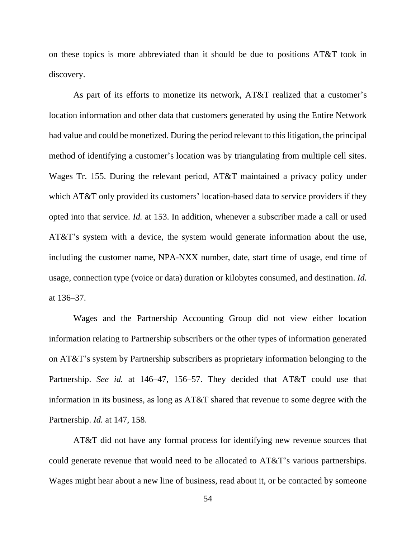on these topics is more abbreviated than it should be due to positions AT&T took in discovery.

As part of its efforts to monetize its network, AT&T realized that a customer's location information and other data that customers generated by using the Entire Network had value and could be monetized. During the period relevant to this litigation, the principal method of identifying a customer's location was by triangulating from multiple cell sites. Wages Tr. 155. During the relevant period, AT&T maintained a privacy policy under which AT&T only provided its customers' location-based data to service providers if they opted into that service. *Id.* at 153. In addition, whenever a subscriber made a call or used AT&T's system with a device, the system would generate information about the use, including the customer name, NPA-NXX number, date, start time of usage, end time of usage, connection type (voice or data) duration or kilobytes consumed, and destination. *Id.* at 136–37.

Wages and the Partnership Accounting Group did not view either location information relating to Partnership subscribers or the other types of information generated on AT&T's system by Partnership subscribers as proprietary information belonging to the Partnership. *See id.* at 146–47, 156–57. They decided that AT&T could use that information in its business, as long as AT&T shared that revenue to some degree with the Partnership. *Id.* at 147, 158.

AT&T did not have any formal process for identifying new revenue sources that could generate revenue that would need to be allocated to AT&T's various partnerships. Wages might hear about a new line of business, read about it, or be contacted by someone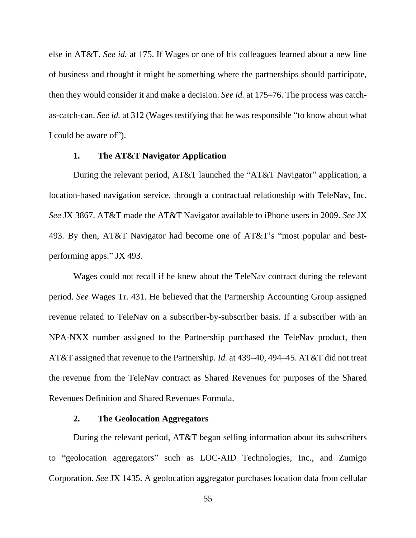else in AT&T. *See id.* at 175. If Wages or one of his colleagues learned about a new line of business and thought it might be something where the partnerships should participate, then they would consider it and make a decision. *See id.* at 175–76. The process was catchas-catch-can. *See id.* at 312 (Wages testifying that he was responsible "to know about what I could be aware of").

#### **1. The AT&T Navigator Application**

During the relevant period, AT&T launched the "AT&T Navigator" application, a location-based navigation service, through a contractual relationship with TeleNav, Inc. *See* JX 3867. AT&T made the AT&T Navigator available to iPhone users in 2009. *See* JX 493. By then, AT&T Navigator had become one of AT&T's "most popular and bestperforming apps." JX 493.

Wages could not recall if he knew about the TeleNav contract during the relevant period. *See* Wages Tr. 431. He believed that the Partnership Accounting Group assigned revenue related to TeleNav on a subscriber-by-subscriber basis. If a subscriber with an NPA-NXX number assigned to the Partnership purchased the TeleNav product, then AT&T assigned that revenue to the Partnership. *Id.* at 439–40, 494–45. AT&T did not treat the revenue from the TeleNav contract as Shared Revenues for purposes of the Shared Revenues Definition and Shared Revenues Formula.

# **2. The Geolocation Aggregators**

During the relevant period, AT&T began selling information about its subscribers to "geolocation aggregators" such as LOC-AID Technologies, Inc., and Zumigo Corporation. *See* JX 1435. A geolocation aggregator purchases location data from cellular

55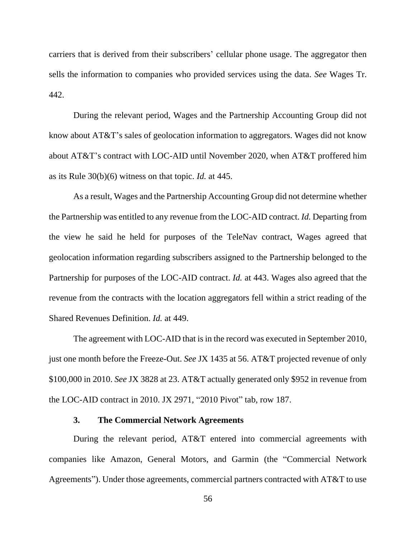carriers that is derived from their subscribers' cellular phone usage. The aggregator then sells the information to companies who provided services using the data. *See* Wages Tr. 442.

During the relevant period, Wages and the Partnership Accounting Group did not know about AT&T's sales of geolocation information to aggregators. Wages did not know about AT&T's contract with LOC-AID until November 2020, when AT&T proffered him as its Rule 30(b)(6) witness on that topic. *Id.* at 445.

As a result, Wages and the Partnership Accounting Group did not determine whether the Partnership was entitled to any revenue from the LOC-AID contract. *Id.* Departing from the view he said he held for purposes of the TeleNav contract, Wages agreed that geolocation information regarding subscribers assigned to the Partnership belonged to the Partnership for purposes of the LOC-AID contract. *Id.* at 443. Wages also agreed that the revenue from the contracts with the location aggregators fell within a strict reading of the Shared Revenues Definition. *Id.* at 449.

The agreement with LOC-AID that is in the record was executed in September 2010, just one month before the Freeze-Out. *See* JX 1435 at 56. AT&T projected revenue of only \$100,000 in 2010. *See* JX 3828 at 23. AT&T actually generated only \$952 in revenue from the LOC-AID contract in 2010. JX 2971, "2010 Pivot" tab, row 187.

# **3. The Commercial Network Agreements**

During the relevant period, AT&T entered into commercial agreements with companies like Amazon, General Motors, and Garmin (the "Commercial Network Agreements"). Under those agreements, commercial partners contracted with AT&T to use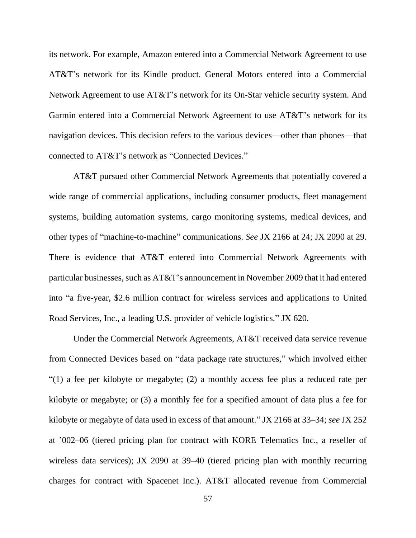its network. For example, Amazon entered into a Commercial Network Agreement to use AT&T's network for its Kindle product. General Motors entered into a Commercial Network Agreement to use AT&T's network for its On-Star vehicle security system. And Garmin entered into a Commercial Network Agreement to use AT&T's network for its navigation devices. This decision refers to the various devices—other than phones—that connected to AT&T's network as "Connected Devices."

AT&T pursued other Commercial Network Agreements that potentially covered a wide range of commercial applications, including consumer products, fleet management systems, building automation systems, cargo monitoring systems, medical devices, and other types of "machine-to-machine" communications. *See* JX 2166 at 24; JX 2090 at 29. There is evidence that AT&T entered into Commercial Network Agreements with particular businesses, such as AT&T's announcement in November 2009 that it had entered into "a five-year, \$2.6 million contract for wireless services and applications to United Road Services, Inc., a leading U.S. provider of vehicle logistics." JX 620.

Under the Commercial Network Agreements, AT&T received data service revenue from Connected Devices based on "data package rate structures," which involved either "(1) a fee per kilobyte or megabyte; (2) a monthly access fee plus a reduced rate per kilobyte or megabyte; or (3) a monthly fee for a specified amount of data plus a fee for kilobyte or megabyte of data used in excess of that amount." JX 2166 at 33–34; *see* JX 252 at '002–06 (tiered pricing plan for contract with KORE Telematics Inc., a reseller of wireless data services); JX 2090 at 39–40 (tiered pricing plan with monthly recurring charges for contract with Spacenet Inc.). AT&T allocated revenue from Commercial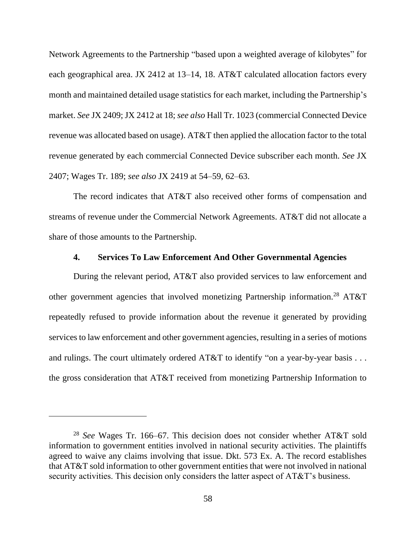Network Agreements to the Partnership "based upon a weighted average of kilobytes" for each geographical area. JX 2412 at 13–14, 18. AT&T calculated allocation factors every month and maintained detailed usage statistics for each market, including the Partnership's market. *See* JX 2409; JX 2412 at 18; *see also* Hall Tr. 1023 (commercial Connected Device revenue was allocated based on usage). AT&T then applied the allocation factor to the total revenue generated by each commercial Connected Device subscriber each month. *See* JX 2407; Wages Tr. 189; *see also* JX 2419 at 54–59, 62–63.

The record indicates that AT&T also received other forms of compensation and streams of revenue under the Commercial Network Agreements. AT&T did not allocate a share of those amounts to the Partnership.

# **4. Services To Law Enforcement And Other Governmental Agencies**

During the relevant period, AT&T also provided services to law enforcement and other government agencies that involved monetizing Partnership information.<sup>28</sup> AT&T repeatedly refused to provide information about the revenue it generated by providing services to law enforcement and other government agencies, resulting in a series of motions and rulings. The court ultimately ordered AT&T to identify "on a year-by-year basis . . . the gross consideration that AT&T received from monetizing Partnership Information to

<sup>28</sup> *See* Wages Tr. 166–67. This decision does not consider whether AT&T sold information to government entities involved in national security activities. The plaintiffs agreed to waive any claims involving that issue. Dkt. 573 Ex. A. The record establishes that AT&T sold information to other government entities that were not involved in national security activities. This decision only considers the latter aspect of AT&T's business.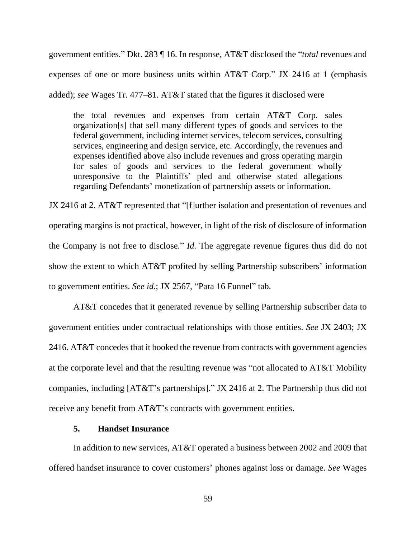government entities." Dkt. 283 ¶ 16. In response, AT&T disclosed the "*total* revenues and expenses of one or more business units within AT&T Corp." JX 2416 at 1 (emphasis added); *see* Wages Tr. 477–81. AT&T stated that the figures it disclosed were

the total revenues and expenses from certain AT&T Corp. sales organization[s] that sell many different types of goods and services to the federal government, including internet services, telecom services, consulting services, engineering and design service, etc. Accordingly, the revenues and expenses identified above also include revenues and gross operating margin for sales of goods and services to the federal government wholly unresponsive to the Plaintiffs' pled and otherwise stated allegations regarding Defendants' monetization of partnership assets or information.

JX 2416 at 2. AT&T represented that "[f]urther isolation and presentation of revenues and operating margins is not practical, however, in light of the risk of disclosure of information the Company is not free to disclose." *Id.* The aggregate revenue figures thus did do not show the extent to which AT&T profited by selling Partnership subscribers' information to government entities. *See id.*; JX 2567, "Para 16 Funnel" tab.

AT&T concedes that it generated revenue by selling Partnership subscriber data to government entities under contractual relationships with those entities. *See* JX 2403; JX 2416. AT&T concedes that it booked the revenue from contracts with government agencies at the corporate level and that the resulting revenue was "not allocated to AT&T Mobility companies, including [AT&T's partnerships]." JX 2416 at 2. The Partnership thus did not receive any benefit from AT&T's contracts with government entities.

### **5. Handset Insurance**

In addition to new services, AT&T operated a business between 2002 and 2009 that offered handset insurance to cover customers' phones against loss or damage. *See* Wages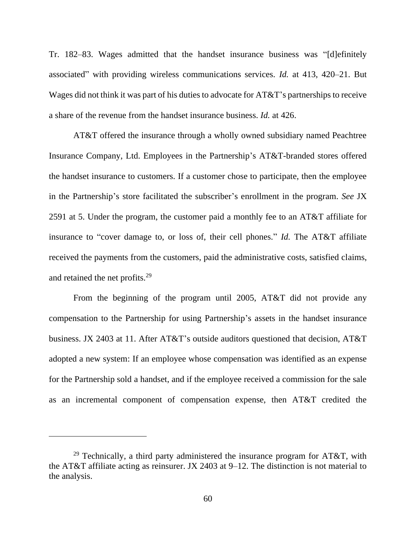Tr. 182–83. Wages admitted that the handset insurance business was "[d]efinitely associated" with providing wireless communications services. *Id.* at 413, 420–21. But Wages did not think it was part of his duties to advocate for AT&T's partnerships to receive a share of the revenue from the handset insurance business. *Id.* at 426.

AT&T offered the insurance through a wholly owned subsidiary named Peachtree Insurance Company, Ltd. Employees in the Partnership's AT&T-branded stores offered the handset insurance to customers. If a customer chose to participate, then the employee in the Partnership's store facilitated the subscriber's enrollment in the program. *See* JX 2591 at 5. Under the program, the customer paid a monthly fee to an AT&T affiliate for insurance to "cover damage to, or loss of, their cell phones." *Id.* The AT&T affiliate received the payments from the customers, paid the administrative costs, satisfied claims, and retained the net profits.<sup>29</sup>

From the beginning of the program until 2005, AT&T did not provide any compensation to the Partnership for using Partnership's assets in the handset insurance business. JX 2403 at 11. After AT&T's outside auditors questioned that decision, AT&T adopted a new system: If an employee whose compensation was identified as an expense for the Partnership sold a handset, and if the employee received a commission for the sale as an incremental component of compensation expense, then AT&T credited the

<sup>&</sup>lt;sup>29</sup> Technically, a third party administered the insurance program for AT&T, with the AT&T affiliate acting as reinsurer. JX 2403 at 9–12. The distinction is not material to the analysis.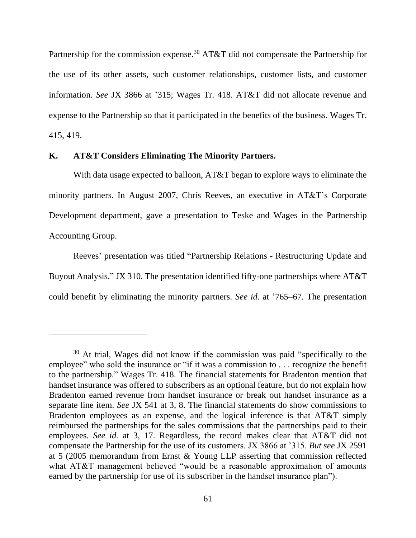Partnership for the commission expense.<sup>30</sup> AT&T did not compensate the Partnership for the use of its other assets, such customer relationships, customer lists, and customer information. *See* JX 3866 at '315; Wages Tr. 418. AT&T did not allocate revenue and expense to the Partnership so that it participated in the benefits of the business. Wages Tr. 415, 419.

# **K. AT&T Considers Eliminating The Minority Partners.**

With data usage expected to balloon, AT&T began to explore ways to eliminate the minority partners. In August 2007, Chris Reeves, an executive in AT&T's Corporate Development department, gave a presentation to Teske and Wages in the Partnership Accounting Group.

Reeves' presentation was titled "Partnership Relations - Restructuring Update and Buyout Analysis." JX 310. The presentation identified fifty-one partnerships where AT&T could benefit by eliminating the minority partners. *See id.* at '765–67. The presentation

<sup>30</sup> At trial, Wages did not know if the commission was paid "specifically to the employee" who sold the insurance or "if it was a commission to . . . recognize the benefit to the partnership." Wages Tr. 418. The financial statements for Bradenton mention that handset insurance was offered to subscribers as an optional feature, but do not explain how Bradenton earned revenue from handset insurance or break out handset insurance as a separate line item. *See* JX 541 at 3, 8. The financial statements do show commissions to Bradenton employees as an expense, and the logical inference is that AT&T simply reimbursed the partnerships for the sales commissions that the partnerships paid to their employees. *See id.* at 3, 17. Regardless, the record makes clear that AT&T did not compensate the Partnership for the use of its customers. JX 3866 at '315. *But see* JX 2591 at 5 (2005 memorandum from Ernst & Young LLP asserting that commission reflected what AT&T management believed "would be a reasonable approximation of amounts earned by the partnership for use of its subscriber in the handset insurance plan").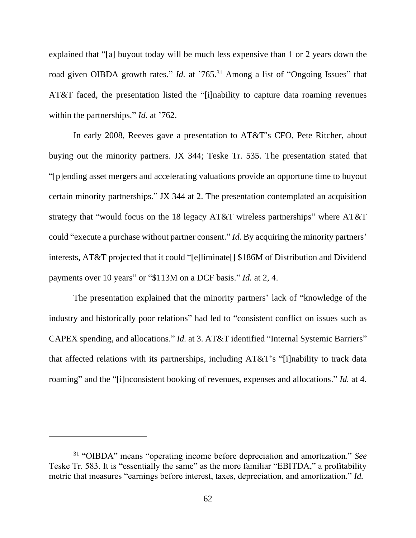explained that "[a] buyout today will be much less expensive than 1 or 2 years down the road given OIBDA growth rates." *Id.* at '765.<sup>31</sup> Among a list of "Ongoing Issues" that AT&T faced, the presentation listed the "[i]nability to capture data roaming revenues within the partnerships." *Id.* at '762.

In early 2008, Reeves gave a presentation to AT&T's CFO, Pete Ritcher, about buying out the minority partners. JX 344; Teske Tr. 535. The presentation stated that "[p]ending asset mergers and accelerating valuations provide an opportune time to buyout certain minority partnerships." JX 344 at 2. The presentation contemplated an acquisition strategy that "would focus on the 18 legacy AT&T wireless partnerships" where AT&T could "execute a purchase without partner consent." *Id.* By acquiring the minority partners' interests, AT&T projected that it could "[e]liminate[] \$186M of Distribution and Dividend payments over 10 years" or "\$113M on a DCF basis." *Id.* at 2, 4.

The presentation explained that the minority partners' lack of "knowledge of the industry and historically poor relations" had led to "consistent conflict on issues such as CAPEX spending, and allocations." *Id.* at 3. AT&T identified "Internal Systemic Barriers" that affected relations with its partnerships, including AT&T's "[i]nability to track data roaming" and the "[i]nconsistent booking of revenues, expenses and allocations." *Id.* at 4.

<sup>31</sup> "OIBDA" means "operating income before depreciation and amortization." *See* Teske Tr. 583. It is "essentially the same" as the more familiar "EBITDA," a profitability metric that measures "earnings before interest, taxes, depreciation, and amortization." *Id.*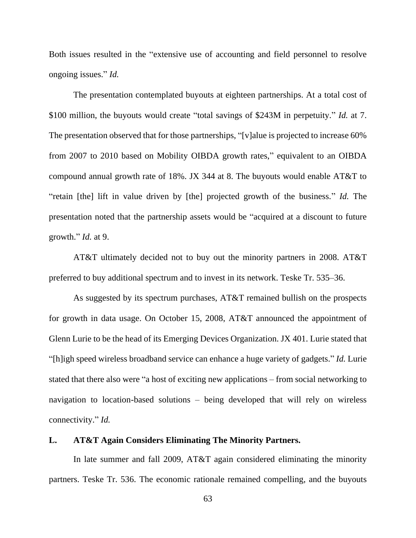Both issues resulted in the "extensive use of accounting and field personnel to resolve ongoing issues." *Id.* 

The presentation contemplated buyouts at eighteen partnerships. At a total cost of \$100 million, the buyouts would create "total savings of \$243M in perpetuity." *Id.* at 7. The presentation observed that for those partnerships, "[v]alue is projected to increase 60% from 2007 to 2010 based on Mobility OIBDA growth rates," equivalent to an OIBDA compound annual growth rate of 18%. JX 344 at 8. The buyouts would enable AT&T to "retain [the] lift in value driven by [the] projected growth of the business." *Id.* The presentation noted that the partnership assets would be "acquired at a discount to future growth." *Id.* at 9.

AT&T ultimately decided not to buy out the minority partners in 2008. AT&T preferred to buy additional spectrum and to invest in its network. Teske Tr. 535–36.

As suggested by its spectrum purchases, AT&T remained bullish on the prospects for growth in data usage. On October 15, 2008, AT&T announced the appointment of Glenn Lurie to be the head of its Emerging Devices Organization. JX 401. Lurie stated that "[h]igh speed wireless broadband service can enhance a huge variety of gadgets." *Id.* Lurie stated that there also were "a host of exciting new applications – from social networking to navigation to location-based solutions – being developed that will rely on wireless connectivity." *Id.*

# **L. AT&T Again Considers Eliminating The Minority Partners.**

In late summer and fall 2009, AT&T again considered eliminating the minority partners. Teske Tr. 536. The economic rationale remained compelling, and the buyouts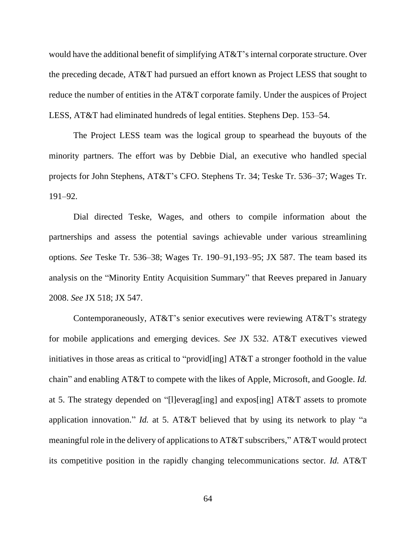would have the additional benefit of simplifying AT&T's internal corporate structure. Over the preceding decade, AT&T had pursued an effort known as Project LESS that sought to reduce the number of entities in the AT&T corporate family. Under the auspices of Project LESS, AT&T had eliminated hundreds of legal entities. Stephens Dep. 153–54.

The Project LESS team was the logical group to spearhead the buyouts of the minority partners. The effort was by Debbie Dial, an executive who handled special projects for John Stephens, AT&T's CFO. Stephens Tr. 34; Teske Tr. 536–37; Wages Tr. 191–92.

Dial directed Teske, Wages, and others to compile information about the partnerships and assess the potential savings achievable under various streamlining options. *See* Teske Tr. 536–38; Wages Tr. 190–91,193–95; JX 587. The team based its analysis on the "Minority Entity Acquisition Summary" that Reeves prepared in January 2008. *See* JX 518; JX 547.

Contemporaneously, AT&T's senior executives were reviewing AT&T's strategy for mobile applications and emerging devices. *See* JX 532. AT&T executives viewed initiatives in those areas as critical to "provid[ing] AT&T a stronger foothold in the value chain" and enabling AT&T to compete with the likes of Apple, Microsoft, and Google. *Id.* at 5. The strategy depended on "[l]everag[ing] and expos[ing] AT&T assets to promote application innovation." *Id.* at 5. AT&T believed that by using its network to play "a meaningful role in the delivery of applications to AT&T subscribers," AT&T would protect its competitive position in the rapidly changing telecommunications sector. *Id.* AT&T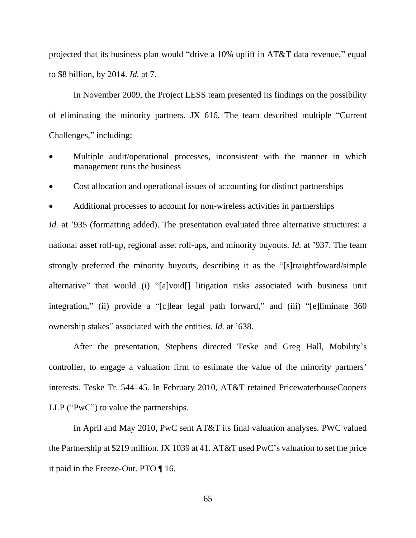projected that its business plan would "drive a 10% uplift in AT&T data revenue," equal to \$8 billion, by 2014. *Id.* at 7.

In November 2009, the Project LESS team presented its findings on the possibility of eliminating the minority partners. JX 616. The team described multiple "Current Challenges," including:

- Multiple audit/operational processes, inconsistent with the manner in which management runs the business
- Cost allocation and operational issues of accounting for distinct partnerships
- Additional processes to account for non-wireless activities in partnerships

*Id.* at '935 (formatting added). The presentation evaluated three alternative structures: a national asset roll-up, regional asset roll-ups, and minority buyouts. *Id.* at '937. The team strongly preferred the minority buyouts, describing it as the "[s]traightfoward/simple alternative" that would (i) "[a]void[] litigation risks associated with business unit integration," (ii) provide a "[c]lear legal path forward," and (iii) "[e]liminate 360 ownership stakes" associated with the entities. *Id.* at '638.

After the presentation, Stephens directed Teske and Greg Hall, Mobility's controller, to engage a valuation firm to estimate the value of the minority partners' interests. Teske Tr. 544–45. In February 2010, AT&T retained PricewaterhouseCoopers LLP ("PwC") to value the partnerships.

In April and May 2010, PwC sent AT&T its final valuation analyses. PWC valued the Partnership at \$219 million. JX 1039 at 41. AT&T used PwC's valuation to set the price it paid in the Freeze-Out. PTO ¶ 16.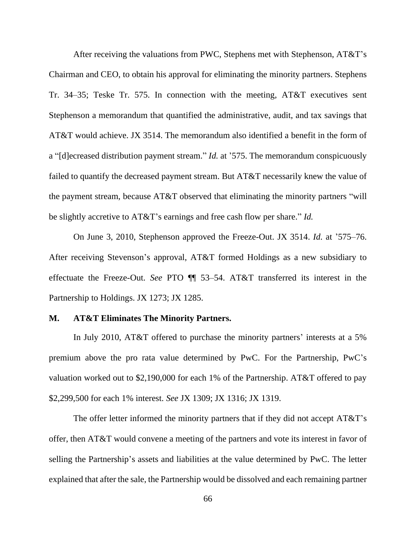After receiving the valuations from PWC, Stephens met with Stephenson, AT&T's Chairman and CEO, to obtain his approval for eliminating the minority partners. Stephens Tr. 34–35; Teske Tr. 575. In connection with the meeting, AT&T executives sent Stephenson a memorandum that quantified the administrative, audit, and tax savings that AT&T would achieve. JX 3514. The memorandum also identified a benefit in the form of a "[d]ecreased distribution payment stream." *Id.* at '575. The memorandum conspicuously failed to quantify the decreased payment stream. But AT&T necessarily knew the value of the payment stream, because AT&T observed that eliminating the minority partners "will be slightly accretive to AT&T's earnings and free cash flow per share." *Id.*

On June 3, 2010, Stephenson approved the Freeze-Out. JX 3514. *Id.* at '575–76. After receiving Stevenson's approval, AT&T formed Holdings as a new subsidiary to effectuate the Freeze-Out. *See* PTO ¶¶ 53–54. AT&T transferred its interest in the Partnership to Holdings. JX 1273; JX 1285.

### **M. AT&T Eliminates The Minority Partners.**

In July 2010, AT&T offered to purchase the minority partners' interests at a 5% premium above the pro rata value determined by PwC. For the Partnership, PwC's valuation worked out to \$2,190,000 for each 1% of the Partnership. AT&T offered to pay \$2,299,500 for each 1% interest. *See* JX 1309; JX 1316; JX 1319.

The offer letter informed the minority partners that if they did not accept AT&T's offer, then AT&T would convene a meeting of the partners and vote its interest in favor of selling the Partnership's assets and liabilities at the value determined by PwC. The letter explained that after the sale, the Partnership would be dissolved and each remaining partner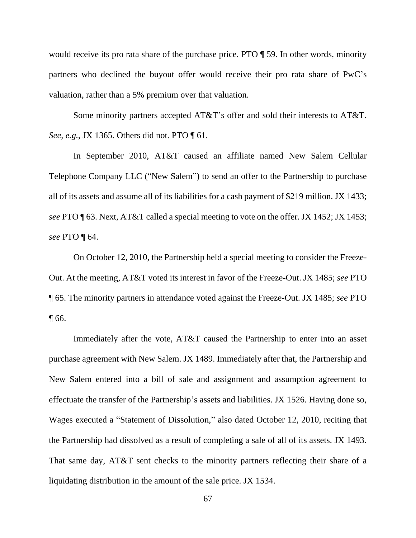would receive its pro rata share of the purchase price. PTO ¶ 59. In other words, minority partners who declined the buyout offer would receive their pro rata share of PwC's valuation, rather than a 5% premium over that valuation.

Some minority partners accepted AT&T's offer and sold their interests to AT&T. *See, e.g.*, JX 1365. Others did not. PTO ¶ 61.

In September 2010, AT&T caused an affiliate named New Salem Cellular Telephone Company LLC ("New Salem") to send an offer to the Partnership to purchase all of its assets and assume all of its liabilities for a cash payment of \$219 million. JX 1433; *see* PTO ¶ 63. Next, AT&T called a special meeting to vote on the offer. JX 1452; JX 1453; *see* PTO ¶ 64.

On October 12, 2010, the Partnership held a special meeting to consider the Freeze-Out. At the meeting, AT&T voted its interest in favor of the Freeze-Out. JX 1485; *see* PTO ¶ 65. The minority partners in attendance voted against the Freeze-Out. JX 1485; *see* PTO ¶ 66.

Immediately after the vote, AT&T caused the Partnership to enter into an asset purchase agreement with New Salem. JX 1489. Immediately after that, the Partnership and New Salem entered into a bill of sale and assignment and assumption agreement to effectuate the transfer of the Partnership's assets and liabilities. JX 1526. Having done so, Wages executed a "Statement of Dissolution," also dated October 12, 2010, reciting that the Partnership had dissolved as a result of completing a sale of all of its assets. JX 1493. That same day, AT&T sent checks to the minority partners reflecting their share of a liquidating distribution in the amount of the sale price. JX 1534.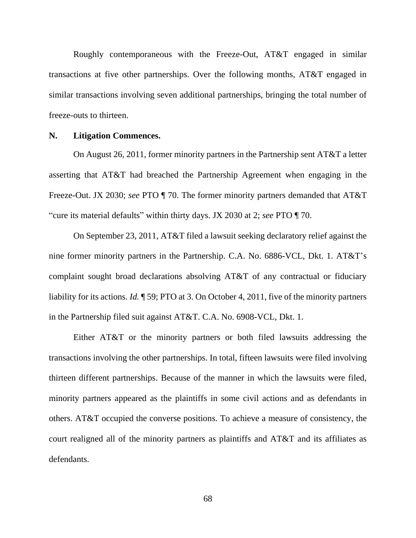Roughly contemporaneous with the Freeze-Out, AT&T engaged in similar transactions at five other partnerships. Over the following months, AT&T engaged in similar transactions involving seven additional partnerships, bringing the total number of freeze-outs to thirteen.

#### **N. Litigation Commences.**

On August 26, 2011, former minority partners in the Partnership sent AT&T a letter asserting that AT&T had breached the Partnership Agreement when engaging in the Freeze-Out. JX 2030; *see* PTO ¶ 70. The former minority partners demanded that AT&T "cure its material defaults" within thirty days. JX 2030 at 2; *see* PTO ¶ 70.

On September 23, 2011, AT&T filed a lawsuit seeking declaratory relief against the nine former minority partners in the Partnership. C.A. No. 6886-VCL, Dkt. 1. AT&T's complaint sought broad declarations absolving AT&T of any contractual or fiduciary liability for its actions. *Id.* ¶ 59; PTO at 3. On October 4, 2011, five of the minority partners in the Partnership filed suit against AT&T. C.A. No. 6908-VCL, Dkt. 1.

Either AT&T or the minority partners or both filed lawsuits addressing the transactions involving the other partnerships. In total, fifteen lawsuits were filed involving thirteen different partnerships. Because of the manner in which the lawsuits were filed, minority partners appeared as the plaintiffs in some civil actions and as defendants in others. AT&T occupied the converse positions. To achieve a measure of consistency, the court realigned all of the minority partners as plaintiffs and AT&T and its affiliates as defendants.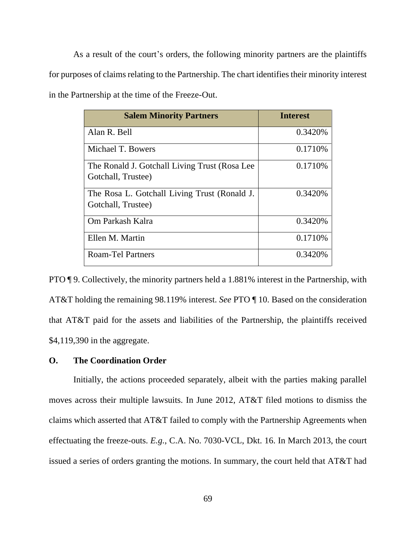As a result of the court's orders, the following minority partners are the plaintiffs for purposes of claims relating to the Partnership. The chart identifies their minority interest in the Partnership at the time of the Freeze-Out.

| <b>Salem Minority Partners</b>                                       | <b>Interest</b> |
|----------------------------------------------------------------------|-----------------|
| Alan R. Bell                                                         | 0.3420\%        |
| Michael T. Bowers                                                    | 0.1710\%        |
| The Ronald J. Gotchall Living Trust (Rosa Lee)<br>Gotchall, Trustee) | 0.1710\%        |
| The Rosa L. Gotchall Living Trust (Ronald J.<br>Gotchall, Trustee)   | 0.3420%         |
| Om Parkash Kalra                                                     | 0.3420\%        |
| Ellen M. Martin                                                      | 0.1710\%        |
| Roam-Tel Partners                                                    | 0.3420\%        |

PTO ¶ 9. Collectively, the minority partners held a 1.881% interest in the Partnership, with AT&T holding the remaining 98.119% interest. *See* PTO ¶ 10. Based on the consideration that AT&T paid for the assets and liabilities of the Partnership, the plaintiffs received \$4,119,390 in the aggregate.

# **O. The Coordination Order**

Initially, the actions proceeded separately, albeit with the parties making parallel moves across their multiple lawsuits. In June 2012, AT&T filed motions to dismiss the claims which asserted that AT&T failed to comply with the Partnership Agreements when effectuating the freeze-outs. *E.g.*, C.A. No. 7030-VCL, Dkt. 16. In March 2013, the court issued a series of orders granting the motions. In summary, the court held that AT&T had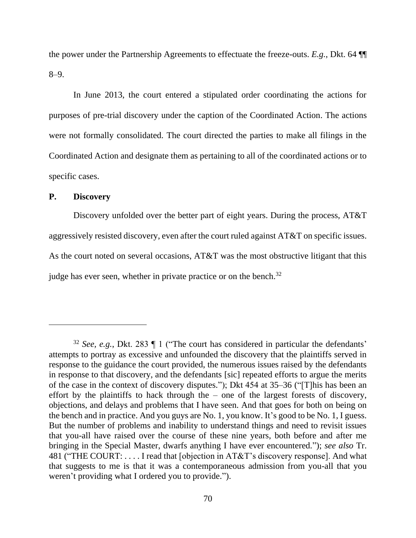the power under the Partnership Agreements to effectuate the freeze-outs. *E.g.*, Dkt. 64 ¶¶ 8–9.

In June 2013, the court entered a stipulated order coordinating the actions for purposes of pre-trial discovery under the caption of the Coordinated Action. The actions were not formally consolidated. The court directed the parties to make all filings in the Coordinated Action and designate them as pertaining to all of the coordinated actions or to specific cases.

# **P. Discovery**

Discovery unfolded over the better part of eight years. During the process, AT&T aggressively resisted discovery, even after the court ruled against AT&T on specific issues. As the court noted on several occasions, AT&T was the most obstructive litigant that this judge has ever seen, whether in private practice or on the bench.<sup>32</sup>

<sup>32</sup> *See, e.g.*, Dkt. 283 ¶ 1 ("The court has considered in particular the defendants' attempts to portray as excessive and unfounded the discovery that the plaintiffs served in response to the guidance the court provided, the numerous issues raised by the defendants in response to that discovery, and the defendants [sic] repeated efforts to argue the merits of the case in the context of discovery disputes."); Dkt 454 at 35–36 ("[T]his has been an effort by the plaintiffs to hack through the – one of the largest forests of discovery, objections, and delays and problems that I have seen. And that goes for both on being on the bench and in practice. And you guys are No. 1, you know. It's good to be No. 1, I guess. But the number of problems and inability to understand things and need to revisit issues that you-all have raised over the course of these nine years, both before and after me bringing in the Special Master, dwarfs anything I have ever encountered."); *see also* Tr. 481 ("THE COURT: . . . . I read that [objection in AT&T's discovery response]. And what that suggests to me is that it was a contemporaneous admission from you-all that you weren't providing what I ordered you to provide.").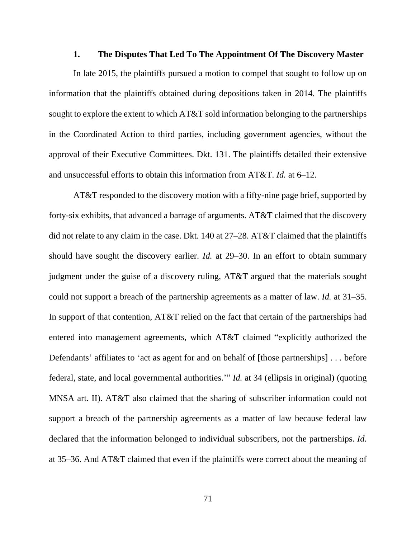## **1. The Disputes That Led To The Appointment Of The Discovery Master**

In late 2015, the plaintiffs pursued a motion to compel that sought to follow up on information that the plaintiffs obtained during depositions taken in 2014. The plaintiffs sought to explore the extent to which AT&T sold information belonging to the partnerships in the Coordinated Action to third parties, including government agencies, without the approval of their Executive Committees. Dkt. 131. The plaintiffs detailed their extensive and unsuccessful efforts to obtain this information from AT&T. *Id.* at 6–12.

AT&T responded to the discovery motion with a fifty-nine page brief, supported by forty-six exhibits, that advanced a barrage of arguments. AT&T claimed that the discovery did not relate to any claim in the case. Dkt. 140 at 27–28. AT&T claimed that the plaintiffs should have sought the discovery earlier. *Id.* at 29–30. In an effort to obtain summary judgment under the guise of a discovery ruling, AT&T argued that the materials sought could not support a breach of the partnership agreements as a matter of law. *Id.* at 31–35. In support of that contention, AT&T relied on the fact that certain of the partnerships had entered into management agreements, which AT&T claimed "explicitly authorized the Defendants' affiliates to 'act as agent for and on behalf of [those partnerships] . . . before federal, state, and local governmental authorities.'" *Id.* at 34 (ellipsis in original) (quoting MNSA art. II). AT&T also claimed that the sharing of subscriber information could not support a breach of the partnership agreements as a matter of law because federal law declared that the information belonged to individual subscribers, not the partnerships. *Id.* at 35–36. And AT&T claimed that even if the plaintiffs were correct about the meaning of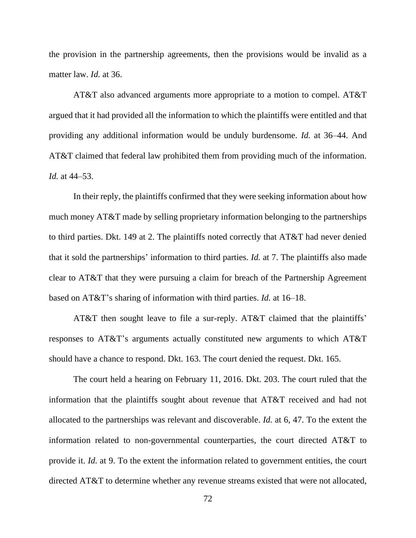the provision in the partnership agreements, then the provisions would be invalid as a matter law. *Id.* at 36.

AT&T also advanced arguments more appropriate to a motion to compel. AT&T argued that it had provided all the information to which the plaintiffs were entitled and that providing any additional information would be unduly burdensome. *Id.* at 36–44. And AT&T claimed that federal law prohibited them from providing much of the information. *Id.* at 44–53.

In their reply, the plaintiffs confirmed that they were seeking information about how much money AT&T made by selling proprietary information belonging to the partnerships to third parties. Dkt. 149 at 2. The plaintiffs noted correctly that AT&T had never denied that it sold the partnerships' information to third parties. *Id.* at 7. The plaintiffs also made clear to AT&T that they were pursuing a claim for breach of the Partnership Agreement based on AT&T's sharing of information with third parties. *Id.* at 16–18.

AT&T then sought leave to file a sur-reply. AT&T claimed that the plaintiffs' responses to AT&T's arguments actually constituted new arguments to which AT&T should have a chance to respond. Dkt. 163. The court denied the request. Dkt. 165.

The court held a hearing on February 11, 2016. Dkt. 203. The court ruled that the information that the plaintiffs sought about revenue that AT&T received and had not allocated to the partnerships was relevant and discoverable. *Id.* at 6, 47. To the extent the information related to non-governmental counterparties, the court directed AT&T to provide it. *Id.* at 9. To the extent the information related to government entities, the court directed AT&T to determine whether any revenue streams existed that were not allocated,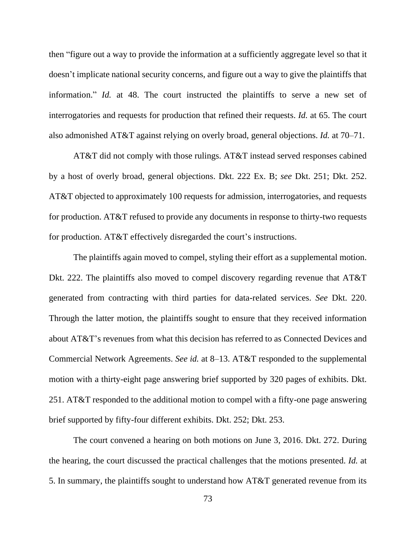then "figure out a way to provide the information at a sufficiently aggregate level so that it doesn't implicate national security concerns, and figure out a way to give the plaintiffs that information." *Id.* at 48. The court instructed the plaintiffs to serve a new set of interrogatories and requests for production that refined their requests. *Id.* at 65. The court also admonished AT&T against relying on overly broad, general objections. *Id.* at 70–71.

AT&T did not comply with those rulings. AT&T instead served responses cabined by a host of overly broad, general objections. Dkt. 222 Ex. B; *see* Dkt. 251; Dkt. 252. AT&T objected to approximately 100 requests for admission, interrogatories, and requests for production. AT&T refused to provide any documents in response to thirty-two requests for production. AT&T effectively disregarded the court's instructions.

The plaintiffs again moved to compel, styling their effort as a supplemental motion. Dkt. 222. The plaintiffs also moved to compel discovery regarding revenue that AT&T generated from contracting with third parties for data-related services. *See* Dkt. 220. Through the latter motion, the plaintiffs sought to ensure that they received information about AT&T's revenues from what this decision has referred to as Connected Devices and Commercial Network Agreements. *See id.* at 8–13. AT&T responded to the supplemental motion with a thirty-eight page answering brief supported by 320 pages of exhibits. Dkt. 251. AT&T responded to the additional motion to compel with a fifty-one page answering brief supported by fifty-four different exhibits. Dkt. 252; Dkt. 253.

The court convened a hearing on both motions on June 3, 2016. Dkt. 272. During the hearing, the court discussed the practical challenges that the motions presented. *Id.* at 5. In summary, the plaintiffs sought to understand how AT&T generated revenue from its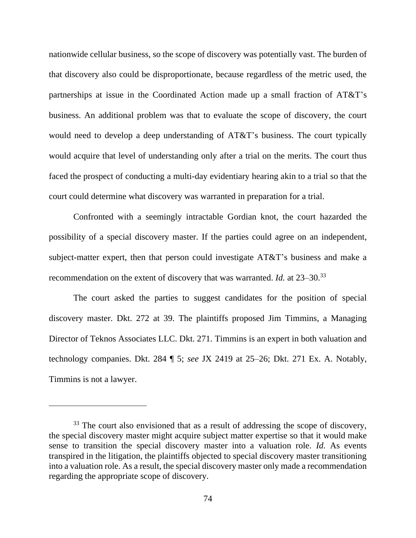nationwide cellular business, so the scope of discovery was potentially vast. The burden of that discovery also could be disproportionate, because regardless of the metric used, the partnerships at issue in the Coordinated Action made up a small fraction of AT&T's business. An additional problem was that to evaluate the scope of discovery, the court would need to develop a deep understanding of AT&T's business. The court typically would acquire that level of understanding only after a trial on the merits. The court thus faced the prospect of conducting a multi-day evidentiary hearing akin to a trial so that the court could determine what discovery was warranted in preparation for a trial.

Confronted with a seemingly intractable Gordian knot, the court hazarded the possibility of a special discovery master. If the parties could agree on an independent, subject-matter expert, then that person could investigate AT&T's business and make a recommendation on the extent of discovery that was warranted. *Id.* at 23–30.<sup>33</sup>

The court asked the parties to suggest candidates for the position of special discovery master. Dkt. 272 at 39. The plaintiffs proposed Jim Timmins, a Managing Director of Teknos Associates LLC. Dkt. 271. Timmins is an expert in both valuation and technology companies. Dkt. 284 ¶ 5; *see* JX 2419 at 25–26; Dkt. 271 Ex. A. Notably, Timmins is not a lawyer.

<sup>&</sup>lt;sup>33</sup> The court also envisioned that as a result of addressing the scope of discovery, the special discovery master might acquire subject matter expertise so that it would make sense to transition the special discovery master into a valuation role. *Id.* As events transpired in the litigation, the plaintiffs objected to special discovery master transitioning into a valuation role. As a result, the special discovery master only made a recommendation regarding the appropriate scope of discovery.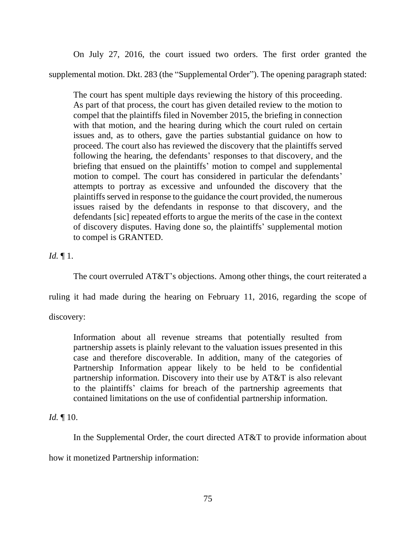On July 27, 2016, the court issued two orders. The first order granted the supplemental motion. Dkt. 283 (the "Supplemental Order"). The opening paragraph stated:

The court has spent multiple days reviewing the history of this proceeding. As part of that process, the court has given detailed review to the motion to compel that the plaintiffs filed in November 2015, the briefing in connection with that motion, and the hearing during which the court ruled on certain issues and, as to others, gave the parties substantial guidance on how to proceed. The court also has reviewed the discovery that the plaintiffs served following the hearing, the defendants' responses to that discovery, and the briefing that ensued on the plaintiffs' motion to compel and supplemental motion to compel. The court has considered in particular the defendants' attempts to portray as excessive and unfounded the discovery that the plaintiffs served in response to the guidance the court provided, the numerous issues raised by the defendants in response to that discovery, and the defendants [sic] repeated efforts to argue the merits of the case in the context of discovery disputes. Having done so, the plaintiffs' supplemental motion to compel is GRANTED.

# *Id.* ¶ 1.

The court overruled AT&T's objections. Among other things, the court reiterated a

ruling it had made during the hearing on February 11, 2016, regarding the scope of

discovery:

Information about all revenue streams that potentially resulted from partnership assets is plainly relevant to the valuation issues presented in this case and therefore discoverable. In addition, many of the categories of Partnership Information appear likely to be held to be confidential partnership information. Discovery into their use by AT&T is also relevant to the plaintiffs' claims for breach of the partnership agreements that contained limitations on the use of confidential partnership information.

# *Id.* ¶ 10.

In the Supplemental Order, the court directed AT&T to provide information about

how it monetized Partnership information: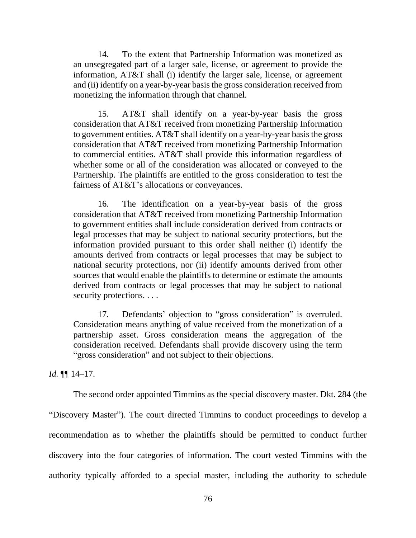14. To the extent that Partnership Information was monetized as an unsegregated part of a larger sale, license, or agreement to provide the information, AT&T shall (i) identify the larger sale, license, or agreement and (ii) identify on a year-by-year basis the gross consideration received from monetizing the information through that channel.

15. AT&T shall identify on a year-by-year basis the gross consideration that AT&T received from monetizing Partnership Information to government entities. AT&T shall identify on a year-by-year basis the gross consideration that AT&T received from monetizing Partnership Information to commercial entities. AT&T shall provide this information regardless of whether some or all of the consideration was allocated or conveyed to the Partnership. The plaintiffs are entitled to the gross consideration to test the fairness of AT&T's allocations or conveyances.

16. The identification on a year-by-year basis of the gross consideration that AT&T received from monetizing Partnership Information to government entities shall include consideration derived from contracts or legal processes that may be subject to national security protections, but the information provided pursuant to this order shall neither (i) identify the amounts derived from contracts or legal processes that may be subject to national security protections, nor (ii) identify amounts derived from other sources that would enable the plaintiffs to determine or estimate the amounts derived from contracts or legal processes that may be subject to national security protections. . . .

17. Defendants' objection to "gross consideration" is overruled. Consideration means anything of value received from the monetization of a partnership asset. Gross consideration means the aggregation of the consideration received. Defendants shall provide discovery using the term "gross consideration" and not subject to their objections.

*Id.* ¶¶ 14–17.

The second order appointed Timmins as the special discovery master. Dkt. 284 (the "Discovery Master"). The court directed Timmins to conduct proceedings to develop a recommendation as to whether the plaintiffs should be permitted to conduct further discovery into the four categories of information. The court vested Timmins with the authority typically afforded to a special master, including the authority to schedule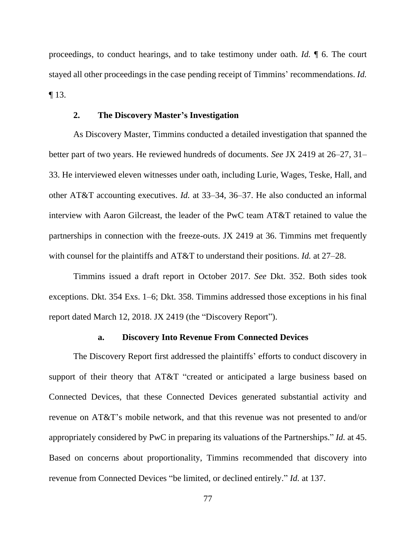proceedings, to conduct hearings, and to take testimony under oath. *Id.* ¶ 6. The court stayed all other proceedings in the case pending receipt of Timmins' recommendations. *Id.*  ¶ 13.

### **2. The Discovery Master's Investigation**

As Discovery Master, Timmins conducted a detailed investigation that spanned the better part of two years. He reviewed hundreds of documents. *See* JX 2419 at 26–27, 31– 33. He interviewed eleven witnesses under oath, including Lurie, Wages, Teske, Hall, and other AT&T accounting executives. *Id.* at 33–34, 36–37. He also conducted an informal interview with Aaron Gilcreast, the leader of the PwC team AT&T retained to value the partnerships in connection with the freeze-outs. JX 2419 at 36. Timmins met frequently with counsel for the plaintiffs and AT&T to understand their positions. *Id.* at 27–28.

Timmins issued a draft report in October 2017. *See* Dkt. 352. Both sides took exceptions. Dkt. 354 Exs. 1–6; Dkt. 358. Timmins addressed those exceptions in his final report dated March 12, 2018. JX 2419 (the "Discovery Report").

#### **a. Discovery Into Revenue From Connected Devices**

The Discovery Report first addressed the plaintiffs' efforts to conduct discovery in support of their theory that AT&T "created or anticipated a large business based on Connected Devices, that these Connected Devices generated substantial activity and revenue on AT&T's mobile network, and that this revenue was not presented to and/or appropriately considered by PwC in preparing its valuations of the Partnerships." *Id.* at 45. Based on concerns about proportionality, Timmins recommended that discovery into revenue from Connected Devices "be limited, or declined entirely." *Id.* at 137.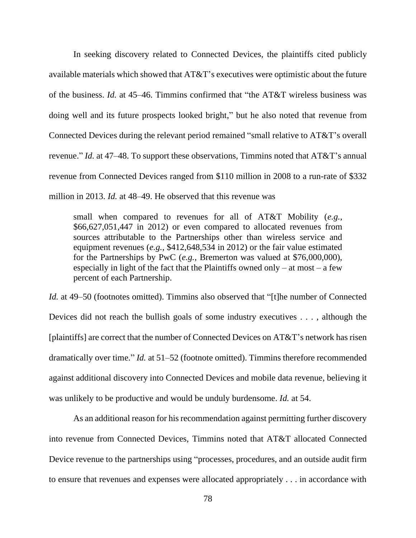In seeking discovery related to Connected Devices, the plaintiffs cited publicly available materials which showed that AT&T's executives were optimistic about the future of the business. *Id.* at 45–46. Timmins confirmed that "the AT&T wireless business was doing well and its future prospects looked bright," but he also noted that revenue from Connected Devices during the relevant period remained "small relative to AT&T's overall revenue." *Id.* at 47–48. To support these observations, Timmins noted that AT&T's annual revenue from Connected Devices ranged from \$110 million in 2008 to a run-rate of \$332 million in 2013. *Id.* at 48–49. He observed that this revenue was

small when compared to revenues for all of AT&T Mobility (*e.g.*, \$66,627,051,447 in 2012) or even compared to allocated revenues from sources attributable to the Partnerships other than wireless service and equipment revenues (*e.g.*, \$412,648,534 in 2012) or the fair value estimated for the Partnerships by PwC (*e.g.*, Bremerton was valued at \$76,000,000), especially in light of the fact that the Plaintiffs owned only – at most – a few percent of each Partnership.

*Id.* at 49–50 (footnotes omitted). Timmins also observed that "[t]he number of Connected Devices did not reach the bullish goals of some industry executives . . . , although the [plaintiffs] are correct that the number of Connected Devices on AT&T's network has risen dramatically over time." *Id.* at 51–52 (footnote omitted). Timmins therefore recommended against additional discovery into Connected Devices and mobile data revenue, believing it was unlikely to be productive and would be unduly burdensome. *Id.* at 54.

As an additional reason for his recommendation against permitting further discovery into revenue from Connected Devices, Timmins noted that AT&T allocated Connected Device revenue to the partnerships using "processes, procedures, and an outside audit firm to ensure that revenues and expenses were allocated appropriately . . . in accordance with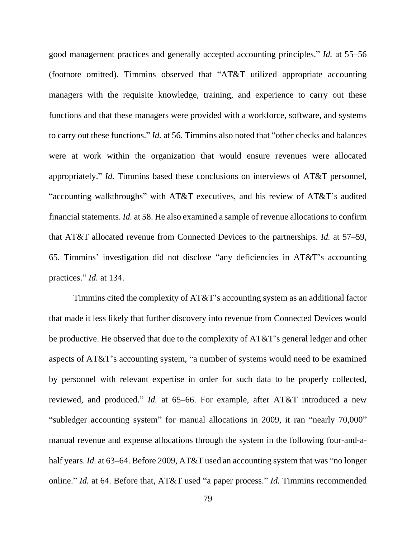good management practices and generally accepted accounting principles." *Id.* at 55–56 (footnote omitted). Timmins observed that "AT&T utilized appropriate accounting managers with the requisite knowledge, training, and experience to carry out these functions and that these managers were provided with a workforce, software, and systems to carry out these functions." *Id.* at 56. Timmins also noted that "other checks and balances were at work within the organization that would ensure revenues were allocated appropriately." *Id.* Timmins based these conclusions on interviews of AT&T personnel, "accounting walkthroughs" with AT&T executives, and his review of AT&T's audited financial statements. *Id.* at 58. He also examined a sample of revenue allocations to confirm that AT&T allocated revenue from Connected Devices to the partnerships. *Id.* at 57–59, 65. Timmins' investigation did not disclose "any deficiencies in AT&T's accounting practices." *Id.* at 134.

Timmins cited the complexity of AT&T's accounting system as an additional factor that made it less likely that further discovery into revenue from Connected Devices would be productive. He observed that due to the complexity of AT&T's general ledger and other aspects of AT&T's accounting system, "a number of systems would need to be examined by personnel with relevant expertise in order for such data to be properly collected, reviewed, and produced." *Id.* at 65–66. For example, after AT&T introduced a new "subledger accounting system" for manual allocations in 2009, it ran "nearly 70,000" manual revenue and expense allocations through the system in the following four-and-ahalf years. *Id.* at 63–64. Before 2009, AT&T used an accounting system that was "no longer online." *Id.* at 64. Before that, AT&T used "a paper process." *Id.* Timmins recommended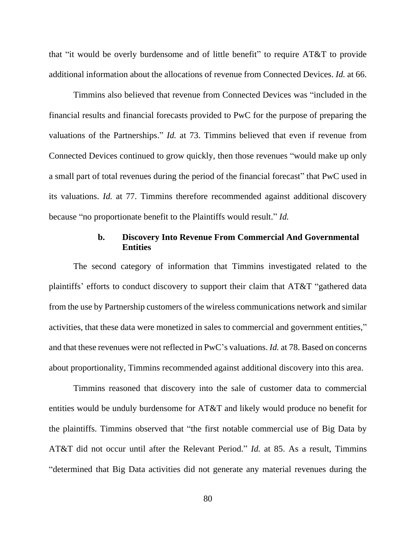that "it would be overly burdensome and of little benefit" to require AT&T to provide additional information about the allocations of revenue from Connected Devices. *Id.* at 66.

Timmins also believed that revenue from Connected Devices was "included in the financial results and financial forecasts provided to PwC for the purpose of preparing the valuations of the Partnerships." *Id.* at 73. Timmins believed that even if revenue from Connected Devices continued to grow quickly, then those revenues "would make up only a small part of total revenues during the period of the financial forecast" that PwC used in its valuations. *Id.* at 77. Timmins therefore recommended against additional discovery because "no proportionate benefit to the Plaintiffs would result." *Id.*

# **b. Discovery Into Revenue From Commercial And Governmental Entities**

The second category of information that Timmins investigated related to the plaintiffs' efforts to conduct discovery to support their claim that AT&T "gathered data from the use by Partnership customers of the wireless communications network and similar activities, that these data were monetized in sales to commercial and government entities," and that these revenues were not reflected in PwC's valuations. *Id.* at 78. Based on concerns about proportionality, Timmins recommended against additional discovery into this area.

Timmins reasoned that discovery into the sale of customer data to commercial entities would be unduly burdensome for AT&T and likely would produce no benefit for the plaintiffs. Timmins observed that "the first notable commercial use of Big Data by AT&T did not occur until after the Relevant Period." *Id.* at 85. As a result, Timmins "determined that Big Data activities did not generate any material revenues during the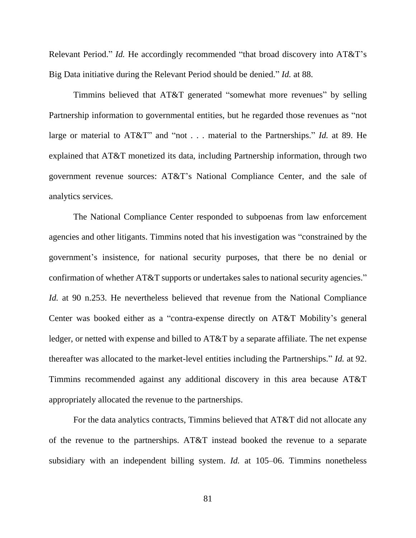Relevant Period." *Id.* He accordingly recommended "that broad discovery into AT&T's Big Data initiative during the Relevant Period should be denied." *Id.* at 88.

Timmins believed that AT&T generated "somewhat more revenues" by selling Partnership information to governmental entities, but he regarded those revenues as "not large or material to AT&T" and "not . . . material to the Partnerships." *Id.* at 89. He explained that AT&T monetized its data, including Partnership information, through two government revenue sources: AT&T's National Compliance Center, and the sale of analytics services.

The National Compliance Center responded to subpoenas from law enforcement agencies and other litigants. Timmins noted that his investigation was "constrained by the government's insistence, for national security purposes, that there be no denial or confirmation of whether AT&T supports or undertakes sales to national security agencies." *Id.* at 90 n.253. He nevertheless believed that revenue from the National Compliance Center was booked either as a "contra-expense directly on AT&T Mobility's general ledger, or netted with expense and billed to AT&T by a separate affiliate. The net expense thereafter was allocated to the market-level entities including the Partnerships." *Id.* at 92. Timmins recommended against any additional discovery in this area because AT&T appropriately allocated the revenue to the partnerships.

For the data analytics contracts, Timmins believed that AT&T did not allocate any of the revenue to the partnerships. AT&T instead booked the revenue to a separate subsidiary with an independent billing system. *Id.* at 105–06. Timmins nonetheless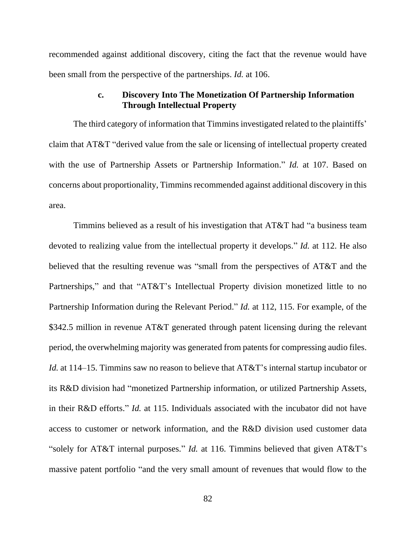recommended against additional discovery, citing the fact that the revenue would have been small from the perspective of the partnerships. *Id.* at 106.

# **c. Discovery Into The Monetization Of Partnership Information Through Intellectual Property**

The third category of information that Timmins investigated related to the plaintiffs' claim that AT&T "derived value from the sale or licensing of intellectual property created with the use of Partnership Assets or Partnership Information." *Id.* at 107. Based on concerns about proportionality, Timmins recommended against additional discovery in this area.

Timmins believed as a result of his investigation that AT&T had "a business team devoted to realizing value from the intellectual property it develops." *Id.* at 112. He also believed that the resulting revenue was "small from the perspectives of AT&T and the Partnerships," and that "AT&T's Intellectual Property division monetized little to no Partnership Information during the Relevant Period." *Id.* at 112, 115. For example, of the \$342.5 million in revenue AT&T generated through patent licensing during the relevant period, the overwhelming majority was generated from patents for compressing audio files. *Id.* at 114–15. Timmins saw no reason to believe that AT&T's internal startup incubator or its R&D division had "monetized Partnership information, or utilized Partnership Assets, in their R&D efforts." *Id.* at 115. Individuals associated with the incubator did not have access to customer or network information, and the R&D division used customer data "solely for AT&T internal purposes." *Id.* at 116. Timmins believed that given AT&T's massive patent portfolio "and the very small amount of revenues that would flow to the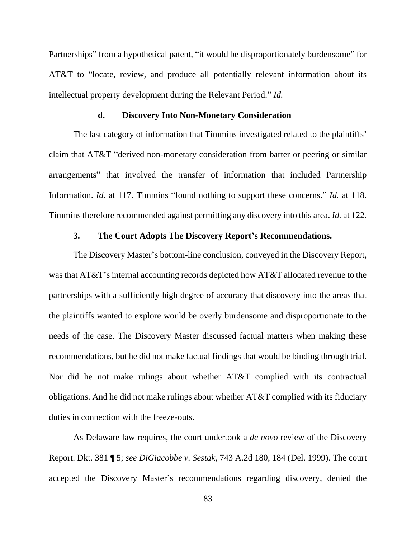Partnerships" from a hypothetical patent, "it would be disproportionately burdensome" for AT&T to "locate, review, and produce all potentially relevant information about its intellectual property development during the Relevant Period." *Id.*

#### **d. Discovery Into Non-Monetary Consideration**

The last category of information that Timmins investigated related to the plaintiffs' claim that AT&T "derived non-monetary consideration from barter or peering or similar arrangements" that involved the transfer of information that included Partnership Information. *Id.* at 117. Timmins "found nothing to support these concerns." *Id.* at 118. Timminstherefore recommended against permitting any discovery into this area. *Id.* at 122.

## **3. The Court Adopts The Discovery Report's Recommendations.**

The Discovery Master's bottom-line conclusion, conveyed in the Discovery Report, was that AT&T's internal accounting records depicted how AT&T allocated revenue to the partnerships with a sufficiently high degree of accuracy that discovery into the areas that the plaintiffs wanted to explore would be overly burdensome and disproportionate to the needs of the case. The Discovery Master discussed factual matters when making these recommendations, but he did not make factual findings that would be binding through trial. Nor did he not make rulings about whether AT&T complied with its contractual obligations. And he did not make rulings about whether AT&T complied with its fiduciary duties in connection with the freeze-outs.

As Delaware law requires, the court undertook a *de novo* review of the Discovery Report. Dkt. 381 ¶ 5; *see DiGiacobbe v. Sestak*, 743 A.2d 180, 184 (Del. 1999). The court accepted the Discovery Master's recommendations regarding discovery, denied the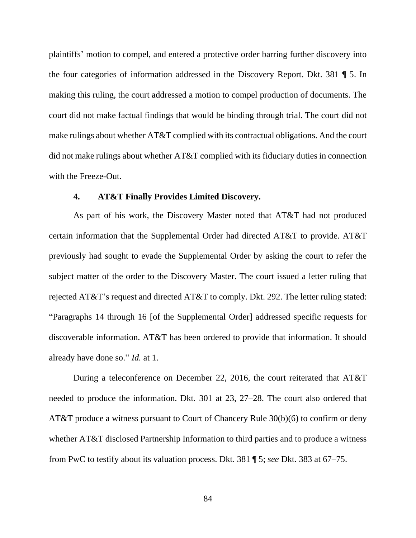plaintiffs' motion to compel, and entered a protective order barring further discovery into the four categories of information addressed in the Discovery Report. Dkt. 381 ¶ 5. In making this ruling, the court addressed a motion to compel production of documents. The court did not make factual findings that would be binding through trial. The court did not make rulings about whether AT&T complied with its contractual obligations. And the court did not make rulings about whether AT&T complied with its fiduciary duties in connection with the Freeze-Out.

### **4. AT&T Finally Provides Limited Discovery.**

As part of his work, the Discovery Master noted that AT&T had not produced certain information that the Supplemental Order had directed AT&T to provide. AT&T previously had sought to evade the Supplemental Order by asking the court to refer the subject matter of the order to the Discovery Master. The court issued a letter ruling that rejected AT&T's request and directed AT&T to comply. Dkt. 292. The letter ruling stated: "Paragraphs 14 through 16 [of the Supplemental Order] addressed specific requests for discoverable information. AT&T has been ordered to provide that information. It should already have done so." *Id.* at 1.

During a teleconference on December 22, 2016, the court reiterated that AT&T needed to produce the information. Dkt. 301 at 23, 27–28. The court also ordered that AT&T produce a witness pursuant to Court of Chancery Rule 30(b)(6) to confirm or deny whether AT&T disclosed Partnership Information to third parties and to produce a witness from PwC to testify about its valuation process. Dkt. 381 ¶ 5; *see* Dkt. 383 at 67–75.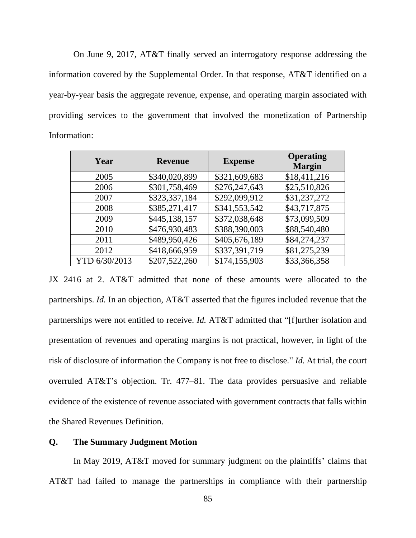On June 9, 2017, AT&T finally served an interrogatory response addressing the information covered by the Supplemental Order. In that response, AT&T identified on a year-by-year basis the aggregate revenue, expense, and operating margin associated with providing services to the government that involved the monetization of Partnership Information:

| Year          | <b>Revenue</b> | <b>Expense</b> | <b>Operating</b><br><b>Margin</b> |
|---------------|----------------|----------------|-----------------------------------|
| 2005          | \$340,020,899  | \$321,609,683  | \$18,411,216                      |
| 2006          | \$301,758,469  | \$276,247,643  | \$25,510,826                      |
| 2007          | \$323,337,184  | \$292,099,912  | \$31,237,272                      |
| 2008          | \$385,271,417  | \$341,553,542  | \$43,717,875                      |
| 2009          | \$445,138,157  | \$372,038,648  | \$73,099,509                      |
| 2010          | \$476,930,483  | \$388,390,003  | \$88,540,480                      |
| 2011          | \$489,950,426  | \$405,676,189  | \$84,274,237                      |
| 2012          | \$418,666,959  | \$337,391,719  | \$81,275,239                      |
| YTD 6/30/2013 | \$207,522,260  | \$174,155,903  | \$33,366,358                      |

JX 2416 at 2. AT&T admitted that none of these amounts were allocated to the partnerships. *Id.* In an objection, AT&T asserted that the figures included revenue that the partnerships were not entitled to receive. *Id.* AT&T admitted that "[f]urther isolation and presentation of revenues and operating margins is not practical, however, in light of the risk of disclosure of information the Company is not free to disclose." *Id.* At trial, the court overruled AT&T's objection. Tr. 477–81. The data provides persuasive and reliable evidence of the existence of revenue associated with government contracts that falls within the Shared Revenues Definition.

# **Q. The Summary Judgment Motion**

In May 2019, AT&T moved for summary judgment on the plaintiffs' claims that AT&T had failed to manage the partnerships in compliance with their partnership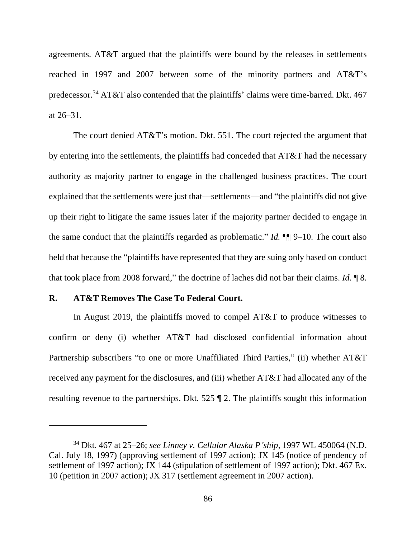agreements. AT&T argued that the plaintiffs were bound by the releases in settlements reached in 1997 and 2007 between some of the minority partners and AT&T's predecessor.<sup>34</sup> AT&T also contended that the plaintiffs' claims were time-barred. Dkt. 467 at 26–31.

The court denied AT&T's motion. Dkt. 551. The court rejected the argument that by entering into the settlements, the plaintiffs had conceded that AT&T had the necessary authority as majority partner to engage in the challenged business practices. The court explained that the settlements were just that—settlements—and "the plaintiffs did not give up their right to litigate the same issues later if the majority partner decided to engage in the same conduct that the plaintiffs regarded as problematic." *Id.* ¶¶ 9–10. The court also held that because the "plaintiffs have represented that they are suing only based on conduct that took place from 2008 forward," the doctrine of laches did not bar their claims. *Id.* ¶ 8.

### **R. AT&T Removes The Case To Federal Court.**

In August 2019, the plaintiffs moved to compel AT&T to produce witnesses to confirm or deny (i) whether AT&T had disclosed confidential information about Partnership subscribers "to one or more Unaffiliated Third Parties," (ii) whether AT&T received any payment for the disclosures, and (iii) whether AT&T had allocated any of the resulting revenue to the partnerships. Dkt. 525 ¶ 2. The plaintiffs sought this information

<sup>34</sup> Dkt. 467 at 25–26; *see Linney v. Cellular Alaska P'ship*, 1997 WL 450064 (N.D. Cal. July 18, 1997) (approving settlement of 1997 action); JX 145 (notice of pendency of settlement of 1997 action); JX 144 (stipulation of settlement of 1997 action); Dkt. 467 Ex. 10 (petition in 2007 action); JX 317 (settlement agreement in 2007 action).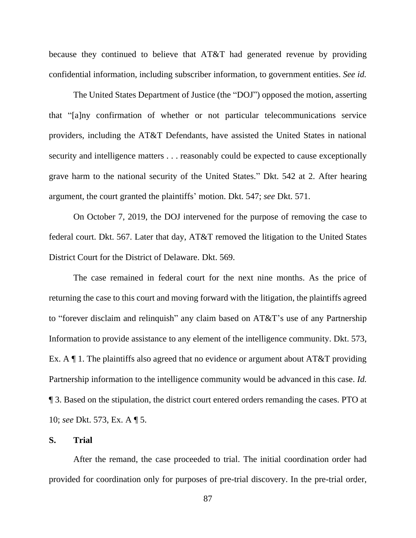because they continued to believe that AT&T had generated revenue by providing confidential information, including subscriber information, to government entities. *See id.*

The United States Department of Justice (the "DOJ") opposed the motion, asserting that "[a]ny confirmation of whether or not particular telecommunications service providers, including the AT&T Defendants, have assisted the United States in national security and intelligence matters . . . reasonably could be expected to cause exceptionally grave harm to the national security of the United States." Dkt. 542 at 2. After hearing argument, the court granted the plaintiffs' motion. Dkt. 547; *see* Dkt. 571.

On October 7, 2019, the DOJ intervened for the purpose of removing the case to federal court. Dkt. 567. Later that day, AT&T removed the litigation to the United States District Court for the District of Delaware. Dkt. 569.

The case remained in federal court for the next nine months. As the price of returning the case to this court and moving forward with the litigation, the plaintiffs agreed to "forever disclaim and relinquish" any claim based on AT&T's use of any Partnership Information to provide assistance to any element of the intelligence community. Dkt. 573, Ex. A  $\P$  1. The plaintiffs also agreed that no evidence or argument about AT&T providing Partnership information to the intelligence community would be advanced in this case. *Id.* ¶ 3. Based on the stipulation, the district court entered orders remanding the cases. PTO at 10; *see* Dkt. 573, Ex. A ¶ 5.

## **S. Trial**

After the remand, the case proceeded to trial. The initial coordination order had provided for coordination only for purposes of pre-trial discovery. In the pre-trial order,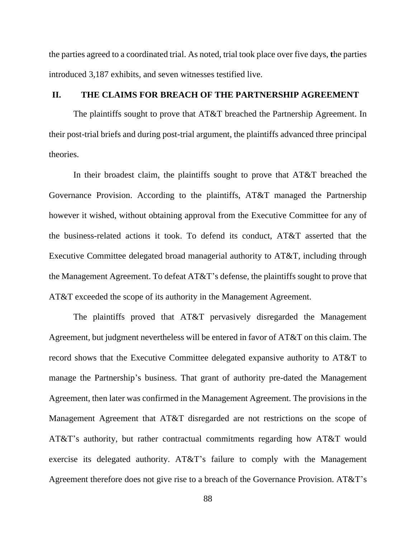the parties agreed to a coordinated trial. As noted, trial took place over five days, **t**he parties introduced 3,187 exhibits, and seven witnesses testified live.

# **II. THE CLAIMS FOR BREACH OF THE PARTNERSHIP AGREEMENT**

The plaintiffs sought to prove that AT&T breached the Partnership Agreement. In their post-trial briefs and during post-trial argument, the plaintiffs advanced three principal theories.

In their broadest claim, the plaintiffs sought to prove that AT&T breached the Governance Provision. According to the plaintiffs, AT&T managed the Partnership however it wished, without obtaining approval from the Executive Committee for any of the business-related actions it took. To defend its conduct, AT&T asserted that the Executive Committee delegated broad managerial authority to AT&T, including through the Management Agreement. To defeat AT&T's defense, the plaintiffs sought to prove that AT&T exceeded the scope of its authority in the Management Agreement.

The plaintiffs proved that AT&T pervasively disregarded the Management Agreement, but judgment nevertheless will be entered in favor of AT&T on this claim. The record shows that the Executive Committee delegated expansive authority to AT&T to manage the Partnership's business. That grant of authority pre-dated the Management Agreement, then later was confirmed in the Management Agreement. The provisions in the Management Agreement that AT&T disregarded are not restrictions on the scope of AT&T's authority, but rather contractual commitments regarding how AT&T would exercise its delegated authority. AT&T's failure to comply with the Management Agreement therefore does not give rise to a breach of the Governance Provision. AT&T's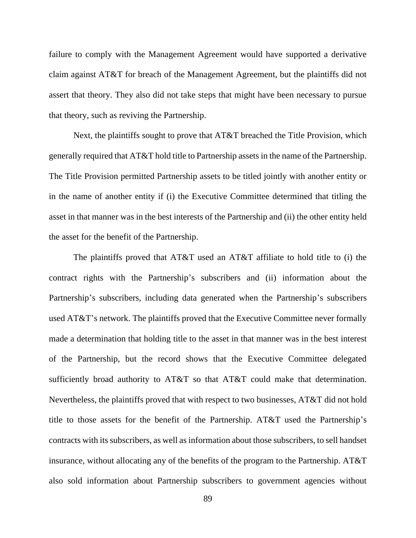failure to comply with the Management Agreement would have supported a derivative claim against AT&T for breach of the Management Agreement, but the plaintiffs did not assert that theory. They also did not take steps that might have been necessary to pursue that theory, such as reviving the Partnership.

Next, the plaintiffs sought to prove that AT&T breached the Title Provision, which generally required that AT&T hold title to Partnership assets in the name of the Partnership. The Title Provision permitted Partnership assets to be titled jointly with another entity or in the name of another entity if (i) the Executive Committee determined that titling the asset in that manner was in the best interests of the Partnership and (ii) the other entity held the asset for the benefit of the Partnership.

The plaintiffs proved that AT&T used an AT&T affiliate to hold title to (i) the contract rights with the Partnership's subscribers and (ii) information about the Partnership's subscribers, including data generated when the Partnership's subscribers used AT&T's network. The plaintiffs proved that the Executive Committee never formally made a determination that holding title to the asset in that manner was in the best interest of the Partnership, but the record shows that the Executive Committee delegated sufficiently broad authority to AT&T so that AT&T could make that determination. Nevertheless, the plaintiffs proved that with respect to two businesses, AT&T did not hold title to those assets for the benefit of the Partnership. AT&T used the Partnership's contracts with its subscribers, as well as information about those subscribers, to sell handset insurance, without allocating any of the benefits of the program to the Partnership. AT&T also sold information about Partnership subscribers to government agencies without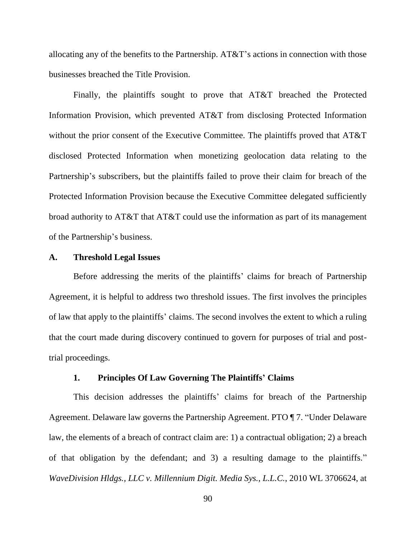allocating any of the benefits to the Partnership. AT&T's actions in connection with those businesses breached the Title Provision.

Finally, the plaintiffs sought to prove that AT&T breached the Protected Information Provision, which prevented AT&T from disclosing Protected Information without the prior consent of the Executive Committee. The plaintiffs proved that AT&T disclosed Protected Information when monetizing geolocation data relating to the Partnership's subscribers, but the plaintiffs failed to prove their claim for breach of the Protected Information Provision because the Executive Committee delegated sufficiently broad authority to AT&T that AT&T could use the information as part of its management of the Partnership's business.

### **A. Threshold Legal Issues**

Before addressing the merits of the plaintiffs' claims for breach of Partnership Agreement, it is helpful to address two threshold issues. The first involves the principles of law that apply to the plaintiffs' claims. The second involves the extent to which a ruling that the court made during discovery continued to govern for purposes of trial and posttrial proceedings.

### **1. Principles Of Law Governing The Plaintiffs' Claims**

This decision addresses the plaintiffs' claims for breach of the Partnership Agreement. Delaware law governs the Partnership Agreement. PTO ¶ 7. "Under Delaware law, the elements of a breach of contract claim are: 1) a contractual obligation; 2) a breach of that obligation by the defendant; and 3) a resulting damage to the plaintiffs." *WaveDivision Hldgs., LLC v. Millennium Digit. Media Sys., L.L.C.*, 2010 WL 3706624, at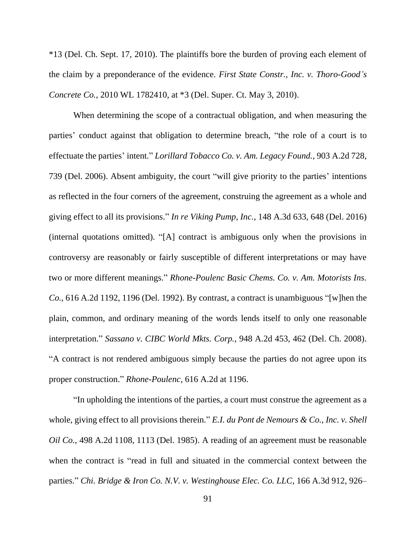\*13 (Del. Ch. Sept. 17, 2010). The plaintiffs bore the burden of proving each element of the claim by a preponderance of the evidence. *First State Constr., Inc. v. Thoro-Good's Concrete Co.*, 2010 WL 1782410, at \*3 (Del. Super. Ct. May 3, 2010).

When determining the scope of a contractual obligation, and when measuring the parties' conduct against that obligation to determine breach, "the role of a court is to effectuate the parties' intent." *Lorillard Tobacco Co. v. Am. Legacy Found.*, 903 A.2d 728, 739 (Del. 2006). Absent ambiguity, the court "will give priority to the parties' intentions as reflected in the four corners of the agreement, construing the agreement as a whole and giving effect to all its provisions." *In re Viking Pump, Inc.*, 148 A.3d 633, 648 (Del. 2016) (internal quotations omitted). "[A] contract is ambiguous only when the provisions in controversy are reasonably or fairly susceptible of different interpretations or may have two or more different meanings." *Rhone-Poulenc Basic Chems. Co. v. Am. Motorists Ins. Co.*, 616 A.2d 1192, 1196 (Del. 1992). By contrast, a contract is unambiguous "[w]hen the plain, common, and ordinary meaning of the words lends itself to only one reasonable interpretation." *Sassano v. CIBC World Mkts. Corp.*, 948 A.2d 453, 462 (Del. Ch. 2008). "A contract is not rendered ambiguous simply because the parties do not agree upon its proper construction." *Rhone-Poulenc*, 616 A.2d at 1196.

"In upholding the intentions of the parties, a court must construe the agreement as a whole, giving effect to all provisions therein." *E.I. du Pont de Nemours & Co., Inc. v. Shell Oil Co.*, 498 A.2d 1108, 1113 (Del. 1985). A reading of an agreement must be reasonable when the contract is "read in full and situated in the commercial context between the parties." *Chi. Bridge & Iron Co. N.V. v. Westinghouse Elec. Co. LLC*, 166 A.3d 912, 926–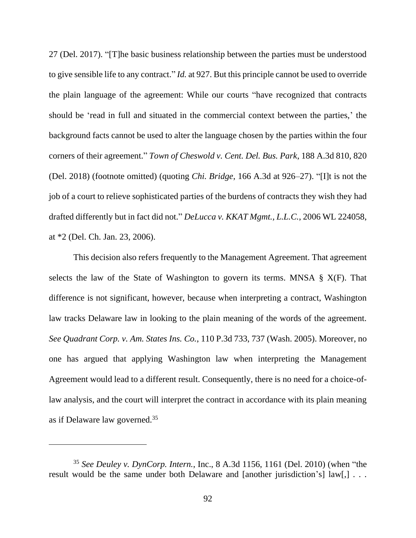27 (Del. 2017). "[T]he basic business relationship between the parties must be understood to give sensible life to any contract." *Id.* at 927. But this principle cannot be used to override the plain language of the agreement: While our courts "have recognized that contracts should be 'read in full and situated in the commercial context between the parties,' the background facts cannot be used to alter the language chosen by the parties within the four corners of their agreement." *Town of Cheswold v. Cent. Del. Bus. Park*, 188 A.3d 810, 820 (Del. 2018) (footnote omitted) (quoting *Chi. Bridge*, 166 A.3d at 926–27). "[I]t is not the job of a court to relieve sophisticated parties of the burdens of contracts they wish they had drafted differently but in fact did not." *DeLucca v. KKAT Mgmt., L.L.C.*, 2006 WL 224058, at \*2 (Del. Ch. Jan. 23, 2006).

This decision also refers frequently to the Management Agreement. That agreement selects the law of the State of Washington to govern its terms. MNSA  $\S X(F)$ . That difference is not significant, however, because when interpreting a contract, Washington law tracks Delaware law in looking to the plain meaning of the words of the agreement. *See Quadrant Corp. v. Am. States Ins. Co.*, 110 P.3d 733, 737 (Wash. 2005). Moreover, no one has argued that applying Washington law when interpreting the Management Agreement would lead to a different result. Consequently, there is no need for a choice-oflaw analysis, and the court will interpret the contract in accordance with its plain meaning as if Delaware law governed.<sup>35</sup>

<sup>35</sup> *See Deuley v. DynCorp. Intern.*, Inc., 8 A.3d 1156, 1161 (Del. 2010) (when "the result would be the same under both Delaware and [another jurisdiction's] law[,] ...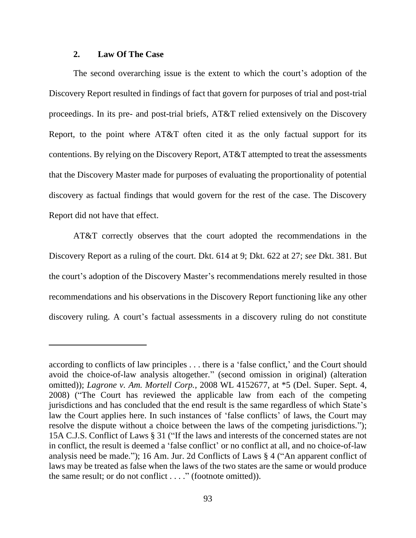# **2. Law Of The Case**

The second overarching issue is the extent to which the court's adoption of the Discovery Report resulted in findings of fact that govern for purposes of trial and post-trial proceedings. In its pre- and post-trial briefs, AT&T relied extensively on the Discovery Report, to the point where AT&T often cited it as the only factual support for its contentions. By relying on the Discovery Report, AT&T attempted to treat the assessments that the Discovery Master made for purposes of evaluating the proportionality of potential discovery as factual findings that would govern for the rest of the case. The Discovery Report did not have that effect.

AT&T correctly observes that the court adopted the recommendations in the Discovery Report as a ruling of the court. Dkt. 614 at 9; Dkt. 622 at 27; *see* Dkt. 381. But the court's adoption of the Discovery Master's recommendations merely resulted in those recommendations and his observations in the Discovery Report functioning like any other discovery ruling. A court's factual assessments in a discovery ruling do not constitute

according to conflicts of law principles . . . there is a 'false conflict,' and the Court should avoid the choice-of-law analysis altogether." (second omission in original) (alteration omitted)); *Lagrone v. Am. Mortell Corp.*, 2008 WL 4152677, at \*5 (Del. Super. Sept. 4, 2008) ("The Court has reviewed the applicable law from each of the competing jurisdictions and has concluded that the end result is the same regardless of which State's law the Court applies here. In such instances of 'false conflicts' of laws, the Court may resolve the dispute without a choice between the laws of the competing jurisdictions."); 15A C.J.S. Conflict of Laws § 31 ("If the laws and interests of the concerned states are not in conflict, the result is deemed a 'false conflict' or no conflict at all, and no choice-of-law analysis need be made."); 16 Am. Jur. 2d Conflicts of Laws § 4 ("An apparent conflict of laws may be treated as false when the laws of the two states are the same or would produce the same result; or do not conflict . . . ." (footnote omitted)).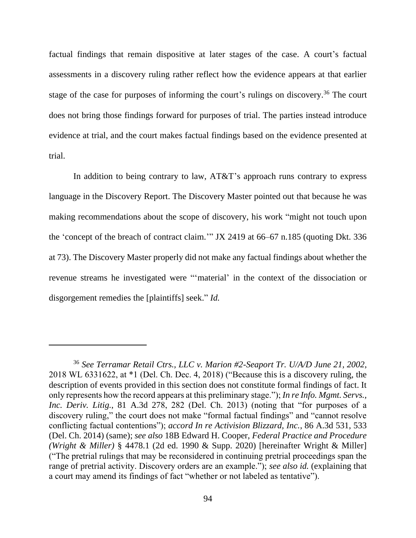factual findings that remain dispositive at later stages of the case. A court's factual assessments in a discovery ruling rather reflect how the evidence appears at that earlier stage of the case for purposes of informing the court's rulings on discovery.<sup>36</sup> The court does not bring those findings forward for purposes of trial. The parties instead introduce evidence at trial, and the court makes factual findings based on the evidence presented at trial.

In addition to being contrary to law, AT&T's approach runs contrary to express language in the Discovery Report. The Discovery Master pointed out that because he was making recommendations about the scope of discovery, his work "might not touch upon the 'concept of the breach of contract claim.'" JX 2419 at 66–67 n.185 (quoting Dkt. 336 at 73). The Discovery Master properly did not make any factual findings about whether the revenue streams he investigated were "'material' in the context of the dissociation or disgorgement remedies the [plaintiffs] seek." *Id.*

<sup>36</sup> *See Terramar Retail Ctrs., LLC v. Marion #2-Seaport Tr. U/A/D June 21, 2002*, 2018 WL 6331622, at \*1 (Del. Ch. Dec. 4, 2018) ("Because this is a discovery ruling, the description of events provided in this section does not constitute formal findings of fact. It only represents how the record appears at this preliminary stage."); *In re Info. Mgmt. Servs., Inc. Deriv. Litig.*, 81 A.3d 278, 282 (Del. Ch. 2013) (noting that "for purposes of a discovery ruling," the court does not make "formal factual findings" and "cannot resolve conflicting factual contentions"); *accord In re Activision Blizzard, Inc.*, 86 A.3d 531, 533 (Del. Ch. 2014) (same); *see also* 18B Edward H. Cooper, *Federal Practice and Procedure (Wright & Miller)* § 4478.1 (2d ed. 1990 & Supp. 2020) [hereinafter Wright & Miller] ("The pretrial rulings that may be reconsidered in continuing pretrial proceedings span the range of pretrial activity. Discovery orders are an example."); *see also id.* (explaining that a court may amend its findings of fact "whether or not labeled as tentative").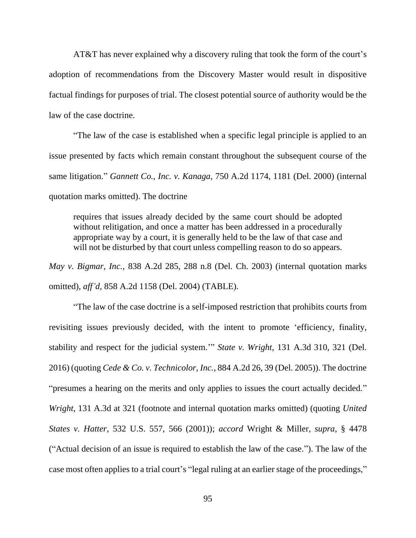AT&T has never explained why a discovery ruling that took the form of the court's adoption of recommendations from the Discovery Master would result in dispositive factual findings for purposes of trial. The closest potential source of authority would be the law of the case doctrine.

"The law of the case is established when a specific legal principle is applied to an issue presented by facts which remain constant throughout the subsequent course of the same litigation." *Gannett Co., Inc. v. Kanaga*, 750 A.2d 1174, 1181 (Del. 2000) (internal quotation marks omitted). The doctrine

requires that issues already decided by the same court should be adopted without relitigation, and once a matter has been addressed in a procedurally appropriate way by a court, it is generally held to be the law of that case and will not be disturbed by that court unless compelling reason to do so appears.

*May v. Bigmar, Inc.*, 838 A.2d 285, 288 n.8 (Del. Ch. 2003) (internal quotation marks omitted), *aff'd*, 858 A.2d 1158 (Del. 2004) (TABLE).

"The law of the case doctrine is a self-imposed restriction that prohibits courts from revisiting issues previously decided, with the intent to promote 'efficiency, finality, stability and respect for the judicial system.'" *State v. Wright*, 131 A.3d 310, 321 (Del. 2016) (quoting *Cede & Co. v. Technicolor, Inc.*, 884 A.2d 26, 39 (Del. 2005)). The doctrine "presumes a hearing on the merits and only applies to issues the court actually decided." *Wright*, 131 A.3d at 321 (footnote and internal quotation marks omitted) (quoting *United States v. Hatter*, 532 U.S. 557, 566 (2001)); *accord* Wright & Miller, *supra*, § 4478 ("Actual decision of an issue is required to establish the law of the case."). The law of the case most often applies to a trial court's "legal ruling at an earlier stage of the proceedings,"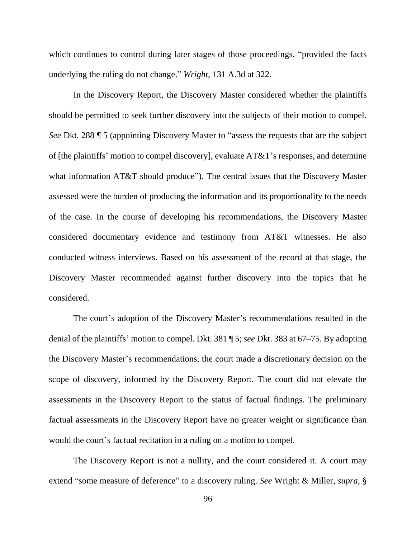which continues to control during later stages of those proceedings, "provided the facts underlying the ruling do not change." *Wright*, 131 A.3d at 322.

In the Discovery Report, the Discovery Master considered whether the plaintiffs should be permitted to seek further discovery into the subjects of their motion to compel. *See* Dkt. 288 ¶ 5 (appointing Discovery Master to "assess the requests that are the subject of [the plaintiffs' motion to compel discovery], evaluate AT&T's responses, and determine what information AT&T should produce"). The central issues that the Discovery Master assessed were the burden of producing the information and its proportionality to the needs of the case. In the course of developing his recommendations, the Discovery Master considered documentary evidence and testimony from AT&T witnesses. He also conducted witness interviews. Based on his assessment of the record at that stage, the Discovery Master recommended against further discovery into the topics that he considered.

The court's adoption of the Discovery Master's recommendations resulted in the denial of the plaintiffs' motion to compel. Dkt. 381 ¶ 5; *see* Dkt. 383 at 67–75. By adopting the Discovery Master's recommendations, the court made a discretionary decision on the scope of discovery, informed by the Discovery Report. The court did not elevate the assessments in the Discovery Report to the status of factual findings. The preliminary factual assessments in the Discovery Report have no greater weight or significance than would the court's factual recitation in a ruling on a motion to compel.

The Discovery Report is not a nullity, and the court considered it. A court may extend "some measure of deference" to a discovery ruling. *See* Wright & Miller, *supra*, §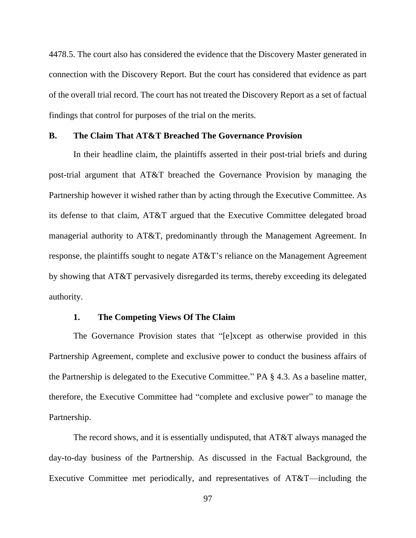4478.5. The court also has considered the evidence that the Discovery Master generated in connection with the Discovery Report. But the court has considered that evidence as part of the overall trial record. The court has not treated the Discovery Report as a set of factual findings that control for purposes of the trial on the merits.

# **B. The Claim That AT&T Breached The Governance Provision**

In their headline claim, the plaintiffs asserted in their post-trial briefs and during post-trial argument that AT&T breached the Governance Provision by managing the Partnership however it wished rather than by acting through the Executive Committee. As its defense to that claim, AT&T argued that the Executive Committee delegated broad managerial authority to AT&T, predominantly through the Management Agreement. In response, the plaintiffs sought to negate AT&T's reliance on the Management Agreement by showing that AT&T pervasively disregarded its terms, thereby exceeding its delegated authority.

# **1. The Competing Views Of The Claim**

The Governance Provision states that "[e]xcept as otherwise provided in this Partnership Agreement, complete and exclusive power to conduct the business affairs of the Partnership is delegated to the Executive Committee." PA § 4.3. As a baseline matter, therefore, the Executive Committee had "complete and exclusive power" to manage the Partnership.

The record shows, and it is essentially undisputed, that AT&T always managed the day-to-day business of the Partnership. As discussed in the Factual Background, the Executive Committee met periodically, and representatives of AT&T—including the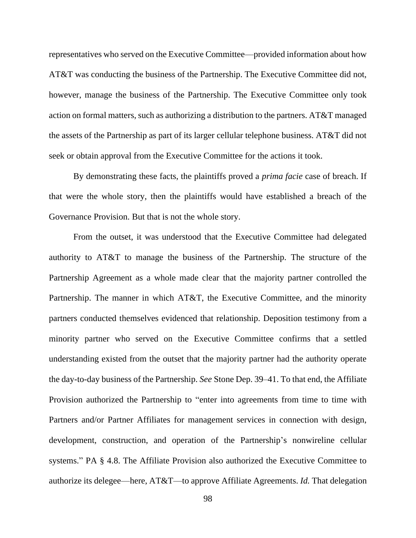representatives who served on the Executive Committee—provided information about how AT&T was conducting the business of the Partnership. The Executive Committee did not, however, manage the business of the Partnership. The Executive Committee only took action on formal matters, such as authorizing a distribution to the partners. AT&T managed the assets of the Partnership as part of its larger cellular telephone business. AT&T did not seek or obtain approval from the Executive Committee for the actions it took.

By demonstrating these facts, the plaintiffs proved a *prima facie* case of breach. If that were the whole story, then the plaintiffs would have established a breach of the Governance Provision. But that is not the whole story.

From the outset, it was understood that the Executive Committee had delegated authority to AT&T to manage the business of the Partnership. The structure of the Partnership Agreement as a whole made clear that the majority partner controlled the Partnership. The manner in which AT&T, the Executive Committee, and the minority partners conducted themselves evidenced that relationship. Deposition testimony from a minority partner who served on the Executive Committee confirms that a settled understanding existed from the outset that the majority partner had the authority operate the day-to-day business of the Partnership. *See* Stone Dep. 39–41. To that end, the Affiliate Provision authorized the Partnership to "enter into agreements from time to time with Partners and/or Partner Affiliates for management services in connection with design, development, construction, and operation of the Partnership's nonwireline cellular systems." PA § 4.8. The Affiliate Provision also authorized the Executive Committee to authorize its delegee—here, AT&T—to approve Affiliate Agreements. *Id.* That delegation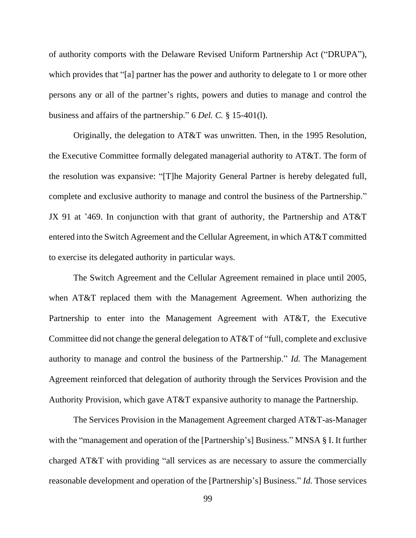of authority comports with the Delaware Revised Uniform Partnership Act ("DRUPA"), which provides that "[a] partner has the power and authority to delegate to 1 or more other persons any or all of the partner's rights, powers and duties to manage and control the business and affairs of the partnership." 6 *Del. C.* § 15-401(l).

Originally, the delegation to AT&T was unwritten. Then, in the 1995 Resolution, the Executive Committee formally delegated managerial authority to AT&T. The form of the resolution was expansive: "[T]he Majority General Partner is hereby delegated full, complete and exclusive authority to manage and control the business of the Partnership." JX 91 at '469. In conjunction with that grant of authority, the Partnership and AT&T entered into the Switch Agreement and the Cellular Agreement, in which AT&T committed to exercise its delegated authority in particular ways.

The Switch Agreement and the Cellular Agreement remained in place until 2005, when AT&T replaced them with the Management Agreement. When authorizing the Partnership to enter into the Management Agreement with AT&T, the Executive Committee did not change the general delegation to AT&T of "full, complete and exclusive authority to manage and control the business of the Partnership." *Id.* The Management Agreement reinforced that delegation of authority through the Services Provision and the Authority Provision, which gave AT&T expansive authority to manage the Partnership.

The Services Provision in the Management Agreement charged AT&T-as-Manager with the "management and operation of the [Partnership's] Business." MNSA § I. It further charged AT&T with providing "all services as are necessary to assure the commercially reasonable development and operation of the [Partnership's] Business." *Id.* Those services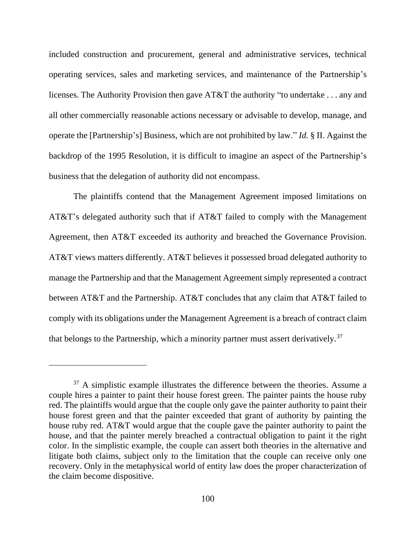included construction and procurement, general and administrative services, technical operating services, sales and marketing services, and maintenance of the Partnership's licenses. The Authority Provision then gave AT&T the authority "to undertake . . . any and all other commercially reasonable actions necessary or advisable to develop, manage, and operate the [Partnership's] Business, which are not prohibited by law." *Id.* § II. Against the backdrop of the 1995 Resolution, it is difficult to imagine an aspect of the Partnership's business that the delegation of authority did not encompass.

The plaintiffs contend that the Management Agreement imposed limitations on AT&T's delegated authority such that if AT&T failed to comply with the Management Agreement, then AT&T exceeded its authority and breached the Governance Provision. AT&T views matters differently. AT&T believes it possessed broad delegated authority to manage the Partnership and that the Management Agreement simply represented a contract between AT&T and the Partnership. AT&T concludes that any claim that AT&T failed to comply with its obligations under the Management Agreement is a breach of contract claim that belongs to the Partnership, which a minority partner must assert derivatively.<sup>37</sup>

 $37$  A simplistic example illustrates the difference between the theories. Assume a couple hires a painter to paint their house forest green. The painter paints the house ruby red. The plaintiffs would argue that the couple only gave the painter authority to paint their house forest green and that the painter exceeded that grant of authority by painting the house ruby red. AT&T would argue that the couple gave the painter authority to paint the house, and that the painter merely breached a contractual obligation to paint it the right color. In the simplistic example, the couple can assert both theories in the alternative and litigate both claims, subject only to the limitation that the couple can receive only one recovery. Only in the metaphysical world of entity law does the proper characterization of the claim become dispositive.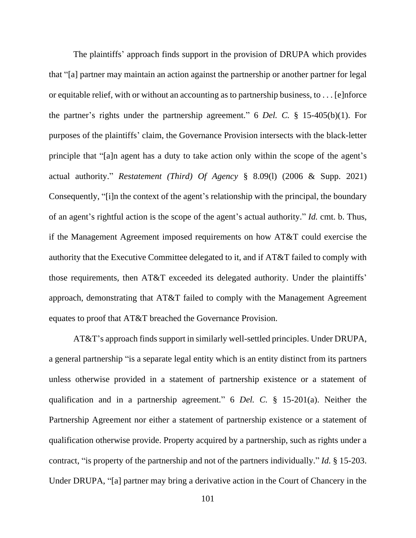The plaintiffs' approach finds support in the provision of DRUPA which provides that "[a] partner may maintain an action against the partnership or another partner for legal or equitable relief, with or without an accounting as to partnership business, to . . . [e]nforce the partner's rights under the partnership agreement." 6 *Del. C.* § 15-405(b)(1). For purposes of the plaintiffs' claim, the Governance Provision intersects with the black-letter principle that "[a]n agent has a duty to take action only within the scope of the agent's actual authority." *Restatement (Third) Of Agency* § 8.09(l) (2006 & Supp. 2021) Consequently, "[i]n the context of the agent's relationship with the principal, the boundary of an agent's rightful action is the scope of the agent's actual authority." *Id.* cmt. b. Thus, if the Management Agreement imposed requirements on how AT&T could exercise the authority that the Executive Committee delegated to it, and if AT&T failed to comply with those requirements, then AT&T exceeded its delegated authority. Under the plaintiffs' approach, demonstrating that AT&T failed to comply with the Management Agreement equates to proof that AT&T breached the Governance Provision.

AT&T's approach finds support in similarly well-settled principles. Under DRUPA, a general partnership "is a separate legal entity which is an entity distinct from its partners unless otherwise provided in a statement of partnership existence or a statement of qualification and in a partnership agreement." 6 *Del. C.* § 15-201(a). Neither the Partnership Agreement nor either a statement of partnership existence or a statement of qualification otherwise provide. Property acquired by a partnership, such as rights under a contract, "is property of the partnership and not of the partners individually." *Id.* § 15-203. Under DRUPA, "[a] partner may bring a derivative action in the Court of Chancery in the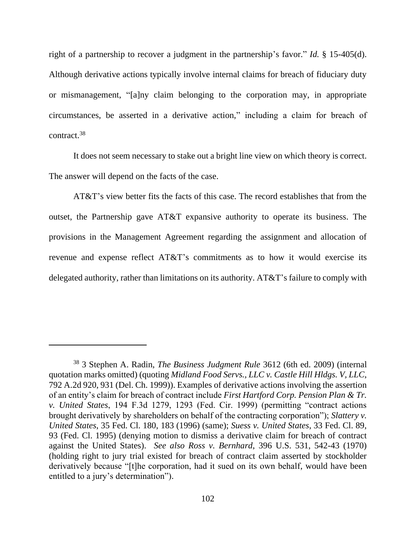right of a partnership to recover a judgment in the partnership's favor." *Id.* § 15-405(d). Although derivative actions typically involve internal claims for breach of fiduciary duty or mismanagement, "[a]ny claim belonging to the corporation may, in appropriate circumstances, be asserted in a derivative action," including a claim for breach of contract.<sup>38</sup>

It does not seem necessary to stake out a bright line view on which theory is correct. The answer will depend on the facts of the case.

AT&T's view better fits the facts of this case. The record establishes that from the outset, the Partnership gave AT&T expansive authority to operate its business. The provisions in the Management Agreement regarding the assignment and allocation of revenue and expense reflect AT&T's commitments as to how it would exercise its delegated authority, rather than limitations on its authority. AT&T's failure to comply with

<sup>38</sup> 3 Stephen A. Radin, *The Business Judgment Rule* 3612 (6th ed. 2009) (internal quotation marks omitted) (quoting *Midland Food Servs., LLC v. Castle Hill Hldgs. V, LLC*, 792 A.2d 920, 931 (Del. Ch. 1999)). Examples of derivative actions involving the assertion of an entity's claim for breach of contract include *First Hartford Corp. Pension Plan & Tr. v. United States*, 194 F.3d 1279, 1293 (Fed. Cir. 1999) (permitting "contract actions brought derivatively by shareholders on behalf of the contracting corporation"); *Slattery v. United States*, 35 Fed. Cl. 180, 183 (1996) (same); *Suess v. United States*, 33 Fed. Cl. 89, 93 (Fed. Cl. 1995) (denying motion to dismiss a derivative claim for breach of contract against the United States). *See also Ross v. Bernhard*, 396 U.S. 531, 542-43 (1970) (holding right to jury trial existed for breach of contract claim asserted by stockholder derivatively because "[t]he corporation, had it sued on its own behalf, would have been entitled to a jury's determination").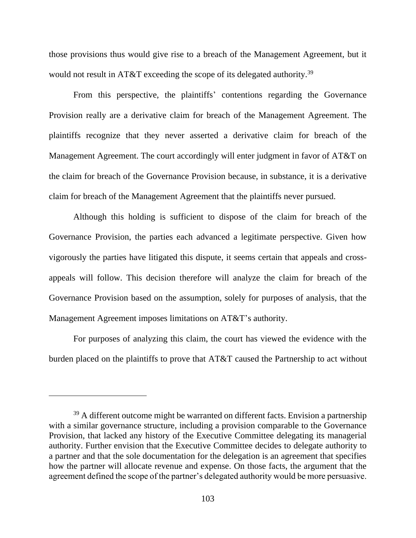those provisions thus would give rise to a breach of the Management Agreement, but it would not result in AT&T exceeding the scope of its delegated authority.<sup>39</sup>

From this perspective, the plaintiffs' contentions regarding the Governance Provision really are a derivative claim for breach of the Management Agreement. The plaintiffs recognize that they never asserted a derivative claim for breach of the Management Agreement. The court accordingly will enter judgment in favor of AT&T on the claim for breach of the Governance Provision because, in substance, it is a derivative claim for breach of the Management Agreement that the plaintiffs never pursued.

Although this holding is sufficient to dispose of the claim for breach of the Governance Provision, the parties each advanced a legitimate perspective. Given how vigorously the parties have litigated this dispute, it seems certain that appeals and crossappeals will follow. This decision therefore will analyze the claim for breach of the Governance Provision based on the assumption, solely for purposes of analysis, that the Management Agreement imposes limitations on AT&T's authority.

For purposes of analyzing this claim, the court has viewed the evidence with the burden placed on the plaintiffs to prove that AT&T caused the Partnership to act without

 $39$  A different outcome might be warranted on different facts. Envision a partnership with a similar governance structure, including a provision comparable to the Governance Provision, that lacked any history of the Executive Committee delegating its managerial authority. Further envision that the Executive Committee decides to delegate authority to a partner and that the sole documentation for the delegation is an agreement that specifies how the partner will allocate revenue and expense. On those facts, the argument that the agreement defined the scope of the partner's delegated authority would be more persuasive.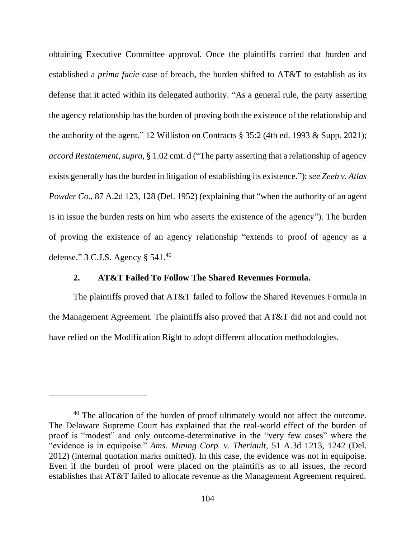obtaining Executive Committee approval. Once the plaintiffs carried that burden and established a *prima facie* case of breach, the burden shifted to AT&T to establish as its defense that it acted within its delegated authority. "As a general rule, the party asserting the agency relationship has the burden of proving both the existence of the relationship and the authority of the agent." 12 Williston on Contracts § 35:2 (4th ed. 1993 & Supp. 2021); *accord Restatement*, *supra*, § 1.02 cmt. d ("The party asserting that a relationship of agency exists generally has the burden in litigation of establishing its existence."); *see Zeeb v. Atlas Powder Co.*, 87 A.2d 123, 128 (Del. 1952) (explaining that "when the authority of an agent is in issue the burden rests on him who asserts the existence of the agency"). The burden of proving the existence of an agency relationship "extends to proof of agency as a defense."  $3 \text{ C.J.S.}$  Agency  $\S 541.^{40}$ 

# **2. AT&T Failed To Follow The Shared Revenues Formula.**

The plaintiffs proved that AT&T failed to follow the Shared Revenues Formula in the Management Agreement. The plaintiffs also proved that AT&T did not and could not have relied on the Modification Right to adopt different allocation methodologies.

<sup>&</sup>lt;sup>40</sup> The allocation of the burden of proof ultimately would not affect the outcome. The Delaware Supreme Court has explained that the real-world effect of the burden of proof is "modest" and only outcome-determinative in the "very few cases" where the "evidence is in equipoise." *Ams. Mining Corp. v. Theriault*, 51 A.3d 1213, 1242 (Del. 2012) (internal quotation marks omitted). In this case, the evidence was not in equipoise. Even if the burden of proof were placed on the plaintiffs as to all issues, the record establishes that AT&T failed to allocate revenue as the Management Agreement required.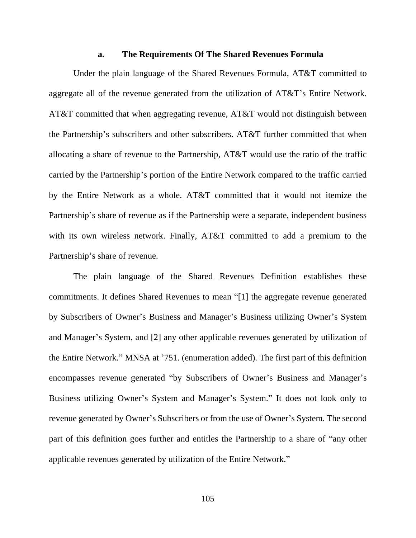#### **a. The Requirements Of The Shared Revenues Formula**

Under the plain language of the Shared Revenues Formula, AT&T committed to aggregate all of the revenue generated from the utilization of AT&T's Entire Network. AT&T committed that when aggregating revenue, AT&T would not distinguish between the Partnership's subscribers and other subscribers. AT&T further committed that when allocating a share of revenue to the Partnership, AT&T would use the ratio of the traffic carried by the Partnership's portion of the Entire Network compared to the traffic carried by the Entire Network as a whole. AT&T committed that it would not itemize the Partnership's share of revenue as if the Partnership were a separate, independent business with its own wireless network. Finally, AT&T committed to add a premium to the Partnership's share of revenue.

The plain language of the Shared Revenues Definition establishes these commitments. It defines Shared Revenues to mean "[1] the aggregate revenue generated by Subscribers of Owner's Business and Manager's Business utilizing Owner's System and Manager's System, and [2] any other applicable revenues generated by utilization of the Entire Network." MNSA at '751. (enumeration added). The first part of this definition encompasses revenue generated "by Subscribers of Owner's Business and Manager's Business utilizing Owner's System and Manager's System." It does not look only to revenue generated by Owner's Subscribers or from the use of Owner's System. The second part of this definition goes further and entitles the Partnership to a share of "any other applicable revenues generated by utilization of the Entire Network."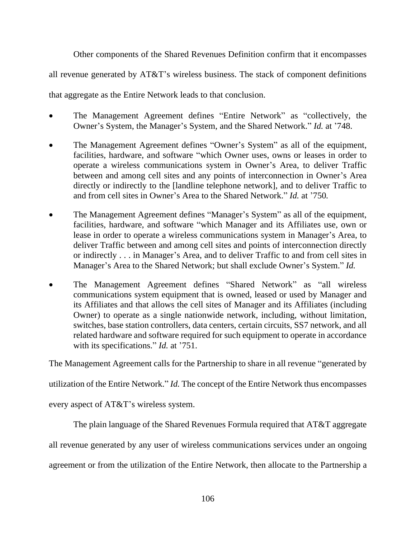Other components of the Shared Revenues Definition confirm that it encompasses

all revenue generated by AT&T's wireless business. The stack of component definitions

that aggregate as the Entire Network leads to that conclusion.

- The Management Agreement defines "Entire Network" as "collectively, the Owner's System, the Manager's System, and the Shared Network." *Id.* at '748.
- The Management Agreement defines "Owner's System" as all of the equipment, facilities, hardware, and software "which Owner uses, owns or leases in order to operate a wireless communications system in Owner's Area, to deliver Traffic between and among cell sites and any points of interconnection in Owner's Area directly or indirectly to the [landline telephone network], and to deliver Traffic to and from cell sites in Owner's Area to the Shared Network." *Id.* at '750*.*
- The Management Agreement defines "Manager's System" as all of the equipment, facilities, hardware, and software "which Manager and its Affiliates use, own or lease in order to operate a wireless communications system in Manager's Area, to deliver Traffic between and among cell sites and points of interconnection directly or indirectly . . . in Manager's Area, and to deliver Traffic to and from cell sites in Manager's Area to the Shared Network; but shall exclude Owner's System." *Id.*
- The Management Agreement defines "Shared Network" as "all wireless communications system equipment that is owned, leased or used by Manager and its Affiliates and that allows the cell sites of Manager and its Affiliates (including Owner) to operate as a single nationwide network, including, without limitation, switches, base station controllers, data centers, certain circuits, SS7 network, and all related hardware and software required for such equipment to operate in accordance with its specifications." *Id.* at '751.

The Management Agreement calls for the Partnership to share in all revenue "generated by

utilization of the Entire Network." *Id.* The concept of the Entire Network thus encompasses

every aspect of AT&T's wireless system.

The plain language of the Shared Revenues Formula required that AT&T aggregate

all revenue generated by any user of wireless communications services under an ongoing

agreement or from the utilization of the Entire Network, then allocate to the Partnership a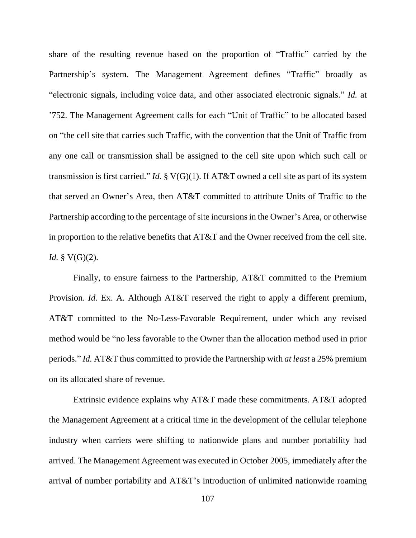share of the resulting revenue based on the proportion of "Traffic" carried by the Partnership's system. The Management Agreement defines "Traffic" broadly as "electronic signals, including voice data, and other associated electronic signals." *Id.* at '752. The Management Agreement calls for each "Unit of Traffic" to be allocated based on "the cell site that carries such Traffic, with the convention that the Unit of Traffic from any one call or transmission shall be assigned to the cell site upon which such call or transmission is first carried." *Id.* § V(G)(1). If AT&T owned a cell site as part of its system that served an Owner's Area, then AT&T committed to attribute Units of Traffic to the Partnership according to the percentage of site incursions in the Owner's Area, or otherwise in proportion to the relative benefits that AT&T and the Owner received from the cell site. *Id.* § V(G)(2).

Finally, to ensure fairness to the Partnership, AT&T committed to the Premium Provision. *Id.* Ex. A. Although AT&T reserved the right to apply a different premium, AT&T committed to the No-Less-Favorable Requirement, under which any revised method would be "no less favorable to the Owner than the allocation method used in prior periods." *Id.* AT&T thus committed to provide the Partnership with *at least* a 25% premium on its allocated share of revenue.

Extrinsic evidence explains why AT&T made these commitments. AT&T adopted the Management Agreement at a critical time in the development of the cellular telephone industry when carriers were shifting to nationwide plans and number portability had arrived. The Management Agreement was executed in October 2005, immediately after the arrival of number portability and AT&T's introduction of unlimited nationwide roaming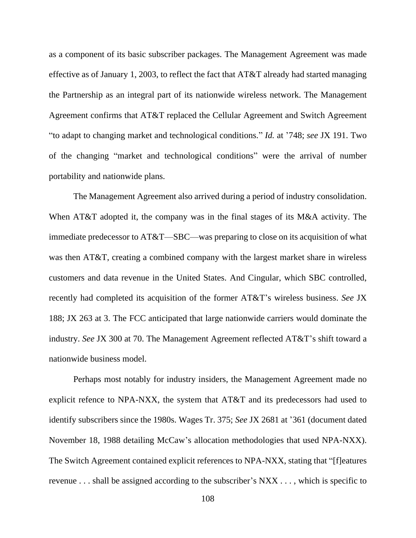as a component of its basic subscriber packages. The Management Agreement was made effective as of January 1, 2003, to reflect the fact that AT&T already had started managing the Partnership as an integral part of its nationwide wireless network. The Management Agreement confirms that AT&T replaced the Cellular Agreement and Switch Agreement "to adapt to changing market and technological conditions." *Id.* at '748; *see* JX 191. Two of the changing "market and technological conditions" were the arrival of number portability and nationwide plans.

The Management Agreement also arrived during a period of industry consolidation. When AT&T adopted it, the company was in the final stages of its M&A activity. The immediate predecessor to AT&T—SBC—was preparing to close on its acquisition of what was then AT&T, creating a combined company with the largest market share in wireless customers and data revenue in the United States. And Cingular, which SBC controlled, recently had completed its acquisition of the former AT&T's wireless business. *See* JX 188; JX 263 at 3. The FCC anticipated that large nationwide carriers would dominate the industry. *See* JX 300 at 70. The Management Agreement reflected AT&T's shift toward a nationwide business model.

Perhaps most notably for industry insiders, the Management Agreement made no explicit refence to NPA-NXX, the system that AT&T and its predecessors had used to identify subscribers since the 1980s. Wages Tr. 375; *See* JX 2681 at '361 (document dated November 18, 1988 detailing McCaw's allocation methodologies that used NPA-NXX). The Switch Agreement contained explicit references to NPA-NXX, stating that "[f]eatures revenue . . . shall be assigned according to the subscriber's NXX . . . , which is specific to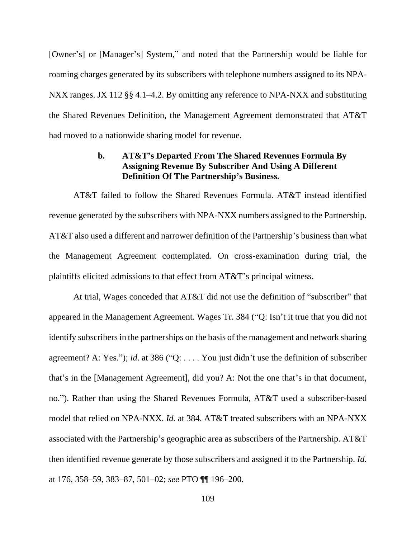[Owner's] or [Manager's] System," and noted that the Partnership would be liable for roaming charges generated by its subscribers with telephone numbers assigned to its NPA-NXX ranges. JX 112 §§ 4.1–4.2. By omitting any reference to NPA-NXX and substituting the Shared Revenues Definition, the Management Agreement demonstrated that AT&T had moved to a nationwide sharing model for revenue.

## **b. AT&T's Departed From The Shared Revenues Formula By Assigning Revenue By Subscriber And Using A Different Definition Of The Partnership's Business.**

AT&T failed to follow the Shared Revenues Formula. AT&T instead identified revenue generated by the subscribers with NPA-NXX numbers assigned to the Partnership. AT&T also used a different and narrower definition of the Partnership's business than what the Management Agreement contemplated. On cross-examination during trial, the plaintiffs elicited admissions to that effect from AT&T's principal witness.

At trial, Wages conceded that AT&T did not use the definition of "subscriber" that appeared in the Management Agreement. Wages Tr. 384 ("Q: Isn't it true that you did not identify subscribers in the partnerships on the basis of the management and network sharing agreement? A: Yes."); *id*. at 386 ("Q: . . . . You just didn't use the definition of subscriber that's in the [Management Agreement], did you? A: Not the one that's in that document, no."). Rather than using the Shared Revenues Formula, AT&T used a subscriber-based model that relied on NPA-NXX. *Id.* at 384. AT&T treated subscribers with an NPA-NXX associated with the Partnership's geographic area as subscribers of the Partnership. AT&T then identified revenue generate by those subscribers and assigned it to the Partnership. *Id.* at 176, 358–59, 383–87, 501–02; *see* PTO ¶¶ 196–200.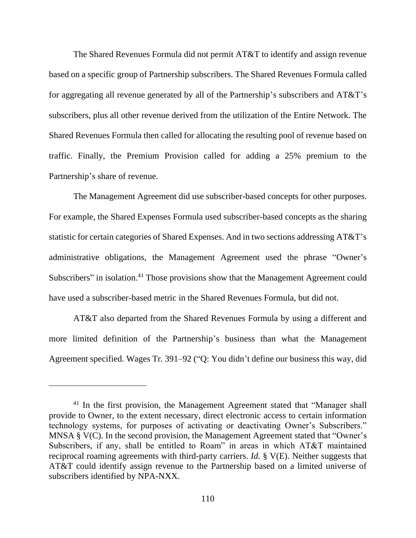The Shared Revenues Formula did not permit AT&T to identify and assign revenue based on a specific group of Partnership subscribers. The Shared Revenues Formula called for aggregating all revenue generated by all of the Partnership's subscribers and AT&T's subscribers, plus all other revenue derived from the utilization of the Entire Network. The Shared Revenues Formula then called for allocating the resulting pool of revenue based on traffic. Finally, the Premium Provision called for adding a 25% premium to the Partnership's share of revenue.

The Management Agreement did use subscriber-based concepts for other purposes. For example, the Shared Expenses Formula used subscriber-based concepts as the sharing statistic for certain categories of Shared Expenses. And in two sections addressing AT&T's administrative obligations, the Management Agreement used the phrase "Owner's Subscribers" in isolation.<sup>41</sup> Those provisions show that the Management Agreement could have used a subscriber-based metric in the Shared Revenues Formula, but did not.

AT&T also departed from the Shared Revenues Formula by using a different and more limited definition of the Partnership's business than what the Management Agreement specified. Wages Tr. 391–92 ("Q: You didn't define our business this way, did

<sup>&</sup>lt;sup>41</sup> In the first provision, the Management Agreement stated that "Manager shall provide to Owner, to the extent necessary, direct electronic access to certain information technology systems, for purposes of activating or deactivating Owner's Subscribers." MNSA § V(C). In the second provision, the Management Agreement stated that "Owner's Subscribers, if any, shall be entitled to Roam" in areas in which AT&T maintained reciprocal roaming agreements with third-party carriers. *Id.* § V(E). Neither suggests that AT&T could identify assign revenue to the Partnership based on a limited universe of subscribers identified by NPA-NXX.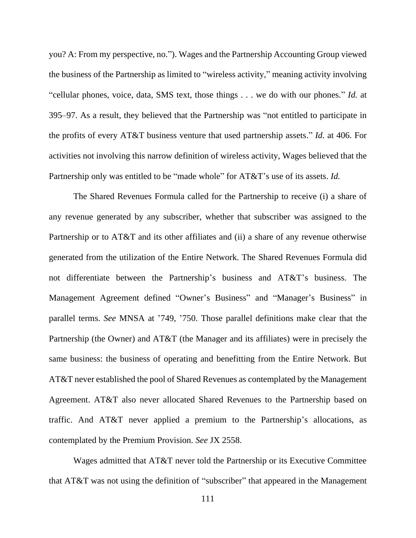you? A: From my perspective, no."). Wages and the Partnership Accounting Group viewed the business of the Partnership as limited to "wireless activity," meaning activity involving "cellular phones, voice, data, SMS text, those things . . . we do with our phones." *Id.* at 395–97. As a result, they believed that the Partnership was "not entitled to participate in the profits of every AT&T business venture that used partnership assets." *Id.* at 406. For activities not involving this narrow definition of wireless activity, Wages believed that the Partnership only was entitled to be "made whole" for AT&T's use of its assets. *Id.*

The Shared Revenues Formula called for the Partnership to receive (i) a share of any revenue generated by any subscriber, whether that subscriber was assigned to the Partnership or to AT&T and its other affiliates and (ii) a share of any revenue otherwise generated from the utilization of the Entire Network. The Shared Revenues Formula did not differentiate between the Partnership's business and AT&T's business. The Management Agreement defined "Owner's Business" and "Manager's Business" in parallel terms. *See* MNSA at '749, '750. Those parallel definitions make clear that the Partnership (the Owner) and AT&T (the Manager and its affiliates) were in precisely the same business: the business of operating and benefitting from the Entire Network. But AT&T never established the pool of Shared Revenues as contemplated by the Management Agreement. AT&T also never allocated Shared Revenues to the Partnership based on traffic. And AT&T never applied a premium to the Partnership's allocations, as contemplated by the Premium Provision. *See* JX 2558.

Wages admitted that AT&T never told the Partnership or its Executive Committee that AT&T was not using the definition of "subscriber" that appeared in the Management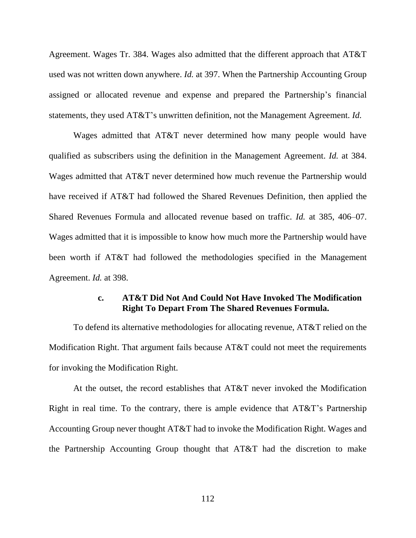Agreement. Wages Tr. 384. Wages also admitted that the different approach that AT&T used was not written down anywhere. *Id.* at 397. When the Partnership Accounting Group assigned or allocated revenue and expense and prepared the Partnership's financial statements, they used AT&T's unwritten definition, not the Management Agreement. *Id.*

Wages admitted that AT&T never determined how many people would have qualified as subscribers using the definition in the Management Agreement. *Id.* at 384. Wages admitted that AT&T never determined how much revenue the Partnership would have received if AT&T had followed the Shared Revenues Definition, then applied the Shared Revenues Formula and allocated revenue based on traffic. *Id.* at 385, 406–07. Wages admitted that it is impossible to know how much more the Partnership would have been worth if AT&T had followed the methodologies specified in the Management Agreement. *Id.* at 398.

### **c. AT&T Did Not And Could Not Have Invoked The Modification Right To Depart From The Shared Revenues Formula.**

To defend its alternative methodologies for allocating revenue, AT&T relied on the Modification Right. That argument fails because AT&T could not meet the requirements for invoking the Modification Right.

At the outset, the record establishes that AT&T never invoked the Modification Right in real time. To the contrary, there is ample evidence that AT&T's Partnership Accounting Group never thought AT&T had to invoke the Modification Right. Wages and the Partnership Accounting Group thought that AT&T had the discretion to make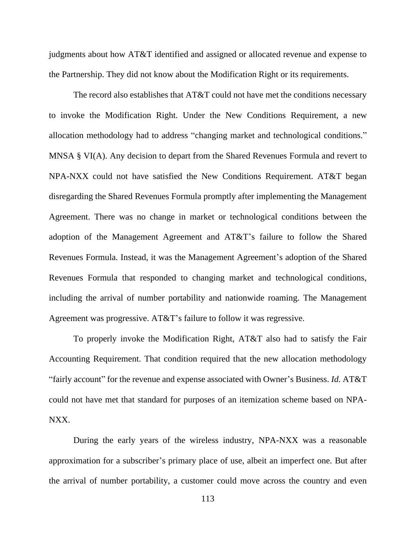judgments about how AT&T identified and assigned or allocated revenue and expense to the Partnership. They did not know about the Modification Right or its requirements.

The record also establishes that AT&T could not have met the conditions necessary to invoke the Modification Right. Under the New Conditions Requirement, a new allocation methodology had to address "changing market and technological conditions." MNSA § VI(A). Any decision to depart from the Shared Revenues Formula and revert to NPA-NXX could not have satisfied the New Conditions Requirement. AT&T began disregarding the Shared Revenues Formula promptly after implementing the Management Agreement. There was no change in market or technological conditions between the adoption of the Management Agreement and AT&T's failure to follow the Shared Revenues Formula. Instead, it was the Management Agreement's adoption of the Shared Revenues Formula that responded to changing market and technological conditions, including the arrival of number portability and nationwide roaming. The Management Agreement was progressive. AT&T's failure to follow it was regressive.

To properly invoke the Modification Right, AT&T also had to satisfy the Fair Accounting Requirement. That condition required that the new allocation methodology "fairly account" for the revenue and expense associated with Owner's Business. *Id.* AT&T could not have met that standard for purposes of an itemization scheme based on NPA-NXX.

During the early years of the wireless industry, NPA-NXX was a reasonable approximation for a subscriber's primary place of use, albeit an imperfect one. But after the arrival of number portability, a customer could move across the country and even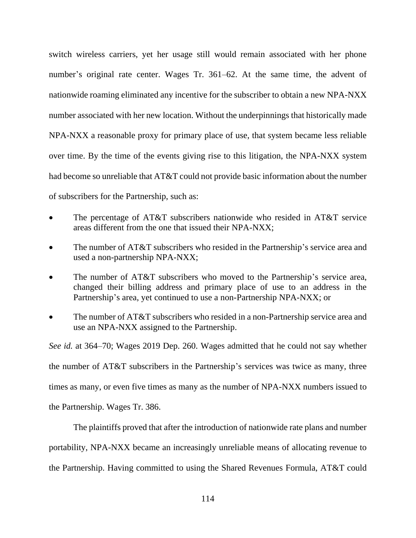switch wireless carriers, yet her usage still would remain associated with her phone number's original rate center. Wages Tr. 361–62. At the same time, the advent of nationwide roaming eliminated any incentive for the subscriber to obtain a new NPA-NXX number associated with her new location. Without the underpinnings that historically made NPA-NXX a reasonable proxy for primary place of use, that system became less reliable over time. By the time of the events giving rise to this litigation, the NPA-NXX system had become so unreliable that AT&T could not provide basic information about the number of subscribers for the Partnership, such as:

- The percentage of AT&T subscribers nationwide who resided in AT&T service areas different from the one that issued their NPA-NXX;
- The number of AT&T subscribers who resided in the Partnership's service area and used a non-partnership NPA-NXX;
- The number of AT&T subscribers who moved to the Partnership's service area, changed their billing address and primary place of use to an address in the Partnership's area, yet continued to use a non-Partnership NPA-NXX; or
- The number of AT&T subscribers who resided in a non-Partnership service area and use an NPA-NXX assigned to the Partnership.

*See id.* at 364–70; Wages 2019 Dep. 260. Wages admitted that he could not say whether the number of AT&T subscribers in the Partnership's services was twice as many, three times as many, or even five times as many as the number of NPA-NXX numbers issued to the Partnership. Wages Tr. 386.

The plaintiffs proved that after the introduction of nationwide rate plans and number portability, NPA-NXX became an increasingly unreliable means of allocating revenue to the Partnership. Having committed to using the Shared Revenues Formula, AT&T could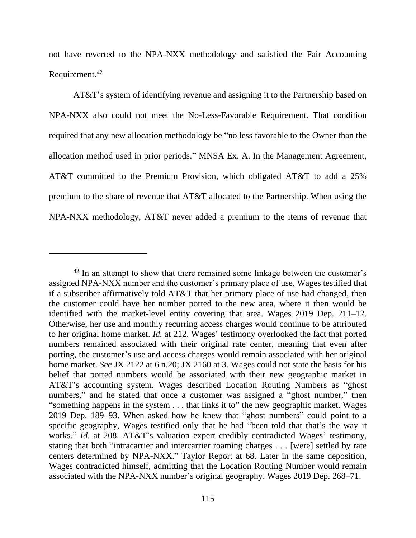not have reverted to the NPA-NXX methodology and satisfied the Fair Accounting Requirement.<sup>42</sup>

AT&T's system of identifying revenue and assigning it to the Partnership based on NPA-NXX also could not meet the No-Less-Favorable Requirement. That condition required that any new allocation methodology be "no less favorable to the Owner than the allocation method used in prior periods." MNSA Ex. A. In the Management Agreement, AT&T committed to the Premium Provision, which obligated AT&T to add a 25% premium to the share of revenue that AT&T allocated to the Partnership. When using the NPA-NXX methodology, AT&T never added a premium to the items of revenue that

 $42$  In an attempt to show that there remained some linkage between the customer's assigned NPA-NXX number and the customer's primary place of use, Wages testified that if a subscriber affirmatively told AT&T that her primary place of use had changed, then the customer could have her number ported to the new area, where it then would be identified with the market-level entity covering that area. Wages 2019 Dep. 211–12. Otherwise, her use and monthly recurring access charges would continue to be attributed to her original home market. *Id.* at 212. Wages' testimony overlooked the fact that ported numbers remained associated with their original rate center, meaning that even after porting, the customer's use and access charges would remain associated with her original home market. *See* JX 2122 at 6 n.20; JX 2160 at 3. Wages could not state the basis for his belief that ported numbers would be associated with their new geographic market in AT&T's accounting system. Wages described Location Routing Numbers as "ghost numbers," and he stated that once a customer was assigned a "ghost number," then "something happens in the system . . . that links it to" the new geographic market. Wages 2019 Dep. 189–93. When asked how he knew that "ghost numbers" could point to a specific geography, Wages testified only that he had "been told that that's the way it works." *Id.* at 208. AT&T's valuation expert credibly contradicted Wages' testimony, stating that both "intracarrier and intercarrier roaming charges . . . [were] settled by rate centers determined by NPA-NXX." Taylor Report at 68. Later in the same deposition, Wages contradicted himself, admitting that the Location Routing Number would remain associated with the NPA-NXX number's original geography. Wages 2019 Dep. 268–71.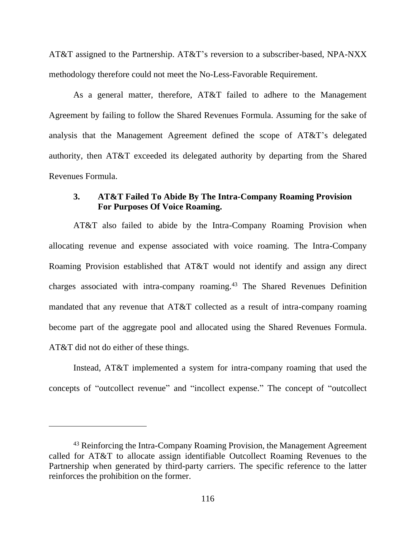AT&T assigned to the Partnership. AT&T's reversion to a subscriber-based, NPA-NXX methodology therefore could not meet the No-Less-Favorable Requirement.

As a general matter, therefore, AT&T failed to adhere to the Management Agreement by failing to follow the Shared Revenues Formula. Assuming for the sake of analysis that the Management Agreement defined the scope of AT&T's delegated authority, then AT&T exceeded its delegated authority by departing from the Shared Revenues Formula.

## **3. AT&T Failed To Abide By The Intra-Company Roaming Provision For Purposes Of Voice Roaming.**

AT&T also failed to abide by the Intra-Company Roaming Provision when allocating revenue and expense associated with voice roaming. The Intra-Company Roaming Provision established that AT&T would not identify and assign any direct charges associated with intra-company roaming.<sup>43</sup> The Shared Revenues Definition mandated that any revenue that AT&T collected as a result of intra-company roaming become part of the aggregate pool and allocated using the Shared Revenues Formula. AT&T did not do either of these things.

Instead, AT&T implemented a system for intra-company roaming that used the concepts of "outcollect revenue" and "incollect expense." The concept of "outcollect

<sup>&</sup>lt;sup>43</sup> Reinforcing the Intra-Company Roaming Provision, the Management Agreement called for AT&T to allocate assign identifiable Outcollect Roaming Revenues to the Partnership when generated by third-party carriers. The specific reference to the latter reinforces the prohibition on the former.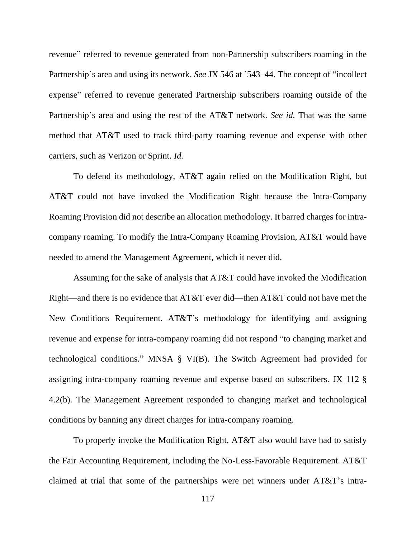revenue" referred to revenue generated from non-Partnership subscribers roaming in the Partnership's area and using its network. *See* JX 546 at '543–44. The concept of "incollect expense" referred to revenue generated Partnership subscribers roaming outside of the Partnership's area and using the rest of the AT&T network. *See id.* That was the same method that AT&T used to track third-party roaming revenue and expense with other carriers, such as Verizon or Sprint. *Id.* 

To defend its methodology, AT&T again relied on the Modification Right, but AT&T could not have invoked the Modification Right because the Intra-Company Roaming Provision did not describe an allocation methodology. It barred charges for intracompany roaming. To modify the Intra-Company Roaming Provision, AT&T would have needed to amend the Management Agreement, which it never did.

Assuming for the sake of analysis that AT&T could have invoked the Modification Right—and there is no evidence that AT&T ever did—then AT&T could not have met the New Conditions Requirement. AT&T's methodology for identifying and assigning revenue and expense for intra-company roaming did not respond "to changing market and technological conditions." MNSA § VI(B). The Switch Agreement had provided for assigning intra-company roaming revenue and expense based on subscribers. JX 112 § 4.2(b). The Management Agreement responded to changing market and technological conditions by banning any direct charges for intra-company roaming.

To properly invoke the Modification Right, AT&T also would have had to satisfy the Fair Accounting Requirement, including the No-Less-Favorable Requirement. AT&T claimed at trial that some of the partnerships were net winners under AT&T's intra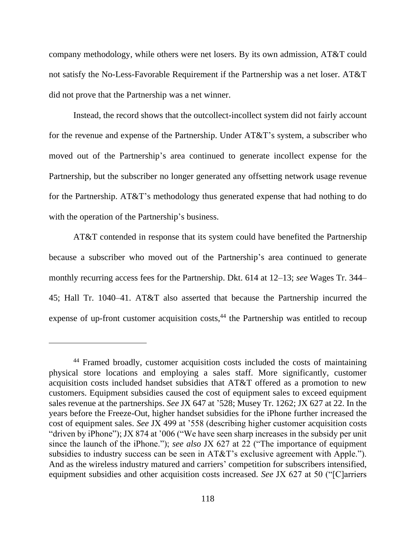company methodology, while others were net losers. By its own admission, AT&T could not satisfy the No-Less-Favorable Requirement if the Partnership was a net loser. AT&T did not prove that the Partnership was a net winner.

Instead, the record shows that the outcollect-incollect system did not fairly account for the revenue and expense of the Partnership. Under AT&T's system, a subscriber who moved out of the Partnership's area continued to generate incollect expense for the Partnership, but the subscriber no longer generated any offsetting network usage revenue for the Partnership. AT&T's methodology thus generated expense that had nothing to do with the operation of the Partnership's business.

AT&T contended in response that its system could have benefited the Partnership because a subscriber who moved out of the Partnership's area continued to generate monthly recurring access fees for the Partnership. Dkt. 614 at 12–13; *see* Wages Tr. 344– 45; Hall Tr. 1040–41. AT&T also asserted that because the Partnership incurred the expense of up-front customer acquisition costs,<sup>44</sup> the Partnership was entitled to recoup

<sup>44</sup> Framed broadly, customer acquisition costs included the costs of maintaining physical store locations and employing a sales staff. More significantly, customer acquisition costs included handset subsidies that AT&T offered as a promotion to new customers. Equipment subsidies caused the cost of equipment sales to exceed equipment sales revenue at the partnerships. *See* JX 647 at '528; Musey Tr. 1262; JX 627 at 22. In the years before the Freeze-Out, higher handset subsidies for the iPhone further increased the cost of equipment sales. *See* JX 499 at '558 (describing higher customer acquisition costs "driven by iPhone"); JX 874 at '006 ("We have seen sharp increases in the subsidy per unit since the launch of the iPhone."); *see also* JX 627 at 22 ("The importance of equipment subsidies to industry success can be seen in AT&T's exclusive agreement with Apple."). And as the wireless industry matured and carriers' competition for subscribers intensified, equipment subsidies and other acquisition costs increased. *See* JX 627 at 50 ("[C]arriers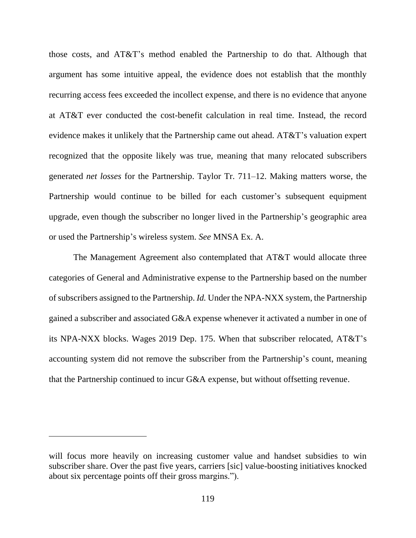those costs, and AT&T's method enabled the Partnership to do that. Although that argument has some intuitive appeal, the evidence does not establish that the monthly recurring access fees exceeded the incollect expense, and there is no evidence that anyone at AT&T ever conducted the cost-benefit calculation in real time. Instead, the record evidence makes it unlikely that the Partnership came out ahead. AT&T's valuation expert recognized that the opposite likely was true, meaning that many relocated subscribers generated *net losses* for the Partnership. Taylor Tr. 711–12. Making matters worse, the Partnership would continue to be billed for each customer's subsequent equipment upgrade, even though the subscriber no longer lived in the Partnership's geographic area or used the Partnership's wireless system. *See* MNSA Ex. A.

The Management Agreement also contemplated that AT&T would allocate three categories of General and Administrative expense to the Partnership based on the number of subscribers assigned to the Partnership. *Id.* Under the NPA-NXX system, the Partnership gained a subscriber and associated G&A expense whenever it activated a number in one of its NPA-NXX blocks. Wages 2019 Dep. 175. When that subscriber relocated, AT&T's accounting system did not remove the subscriber from the Partnership's count, meaning that the Partnership continued to incur G&A expense, but without offsetting revenue.

will focus more heavily on increasing customer value and handset subsidies to win subscriber share. Over the past five years, carriers [sic] value-boosting initiatives knocked about six percentage points off their gross margins.").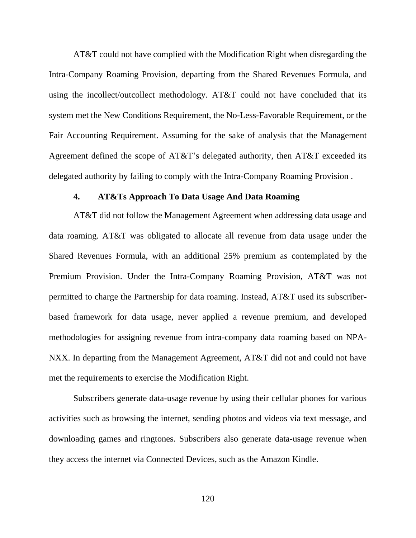AT&T could not have complied with the Modification Right when disregarding the Intra-Company Roaming Provision, departing from the Shared Revenues Formula, and using the incollect/outcollect methodology. AT&T could not have concluded that its system met the New Conditions Requirement, the No-Less-Favorable Requirement, or the Fair Accounting Requirement. Assuming for the sake of analysis that the Management Agreement defined the scope of AT&T's delegated authority, then AT&T exceeded its delegated authority by failing to comply with the Intra-Company Roaming Provision .

#### **4. AT&Ts Approach To Data Usage And Data Roaming**

AT&T did not follow the Management Agreement when addressing data usage and data roaming. AT&T was obligated to allocate all revenue from data usage under the Shared Revenues Formula, with an additional 25% premium as contemplated by the Premium Provision. Under the Intra-Company Roaming Provision, AT&T was not permitted to charge the Partnership for data roaming. Instead, AT&T used its subscriberbased framework for data usage, never applied a revenue premium, and developed methodologies for assigning revenue from intra-company data roaming based on NPA-NXX. In departing from the Management Agreement, AT&T did not and could not have met the requirements to exercise the Modification Right.

Subscribers generate data-usage revenue by using their cellular phones for various activities such as browsing the internet, sending photos and videos via text message, and downloading games and ringtones. Subscribers also generate data-usage revenue when they access the internet via Connected Devices, such as the Amazon Kindle.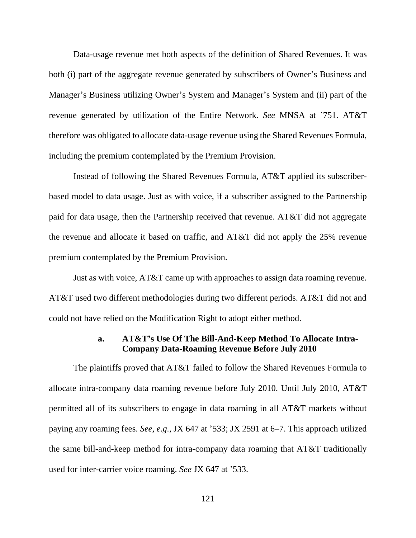Data-usage revenue met both aspects of the definition of Shared Revenues. It was both (i) part of the aggregate revenue generated by subscribers of Owner's Business and Manager's Business utilizing Owner's System and Manager's System and (ii) part of the revenue generated by utilization of the Entire Network. *See* MNSA at '751. AT&T therefore was obligated to allocate data-usage revenue using the Shared Revenues Formula, including the premium contemplated by the Premium Provision.

Instead of following the Shared Revenues Formula, AT&T applied its subscriberbased model to data usage. Just as with voice, if a subscriber assigned to the Partnership paid for data usage, then the Partnership received that revenue. AT&T did not aggregate the revenue and allocate it based on traffic, and AT&T did not apply the 25% revenue premium contemplated by the Premium Provision.

Just as with voice, AT&T came up with approaches to assign data roaming revenue. AT&T used two different methodologies during two different periods. AT&T did not and could not have relied on the Modification Right to adopt either method.

## **a. AT&T's Use Of The Bill-And-Keep Method To Allocate Intra-Company Data-Roaming Revenue Before July 2010**

The plaintiffs proved that AT&T failed to follow the Shared Revenues Formula to allocate intra-company data roaming revenue before July 2010. Until July 2010, AT&T permitted all of its subscribers to engage in data roaming in all AT&T markets without paying any roaming fees. *See, e.g.*, JX 647 at '533; JX 2591 at 6–7. This approach utilized the same bill-and-keep method for intra-company data roaming that AT&T traditionally used for inter-carrier voice roaming. *See* JX 647 at '533.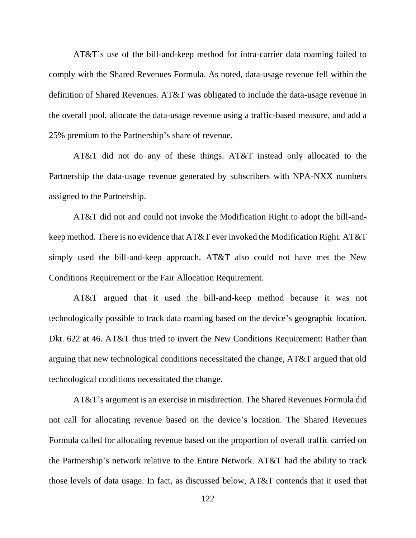AT&T's use of the bill-and-keep method for intra-carrier data roaming failed to comply with the Shared Revenues Formula. As noted, data-usage revenue fell within the definition of Shared Revenues. AT&T was obligated to include the data-usage revenue in the overall pool, allocate the data-usage revenue using a traffic-based measure, and add a 25% premium to the Partnership's share of revenue.

AT&T did not do any of these things. AT&T instead only allocated to the Partnership the data-usage revenue generated by subscribers with NPA-NXX numbers assigned to the Partnership.

AT&T did not and could not invoke the Modification Right to adopt the bill-andkeep method. There is no evidence that AT&T ever invoked the Modification Right. AT&T simply used the bill-and-keep approach. AT&T also could not have met the New Conditions Requirement or the Fair Allocation Requirement.

AT&T argued that it used the bill-and-keep method because it was not technologically possible to track data roaming based on the device's geographic location. Dkt. 622 at 46. AT&T thus tried to invert the New Conditions Requirement: Rather than arguing that new technological conditions necessitated the change, AT&T argued that old technological conditions necessitated the change.

AT&T's argument is an exercise in misdirection. The Shared Revenues Formula did not call for allocating revenue based on the device's location. The Shared Revenues Formula called for allocating revenue based on the proportion of overall traffic carried on the Partnership's network relative to the Entire Network. AT&T had the ability to track those levels of data usage. In fact, as discussed below, AT&T contends that it used that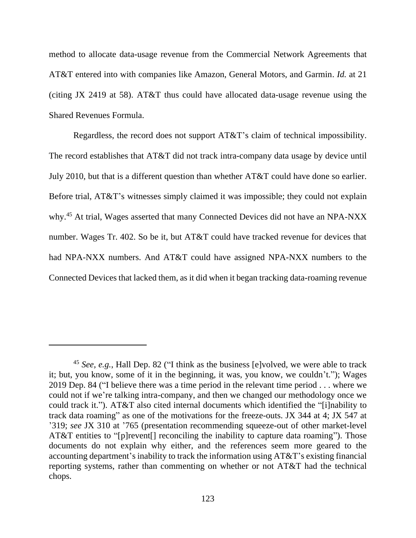method to allocate data-usage revenue from the Commercial Network Agreements that AT&T entered into with companies like Amazon, General Motors, and Garmin. *Id.* at 21 (citing JX 2419 at 58). AT&T thus could have allocated data-usage revenue using the Shared Revenues Formula.

Regardless, the record does not support AT&T's claim of technical impossibility. The record establishes that AT&T did not track intra-company data usage by device until July 2010, but that is a different question than whether AT&T could have done so earlier. Before trial, AT&T's witnesses simply claimed it was impossible; they could not explain why.<sup>45</sup> At trial, Wages asserted that many Connected Devices did not have an NPA-NXX number. Wages Tr. 402. So be it, but AT&T could have tracked revenue for devices that had NPA-NXX numbers. And AT&T could have assigned NPA-NXX numbers to the Connected Devices that lacked them, as it did when it began tracking data-roaming revenue

<sup>45</sup> *See, e.g.*, Hall Dep. 82 ("I think as the business [e]volved, we were able to track it; but, you know, some of it in the beginning, it was, you know, we couldn't."); Wages 2019 Dep. 84 ("I believe there was a time period in the relevant time period . . . where we could not if we're talking intra-company, and then we changed our methodology once we could track it."). AT&T also cited internal documents which identified the "[i]nability to track data roaming" as one of the motivations for the freeze-outs. JX 344 at 4; JX 547 at '319; *see* JX 310 at '765 (presentation recommending squeeze-out of other market-level AT&T entities to "[p]revent[] reconciling the inability to capture data roaming"). Those documents do not explain why either, and the references seem more geared to the accounting department's inability to track the information using AT&T's existing financial reporting systems, rather than commenting on whether or not AT&T had the technical chops.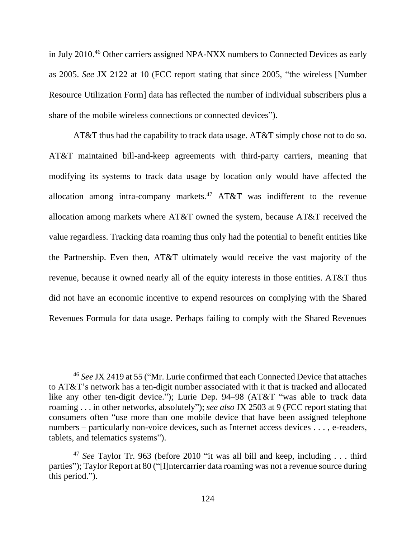in July 2010.<sup>46</sup> Other carriers assigned NPA-NXX numbers to Connected Devices as early as 2005. *See* JX 2122 at 10 (FCC report stating that since 2005, "the wireless [Number Resource Utilization Form] data has reflected the number of individual subscribers plus a share of the mobile wireless connections or connected devices").

AT&T thus had the capability to track data usage. AT&T simply chose not to do so. AT&T maintained bill-and-keep agreements with third-party carriers, meaning that modifying its systems to track data usage by location only would have affected the allocation among intra-company markets.<sup>47</sup> AT&T was indifferent to the revenue allocation among markets where AT&T owned the system, because AT&T received the value regardless. Tracking data roaming thus only had the potential to benefit entities like the Partnership. Even then, AT&T ultimately would receive the vast majority of the revenue, because it owned nearly all of the equity interests in those entities. AT&T thus did not have an economic incentive to expend resources on complying with the Shared Revenues Formula for data usage. Perhaps failing to comply with the Shared Revenues

<sup>46</sup> *See* JX 2419 at 55 ("Mr. Lurie confirmed that each Connected Device that attaches to AT&T's network has a ten-digit number associated with it that is tracked and allocated like any other ten-digit device."); Lurie Dep. 94–98 (AT&T "was able to track data roaming . . . in other networks, absolutely"); *see also* JX 2503 at 9 (FCC report stating that consumers often "use more than one mobile device that have been assigned telephone numbers – particularly non-voice devices, such as Internet access devices . . . , e-readers, tablets, and telematics systems").

<sup>47</sup> *See* Taylor Tr. 963 (before 2010 "it was all bill and keep, including . . . third parties"); Taylor Report at 80 ("[I]ntercarrier data roaming was not a revenue source during this period.").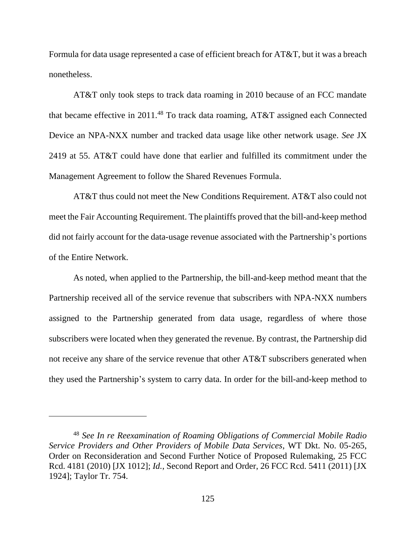Formula for data usage represented a case of efficient breach for AT&T, but it was a breach nonetheless.

AT&T only took steps to track data roaming in 2010 because of an FCC mandate that became effective in 2011.<sup>48</sup> To track data roaming, AT&T assigned each Connected Device an NPA-NXX number and tracked data usage like other network usage. *See* JX 2419 at 55. AT&T could have done that earlier and fulfilled its commitment under the Management Agreement to follow the Shared Revenues Formula.

AT&T thus could not meet the New Conditions Requirement. AT&T also could not meet the Fair Accounting Requirement. The plaintiffs proved that the bill-and-keep method did not fairly account for the data-usage revenue associated with the Partnership's portions of the Entire Network.

As noted, when applied to the Partnership, the bill-and-keep method meant that the Partnership received all of the service revenue that subscribers with NPA-NXX numbers assigned to the Partnership generated from data usage, regardless of where those subscribers were located when they generated the revenue. By contrast, the Partnership did not receive any share of the service revenue that other AT&T subscribers generated when they used the Partnership's system to carry data. In order for the bill-and-keep method to

<sup>48</sup> *See In re Reexamination of Roaming Obligations of Commercial Mobile Radio Service Providers and Other Providers of Mobile Data Services*, WT Dkt. No. 05-265, Order on Reconsideration and Second Further Notice of Proposed Rulemaking, 25 FCC Rcd. 4181 (2010) [JX 1012]; *Id.*, Second Report and Order, 26 FCC Rcd. 5411 (2011) [JX 1924]; Taylor Tr. 754.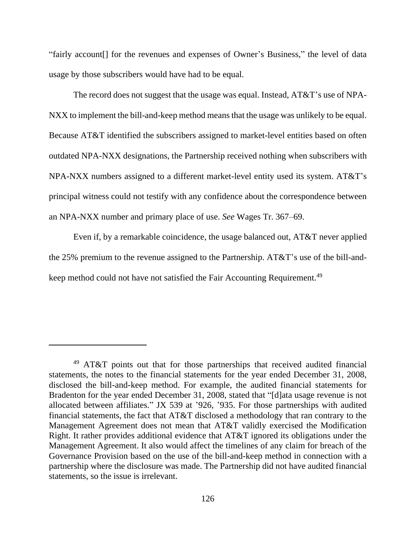"fairly account[] for the revenues and expenses of Owner's Business," the level of data usage by those subscribers would have had to be equal.

The record does not suggest that the usage was equal. Instead, AT&T's use of NPA-NXX to implement the bill-and-keep method means that the usage was unlikely to be equal. Because AT&T identified the subscribers assigned to market-level entities based on often outdated NPA-NXX designations, the Partnership received nothing when subscribers with NPA-NXX numbers assigned to a different market-level entity used its system. AT&T's principal witness could not testify with any confidence about the correspondence between an NPA-NXX number and primary place of use. *See* Wages Tr. 367–69.

Even if, by a remarkable coincidence, the usage balanced out, AT&T never applied the 25% premium to the revenue assigned to the Partnership. AT&T's use of the bill-andkeep method could not have not satisfied the Fair Accounting Requirement.<sup>49</sup>

<sup>49</sup> AT&T points out that for those partnerships that received audited financial statements, the notes to the financial statements for the year ended December 31, 2008, disclosed the bill-and-keep method. For example, the audited financial statements for Bradenton for the year ended December 31, 2008, stated that "[d]ata usage revenue is not allocated between affiliates." JX 539 at '926, '935. For those partnerships with audited financial statements, the fact that AT&T disclosed a methodology that ran contrary to the Management Agreement does not mean that AT&T validly exercised the Modification Right. It rather provides additional evidence that AT&T ignored its obligations under the Management Agreement. It also would affect the timelines of any claim for breach of the Governance Provision based on the use of the bill-and-keep method in connection with a partnership where the disclosure was made. The Partnership did not have audited financial statements, so the issue is irrelevant.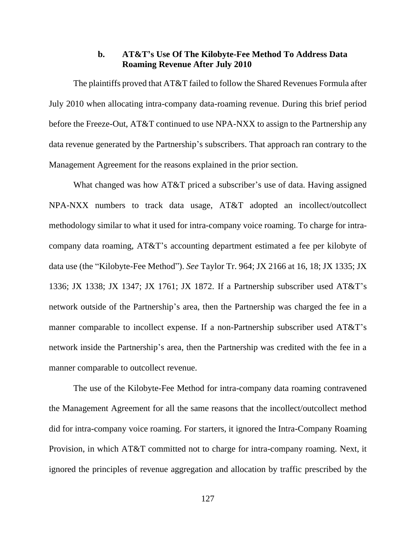### **b. AT&T's Use Of The Kilobyte-Fee Method To Address Data Roaming Revenue After July 2010**

The plaintiffs proved that AT&T failed to follow the Shared Revenues Formula after July 2010 when allocating intra-company data-roaming revenue. During this brief period before the Freeze-Out, AT&T continued to use NPA-NXX to assign to the Partnership any data revenue generated by the Partnership's subscribers. That approach ran contrary to the Management Agreement for the reasons explained in the prior section.

What changed was how AT&T priced a subscriber's use of data. Having assigned NPA-NXX numbers to track data usage, AT&T adopted an incollect/outcollect methodology similar to what it used for intra-company voice roaming. To charge for intracompany data roaming, AT&T's accounting department estimated a fee per kilobyte of data use (the "Kilobyte-Fee Method"). *See* Taylor Tr. 964; JX 2166 at 16, 18; JX 1335; JX 1336; JX 1338; JX 1347; JX 1761; JX 1872. If a Partnership subscriber used AT&T's network outside of the Partnership's area, then the Partnership was charged the fee in a manner comparable to incollect expense. If a non-Partnership subscriber used AT&T's network inside the Partnership's area, then the Partnership was credited with the fee in a manner comparable to outcollect revenue.

The use of the Kilobyte-Fee Method for intra-company data roaming contravened the Management Agreement for all the same reasons that the incollect/outcollect method did for intra-company voice roaming. For starters, it ignored the Intra-Company Roaming Provision, in which AT&T committed not to charge for intra-company roaming. Next, it ignored the principles of revenue aggregation and allocation by traffic prescribed by the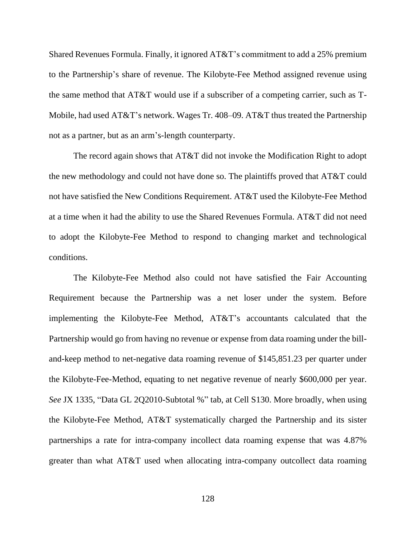Shared Revenues Formula. Finally, it ignored AT&T's commitment to add a 25% premium to the Partnership's share of revenue. The Kilobyte-Fee Method assigned revenue using the same method that AT&T would use if a subscriber of a competing carrier, such as T-Mobile, had used AT&T's network. Wages Tr. 408–09. AT&T thus treated the Partnership not as a partner, but as an arm's-length counterparty.

The record again shows that AT&T did not invoke the Modification Right to adopt the new methodology and could not have done so. The plaintiffs proved that AT&T could not have satisfied the New Conditions Requirement. AT&T used the Kilobyte-Fee Method at a time when it had the ability to use the Shared Revenues Formula. AT&T did not need to adopt the Kilobyte-Fee Method to respond to changing market and technological conditions.

The Kilobyte-Fee Method also could not have satisfied the Fair Accounting Requirement because the Partnership was a net loser under the system. Before implementing the Kilobyte-Fee Method, AT&T's accountants calculated that the Partnership would go from having no revenue or expense from data roaming under the billand-keep method to net-negative data roaming revenue of \$145,851.23 per quarter under the Kilobyte-Fee-Method, equating to net negative revenue of nearly \$600,000 per year. *See* JX 1335, "Data GL 2Q2010-Subtotal %" tab, at Cell S130. More broadly, when using the Kilobyte-Fee Method, AT&T systematically charged the Partnership and its sister partnerships a rate for intra-company incollect data roaming expense that was 4.87% greater than what AT&T used when allocating intra-company outcollect data roaming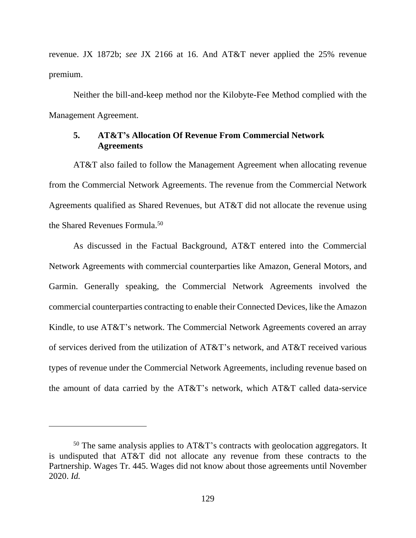revenue. JX 1872b; *see* JX 2166 at 16. And AT&T never applied the 25% revenue premium.

Neither the bill-and-keep method nor the Kilobyte-Fee Method complied with the Management Agreement.

# **5. AT&T's Allocation Of Revenue From Commercial Network Agreements**

AT&T also failed to follow the Management Agreement when allocating revenue from the Commercial Network Agreements. The revenue from the Commercial Network Agreements qualified as Shared Revenues, but AT&T did not allocate the revenue using the Shared Revenues Formula.<sup>50</sup>

As discussed in the Factual Background, AT&T entered into the Commercial Network Agreements with commercial counterparties like Amazon, General Motors, and Garmin. Generally speaking, the Commercial Network Agreements involved the commercial counterparties contracting to enable their Connected Devices, like the Amazon Kindle, to use AT&T's network. The Commercial Network Agreements covered an array of services derived from the utilization of AT&T's network, and AT&T received various types of revenue under the Commercial Network Agreements, including revenue based on the amount of data carried by the AT&T's network, which AT&T called data-service

 $50$  The same analysis applies to AT&T's contracts with geolocation aggregators. It is undisputed that AT&T did not allocate any revenue from these contracts to the Partnership. Wages Tr. 445. Wages did not know about those agreements until November 2020. *Id.*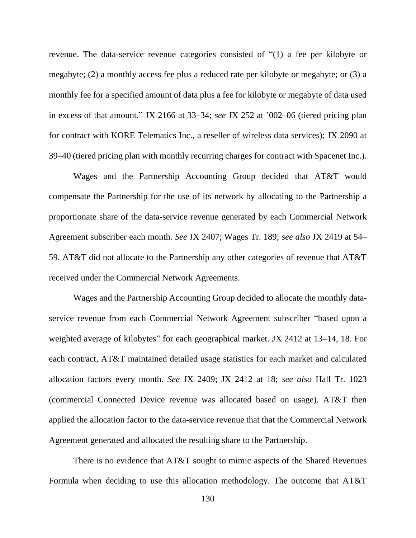revenue. The data-service revenue categories consisted of "(1) a fee per kilobyte or megabyte; (2) a monthly access fee plus a reduced rate per kilobyte or megabyte; or (3) a monthly fee for a specified amount of data plus a fee for kilobyte or megabyte of data used in excess of that amount." JX 2166 at 33–34; *see* JX 252 at '002–06 (tiered pricing plan for contract with KORE Telematics Inc., a reseller of wireless data services); JX 2090 at 39–40 (tiered pricing plan with monthly recurring charges for contract with Spacenet Inc.).

Wages and the Partnership Accounting Group decided that AT&T would compensate the Partnership for the use of its network by allocating to the Partnership a proportionate share of the data-service revenue generated by each Commercial Network Agreement subscriber each month. *See* JX 2407; Wages Tr. 189; *see also* JX 2419 at 54– 59. AT&T did not allocate to the Partnership any other categories of revenue that AT&T received under the Commercial Network Agreements.

Wages and the Partnership Accounting Group decided to allocate the monthly dataservice revenue from each Commercial Network Agreement subscriber "based upon a weighted average of kilobytes" for each geographical market. JX 2412 at 13–14, 18. For each contract, AT&T maintained detailed usage statistics for each market and calculated allocation factors every month. *See* JX 2409; JX 2412 at 18; *see also* Hall Tr. 1023 (commercial Connected Device revenue was allocated based on usage). AT&T then applied the allocation factor to the data-service revenue that that the Commercial Network Agreement generated and allocated the resulting share to the Partnership.

There is no evidence that AT&T sought to mimic aspects of the Shared Revenues Formula when deciding to use this allocation methodology. The outcome that AT&T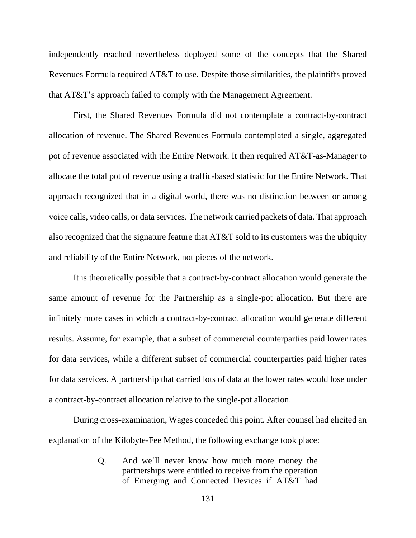independently reached nevertheless deployed some of the concepts that the Shared Revenues Formula required AT&T to use. Despite those similarities, the plaintiffs proved that AT&T's approach failed to comply with the Management Agreement.

First, the Shared Revenues Formula did not contemplate a contract-by-contract allocation of revenue. The Shared Revenues Formula contemplated a single, aggregated pot of revenue associated with the Entire Network. It then required AT&T-as-Manager to allocate the total pot of revenue using a traffic-based statistic for the Entire Network. That approach recognized that in a digital world, there was no distinction between or among voice calls, video calls, or data services. The network carried packets of data. That approach also recognized that the signature feature that AT&T sold to its customers was the ubiquity and reliability of the Entire Network, not pieces of the network.

It is theoretically possible that a contract-by-contract allocation would generate the same amount of revenue for the Partnership as a single-pot allocation. But there are infinitely more cases in which a contract-by-contract allocation would generate different results. Assume, for example, that a subset of commercial counterparties paid lower rates for data services, while a different subset of commercial counterparties paid higher rates for data services. A partnership that carried lots of data at the lower rates would lose under a contract-by-contract allocation relative to the single-pot allocation.

During cross-examination, Wages conceded this point. After counsel had elicited an explanation of the Kilobyte-Fee Method, the following exchange took place:

> Q. And we'll never know how much more money the partnerships were entitled to receive from the operation of Emerging and Connected Devices if AT&T had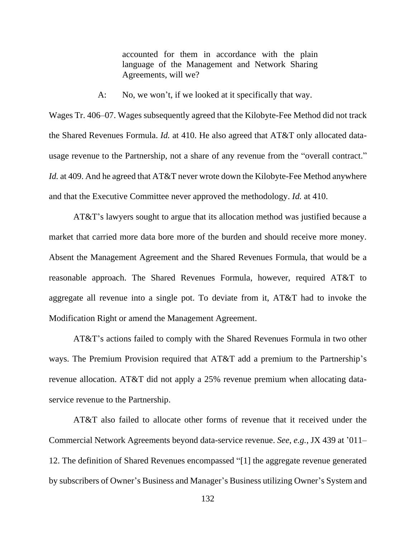accounted for them in accordance with the plain language of the Management and Network Sharing Agreements, will we?

A: No, we won't, if we looked at it specifically that way.

Wages Tr. 406–07. Wages subsequently agreed that the Kilobyte-Fee Method did not track the Shared Revenues Formula. *Id.* at 410. He also agreed that AT&T only allocated datausage revenue to the Partnership, not a share of any revenue from the "overall contract." *Id.* at 409. And he agreed that AT&T never wrote down the Kilobyte-Fee Method anywhere and that the Executive Committee never approved the methodology. *Id.* at 410.

AT&T's lawyers sought to argue that its allocation method was justified because a market that carried more data bore more of the burden and should receive more money. Absent the Management Agreement and the Shared Revenues Formula, that would be a reasonable approach. The Shared Revenues Formula, however, required AT&T to aggregate all revenue into a single pot. To deviate from it, AT&T had to invoke the Modification Right or amend the Management Agreement.

AT&T's actions failed to comply with the Shared Revenues Formula in two other ways. The Premium Provision required that AT&T add a premium to the Partnership's revenue allocation. AT&T did not apply a 25% revenue premium when allocating dataservice revenue to the Partnership.

AT&T also failed to allocate other forms of revenue that it received under the Commercial Network Agreements beyond data-service revenue. *See, e.g.*, JX 439 at '011– 12. The definition of Shared Revenues encompassed "[1] the aggregate revenue generated by subscribers of Owner's Business and Manager's Business utilizing Owner's System and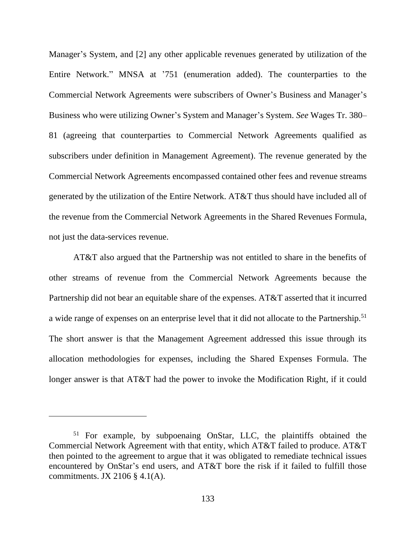Manager's System, and [2] any other applicable revenues generated by utilization of the Entire Network." MNSA at '751 (enumeration added). The counterparties to the Commercial Network Agreements were subscribers of Owner's Business and Manager's Business who were utilizing Owner's System and Manager's System. *See* Wages Tr. 380– 81 (agreeing that counterparties to Commercial Network Agreements qualified as subscribers under definition in Management Agreement). The revenue generated by the Commercial Network Agreements encompassed contained other fees and revenue streams generated by the utilization of the Entire Network. AT&T thus should have included all of the revenue from the Commercial Network Agreements in the Shared Revenues Formula, not just the data-services revenue.

AT&T also argued that the Partnership was not entitled to share in the benefits of other streams of revenue from the Commercial Network Agreements because the Partnership did not bear an equitable share of the expenses. AT&T asserted that it incurred a wide range of expenses on an enterprise level that it did not allocate to the Partnership.<sup>51</sup> The short answer is that the Management Agreement addressed this issue through its allocation methodologies for expenses, including the Shared Expenses Formula. The longer answer is that AT&T had the power to invoke the Modification Right, if it could

<sup>&</sup>lt;sup>51</sup> For example, by subpoenaing OnStar, LLC, the plaintiffs obtained the Commercial Network Agreement with that entity, which AT&T failed to produce. AT&T then pointed to the agreement to argue that it was obligated to remediate technical issues encountered by OnStar's end users, and AT&T bore the risk if it failed to fulfill those commitments. JX 2106 § 4.1(A).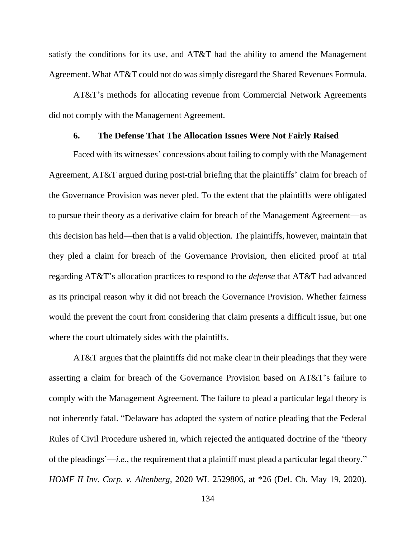satisfy the conditions for its use, and AT&T had the ability to amend the Management Agreement. What AT&T could not do was simply disregard the Shared Revenues Formula.

AT&T's methods for allocating revenue from Commercial Network Agreements did not comply with the Management Agreement.

#### **6. The Defense That The Allocation Issues Were Not Fairly Raised**

Faced with its witnesses' concessions about failing to comply with the Management Agreement, AT&T argued during post-trial briefing that the plaintiffs' claim for breach of the Governance Provision was never pled. To the extent that the plaintiffs were obligated to pursue their theory as a derivative claim for breach of the Management Agreement—as this decision has held—then that is a valid objection. The plaintiffs, however, maintain that they pled a claim for breach of the Governance Provision, then elicited proof at trial regarding AT&T's allocation practices to respond to the *defense* that AT&T had advanced as its principal reason why it did not breach the Governance Provision. Whether fairness would the prevent the court from considering that claim presents a difficult issue, but one where the court ultimately sides with the plaintiffs.

AT&T argues that the plaintiffs did not make clear in their pleadings that they were asserting a claim for breach of the Governance Provision based on AT&T's failure to comply with the Management Agreement. The failure to plead a particular legal theory is not inherently fatal. "Delaware has adopted the system of notice pleading that the Federal Rules of Civil Procedure ushered in, which rejected the antiquated doctrine of the 'theory of the pleadings'—*i.e.*, the requirement that a plaintiff must plead a particular legal theory." *HOMF II Inv. Corp. v. Altenberg*, 2020 WL 2529806, at \*26 (Del. Ch. May 19, 2020).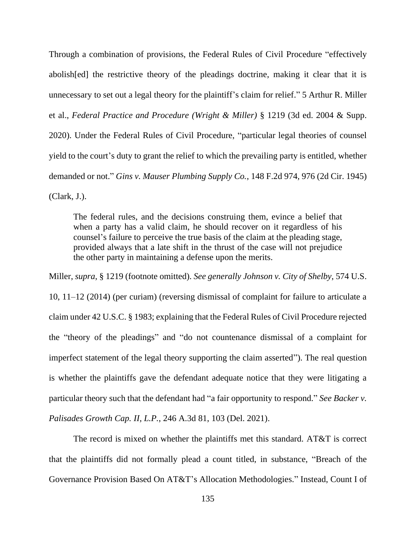Through a combination of provisions, the Federal Rules of Civil Procedure "effectively abolish[ed] the restrictive theory of the pleadings doctrine, making it clear that it is unnecessary to set out a legal theory for the plaintiff's claim for relief." 5 Arthur R. Miller et al., *Federal Practice and Procedure (Wright & Miller)* § 1219 (3d ed. 2004 & Supp. 2020). Under the Federal Rules of Civil Procedure, "particular legal theories of counsel yield to the court's duty to grant the relief to which the prevailing party is entitled, whether demanded or not." *Gins v. Mauser Plumbing Supply Co.*, 148 F.2d 974, 976 (2d Cir. 1945) (Clark, J.).

The federal rules, and the decisions construing them, evince a belief that when a party has a valid claim, he should recover on it regardless of his counsel's failure to perceive the true basis of the claim at the pleading stage, provided always that a late shift in the thrust of the case will not prejudice the other party in maintaining a defense upon the merits.

Miller, *supra*, § 1219 (footnote omitted). *See generally Johnson v. City of Shelby*, 574 U.S. 10, 11–12 (2014) (per curiam) (reversing dismissal of complaint for failure to articulate a claim under 42 U.S.C. § 1983; explaining that the Federal Rules of Civil Procedure rejected the "theory of the pleadings" and "do not countenance dismissal of a complaint for imperfect statement of the legal theory supporting the claim asserted"). The real question is whether the plaintiffs gave the defendant adequate notice that they were litigating a particular theory such that the defendant had "a fair opportunity to respond." *See Backer v. Palisades Growth Cap. II, L.P.*, 246 A.3d 81, 103 (Del. 2021).

The record is mixed on whether the plaintiffs met this standard. AT&T is correct that the plaintiffs did not formally plead a count titled, in substance, "Breach of the Governance Provision Based On AT&T's Allocation Methodologies." Instead, Count I of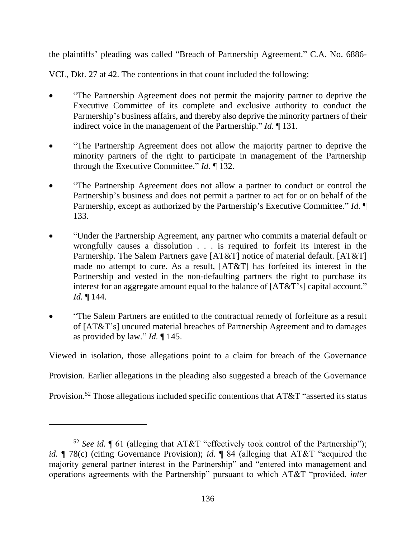the plaintiffs' pleading was called "Breach of Partnership Agreement." C.A. No. 6886-

VCL, Dkt. 27 at 42. The contentions in that count included the following:

- "The Partnership Agreement does not permit the majority partner to deprive the Executive Committee of its complete and exclusive authority to conduct the Partnership's business affairs, and thereby also deprive the minority partners of their indirect voice in the management of the Partnership." *Id.* ¶ 131.
- "The Partnership Agreement does not allow the majority partner to deprive the minority partners of the right to participate in management of the Partnership through the Executive Committee." *Id*. ¶ 132.
- "The Partnership Agreement does not allow a partner to conduct or control the Partnership's business and does not permit a partner to act for or on behalf of the Partnership, except as authorized by the Partnership's Executive Committee." *Id*. ¶ 133.
- "Under the Partnership Agreement, any partner who commits a material default or wrongfully causes a dissolution . . . is required to forfeit its interest in the Partnership. The Salem Partners gave [AT&T] notice of material default. [AT&T] made no attempt to cure. As a result, [AT&T] has forfeited its interest in the Partnership and vested in the non-defaulting partners the right to purchase its interest for an aggregate amount equal to the balance of [AT&T's] capital account." *Id.* ¶ 144.
- "The Salem Partners are entitled to the contractual remedy of forfeiture as a result of [AT&T's] uncured material breaches of Partnership Agreement and to damages as provided by law." *Id.* ¶ 145.

Viewed in isolation, those allegations point to a claim for breach of the Governance

Provision. Earlier allegations in the pleading also suggested a breach of the Governance

Provision.<sup>52</sup> Those allegations included specific contentions that AT&T "asserted its status

<sup>&</sup>lt;sup>52</sup> *See id.*  $\lceil 61 \rceil$  (alleging that AT&T "effectively took control of the Partnership"); *id.* ¶ 78(c) (citing Governance Provision); *id.* ¶ 84 (alleging that AT&T "acquired the majority general partner interest in the Partnership" and "entered into management and operations agreements with the Partnership" pursuant to which AT&T "provided, *inter*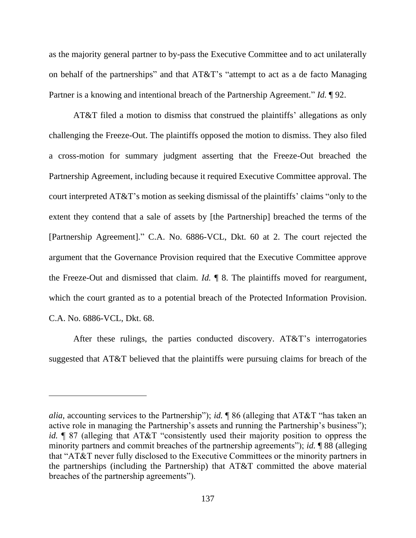as the majority general partner to by-pass the Executive Committee and to act unilaterally on behalf of the partnerships" and that AT&T's "attempt to act as a de facto Managing Partner is a knowing and intentional breach of the Partnership Agreement." *Id.* ¶ 92.

AT&T filed a motion to dismiss that construed the plaintiffs' allegations as only challenging the Freeze-Out. The plaintiffs opposed the motion to dismiss. They also filed a cross-motion for summary judgment asserting that the Freeze-Out breached the Partnership Agreement, including because it required Executive Committee approval. The court interpreted AT&T's motion as seeking dismissal of the plaintiffs' claims "only to the extent they contend that a sale of assets by [the Partnership] breached the terms of the [Partnership Agreement]." C.A. No. 6886-VCL, Dkt. 60 at 2. The court rejected the argument that the Governance Provision required that the Executive Committee approve the Freeze-Out and dismissed that claim. *Id.* ¶ 8. The plaintiffs moved for reargument, which the court granted as to a potential breach of the Protected Information Provision. C.A. No. 6886-VCL, Dkt. 68.

After these rulings, the parties conducted discovery. AT&T's interrogatories suggested that AT&T believed that the plaintiffs were pursuing claims for breach of the

*alia*, accounting services to the Partnership"); *id.* ¶ 86 (alleging that AT&T "has taken an active role in managing the Partnership's assets and running the Partnership's business"); *id.*  $\sqrt{\frac{1}{2}}$  87 (alleging that AT&T "consistently used their majority position to oppress the minority partners and commit breaches of the partnership agreements"); *id.* ¶ 88 (alleging that "AT&T never fully disclosed to the Executive Committees or the minority partners in the partnerships (including the Partnership) that AT&T committed the above material breaches of the partnership agreements").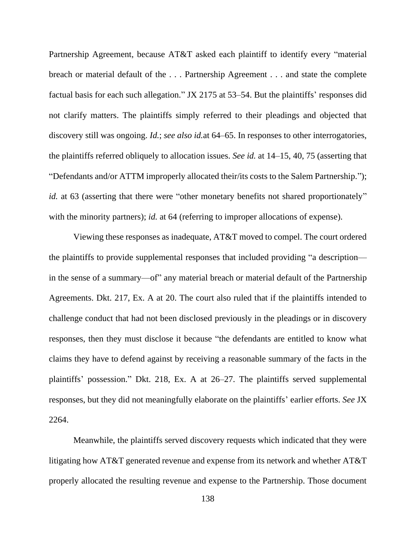Partnership Agreement, because AT&T asked each plaintiff to identify every "material breach or material default of the . . . Partnership Agreement . . . and state the complete factual basis for each such allegation." JX 2175 at 53–54. But the plaintiffs' responses did not clarify matters. The plaintiffs simply referred to their pleadings and objected that discovery still was ongoing. *Id.*; *see also id.*at 64–65. In responses to other interrogatories, the plaintiffs referred obliquely to allocation issues. *See id.* at 14–15, 40, 75 (asserting that "Defendants and/or ATTM improperly allocated their/its costs to the Salem Partnership."); *id.* at 63 (asserting that there were "other monetary benefits not shared proportionately" with the minority partners); *id.* at 64 (referring to improper allocations of expense).

Viewing these responses as inadequate, AT&T moved to compel. The court ordered the plaintiffs to provide supplemental responses that included providing "a description in the sense of a summary—of" any material breach or material default of the Partnership Agreements. Dkt. 217, Ex. A at 20. The court also ruled that if the plaintiffs intended to challenge conduct that had not been disclosed previously in the pleadings or in discovery responses, then they must disclose it because "the defendants are entitled to know what claims they have to defend against by receiving a reasonable summary of the facts in the plaintiffs' possession." Dkt. 218, Ex. A at 26–27. The plaintiffs served supplemental responses, but they did not meaningfully elaborate on the plaintiffs' earlier efforts. *See* JX 2264.

Meanwhile, the plaintiffs served discovery requests which indicated that they were litigating how AT&T generated revenue and expense from its network and whether AT&T properly allocated the resulting revenue and expense to the Partnership. Those document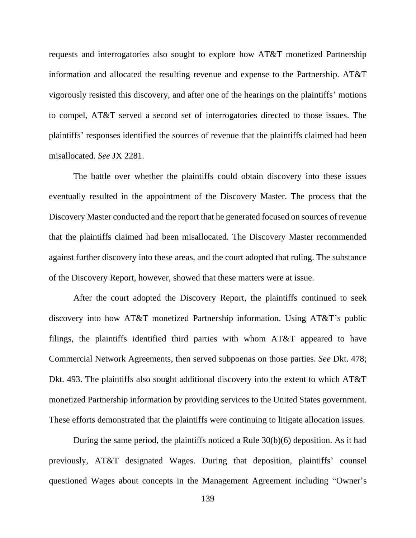requests and interrogatories also sought to explore how AT&T monetized Partnership information and allocated the resulting revenue and expense to the Partnership. AT&T vigorously resisted this discovery, and after one of the hearings on the plaintiffs' motions to compel, AT&T served a second set of interrogatories directed to those issues. The plaintiffs' responses identified the sources of revenue that the plaintiffs claimed had been misallocated. *See* JX 2281.

The battle over whether the plaintiffs could obtain discovery into these issues eventually resulted in the appointment of the Discovery Master. The process that the Discovery Master conducted and the report that he generated focused on sources of revenue that the plaintiffs claimed had been misallocated. The Discovery Master recommended against further discovery into these areas, and the court adopted that ruling. The substance of the Discovery Report, however, showed that these matters were at issue.

After the court adopted the Discovery Report, the plaintiffs continued to seek discovery into how AT&T monetized Partnership information. Using AT&T's public filings, the plaintiffs identified third parties with whom AT&T appeared to have Commercial Network Agreements, then served subpoenas on those parties. *See* Dkt. 478; Dkt. 493. The plaintiffs also sought additional discovery into the extent to which AT&T monetized Partnership information by providing services to the United States government. These efforts demonstrated that the plaintiffs were continuing to litigate allocation issues.

During the same period, the plaintiffs noticed a Rule 30(b)(6) deposition. As it had previously, AT&T designated Wages. During that deposition, plaintiffs' counsel questioned Wages about concepts in the Management Agreement including "Owner's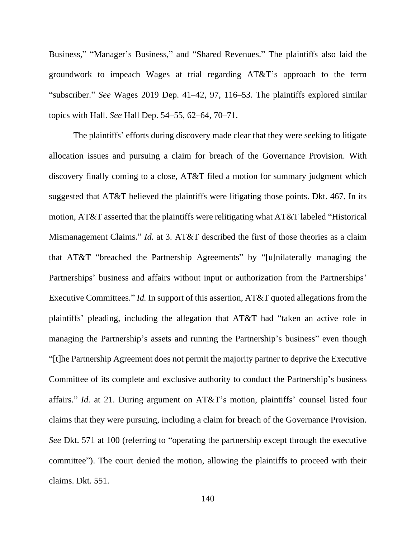Business," "Manager's Business," and "Shared Revenues." The plaintiffs also laid the groundwork to impeach Wages at trial regarding AT&T's approach to the term "subscriber." *See* Wages 2019 Dep. 41–42, 97, 116–53. The plaintiffs explored similar topics with Hall. *See* Hall Dep. 54–55, 62–64, 70–71.

The plaintiffs' efforts during discovery made clear that they were seeking to litigate allocation issues and pursuing a claim for breach of the Governance Provision. With discovery finally coming to a close, AT&T filed a motion for summary judgment which suggested that AT&T believed the plaintiffs were litigating those points. Dkt. 467. In its motion, AT&T asserted that the plaintiffs were relitigating what AT&T labeled "Historical Mismanagement Claims." *Id.* at 3. AT&T described the first of those theories as a claim that AT&T "breached the Partnership Agreements" by "[u]nilaterally managing the Partnerships' business and affairs without input or authorization from the Partnerships' Executive Committees." *Id.* In support of this assertion, AT&T quoted allegations from the plaintiffs' pleading, including the allegation that AT&T had "taken an active role in managing the Partnership's assets and running the Partnership's business" even though "[t]he Partnership Agreement does not permit the majority partner to deprive the Executive Committee of its complete and exclusive authority to conduct the Partnership's business affairs." *Id.* at 21. During argument on AT&T's motion, plaintiffs' counsel listed four claims that they were pursuing, including a claim for breach of the Governance Provision. *See* Dkt. 571 at 100 (referring to "operating the partnership except through the executive committee"). The court denied the motion, allowing the plaintiffs to proceed with their claims. Dkt. 551.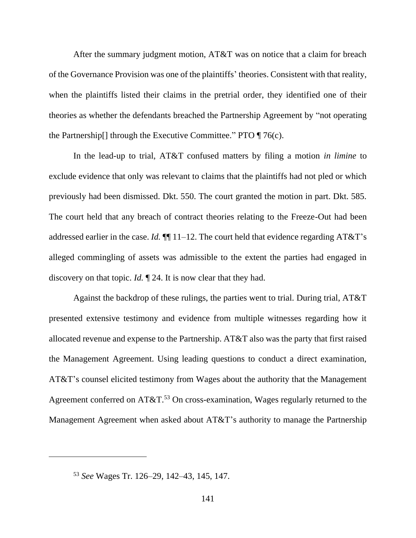After the summary judgment motion, AT&T was on notice that a claim for breach of the Governance Provision was one of the plaintiffs' theories. Consistent with that reality, when the plaintiffs listed their claims in the pretrial order, they identified one of their theories as whether the defendants breached the Partnership Agreement by "not operating the Partnership  $\lceil \cdot \rceil$  through the Executive Committee." PTO  $\lceil \cdot \rceil$  76(c).

In the lead-up to trial, AT&T confused matters by filing a motion *in limine* to exclude evidence that only was relevant to claims that the plaintiffs had not pled or which previously had been dismissed. Dkt. 550. The court granted the motion in part. Dkt. 585. The court held that any breach of contract theories relating to the Freeze-Out had been addressed earlier in the case. *Id.*  $\P$ [11–12. The court held that evidence regarding AT&T's alleged commingling of assets was admissible to the extent the parties had engaged in discovery on that topic. *Id.* ¶ 24. It is now clear that they had.

Against the backdrop of these rulings, the parties went to trial. During trial, AT&T presented extensive testimony and evidence from multiple witnesses regarding how it allocated revenue and expense to the Partnership. AT&T also was the party that first raised the Management Agreement. Using leading questions to conduct a direct examination, AT&T's counsel elicited testimony from Wages about the authority that the Management Agreement conferred on AT&T.<sup>53</sup> On cross-examination, Wages regularly returned to the Management Agreement when asked about AT&T's authority to manage the Partnership

<sup>53</sup> *See* Wages Tr. 126–29, 142–43, 145, 147.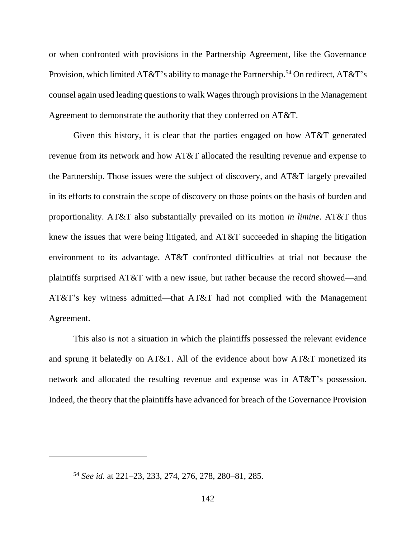or when confronted with provisions in the Partnership Agreement, like the Governance Provision, which limited  $AT&T$ 's ability to manage the Partnership.<sup>54</sup> On redirect,  $AT&T$ 's counsel again used leading questions to walk Wages through provisions in the Management Agreement to demonstrate the authority that they conferred on AT&T.

Given this history, it is clear that the parties engaged on how AT&T generated revenue from its network and how AT&T allocated the resulting revenue and expense to the Partnership. Those issues were the subject of discovery, and AT&T largely prevailed in its efforts to constrain the scope of discovery on those points on the basis of burden and proportionality. AT&T also substantially prevailed on its motion *in limine*. AT&T thus knew the issues that were being litigated, and AT&T succeeded in shaping the litigation environment to its advantage. AT&T confronted difficulties at trial not because the plaintiffs surprised AT&T with a new issue, but rather because the record showed—and AT&T's key witness admitted—that AT&T had not complied with the Management Agreement.

This also is not a situation in which the plaintiffs possessed the relevant evidence and sprung it belatedly on AT&T. All of the evidence about how AT&T monetized its network and allocated the resulting revenue and expense was in AT&T's possession. Indeed, the theory that the plaintiffs have advanced for breach of the Governance Provision

<sup>54</sup> *See id.* at 221–23, 233, 274, 276, 278, 280–81, 285.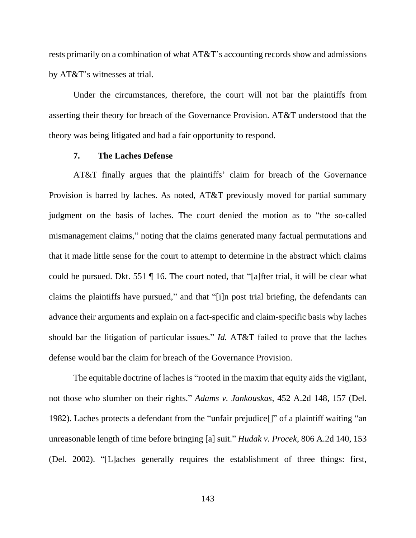rests primarily on a combination of what AT&T's accounting records show and admissions by AT&T's witnesses at trial.

Under the circumstances, therefore, the court will not bar the plaintiffs from asserting their theory for breach of the Governance Provision. AT&T understood that the theory was being litigated and had a fair opportunity to respond.

#### **7. The Laches Defense**

AT&T finally argues that the plaintiffs' claim for breach of the Governance Provision is barred by laches. As noted, AT&T previously moved for partial summary judgment on the basis of laches. The court denied the motion as to "the so-called mismanagement claims," noting that the claims generated many factual permutations and that it made little sense for the court to attempt to determine in the abstract which claims could be pursued. Dkt. 551 ¶ 16. The court noted, that "[a]fter trial, it will be clear what claims the plaintiffs have pursued," and that "[i]n post trial briefing, the defendants can advance their arguments and explain on a fact-specific and claim-specific basis why laches should bar the litigation of particular issues." *Id.* AT&T failed to prove that the laches defense would bar the claim for breach of the Governance Provision.

The equitable doctrine of laches is "rooted in the maxim that equity aids the vigilant, not those who slumber on their rights." *Adams v. Jankouskas*, 452 A.2d 148, 157 (Del. 1982). Laches protects a defendant from the "unfair prejudice[]" of a plaintiff waiting "an unreasonable length of time before bringing [a] suit." *Hudak v. Procek*, 806 A.2d 140, 153 (Del. 2002). "[L]aches generally requires the establishment of three things: first,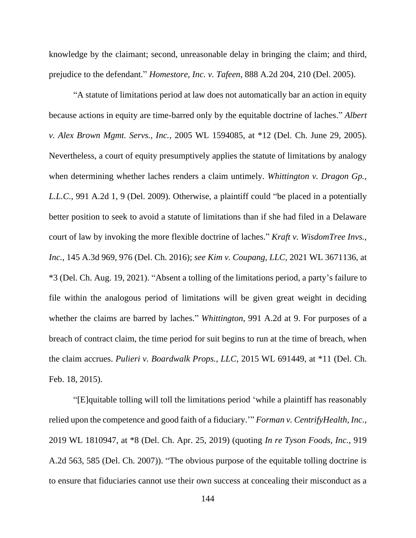knowledge by the claimant; second, unreasonable delay in bringing the claim; and third, prejudice to the defendant." *Homestore, Inc. v. Tafeen*, 888 A.2d 204, 210 (Del. 2005).

"A statute of limitations period at law does not automatically bar an action in equity because actions in equity are time-barred only by the equitable doctrine of laches." *Albert v. Alex Brown Mgmt. Servs., Inc.*, 2005 WL 1594085, at \*12 (Del. Ch. June 29, 2005). Nevertheless, a court of equity presumptively applies the statute of limitations by analogy when determining whether laches renders a claim untimely. *Whittington v. Dragon Gp., L.L.C.*, 991 A.2d 1, 9 (Del. 2009). Otherwise, a plaintiff could "be placed in a potentially better position to seek to avoid a statute of limitations than if she had filed in a Delaware court of law by invoking the more flexible doctrine of laches." *Kraft v. WisdomTree Invs., Inc.*, 145 A.3d 969, 976 (Del. Ch. 2016); *see Kim v. Coupang, LLC*, 2021 WL 3671136, at \*3 (Del. Ch. Aug. 19, 2021). "Absent a tolling of the limitations period, a party's failure to file within the analogous period of limitations will be given great weight in deciding whether the claims are barred by laches." *Whittington*, 991 A.2d at 9. For purposes of a breach of contract claim, the time period for suit begins to run at the time of breach, when the claim accrues. *Pulieri v. Boardwalk Props., LLC*, 2015 WL 691449, at \*11 (Del. Ch. Feb. 18, 2015).

"[E]quitable tolling will toll the limitations period 'while a plaintiff has reasonably relied upon the competence and good faith of a fiduciary.'" *Forman v. CentrifyHealth, Inc.*, 2019 WL 1810947, at \*8 (Del. Ch. Apr. 25, 2019) (quoting *In re Tyson Foods, Inc.*, 919 A.2d 563, 585 (Del. Ch. 2007)). "The obvious purpose of the equitable tolling doctrine is to ensure that fiduciaries cannot use their own success at concealing their misconduct as a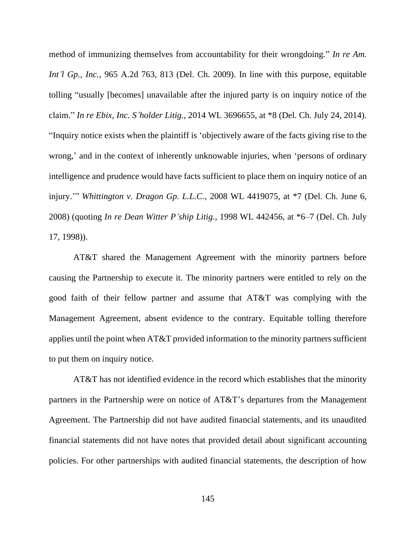method of immunizing themselves from accountability for their wrongdoing." *In re Am. Int'l Gp., Inc.*, 965 A.2d 763, 813 (Del. Ch. 2009). In line with this purpose, equitable tolling "usually [becomes] unavailable after the injured party is on inquiry notice of the claim." *In re Ebix, Inc. S'holder Litig.*, 2014 WL 3696655, at \*8 (Del. Ch. July 24, 2014). "Inquiry notice exists when the plaintiff is 'objectively aware of the facts giving rise to the wrong,' and in the context of inherently unknowable injuries, when 'persons of ordinary intelligence and prudence would have facts sufficient to place them on inquiry notice of an injury.'" *Whittington v. Dragon Gp. L.L.C.*, 2008 WL 4419075, at \*7 (Del. Ch. June 6, 2008) (quoting *In re Dean Witter P'ship Litig.*, 1998 WL 442456, at \*6–7 (Del. Ch. July 17, 1998)).

AT&T shared the Management Agreement with the minority partners before causing the Partnership to execute it. The minority partners were entitled to rely on the good faith of their fellow partner and assume that AT&T was complying with the Management Agreement, absent evidence to the contrary. Equitable tolling therefore applies until the point when AT&T provided information to the minority partners sufficient to put them on inquiry notice.

AT&T has not identified evidence in the record which establishes that the minority partners in the Partnership were on notice of AT&T's departures from the Management Agreement. The Partnership did not have audited financial statements, and its unaudited financial statements did not have notes that provided detail about significant accounting policies. For other partnerships with audited financial statements, the description of how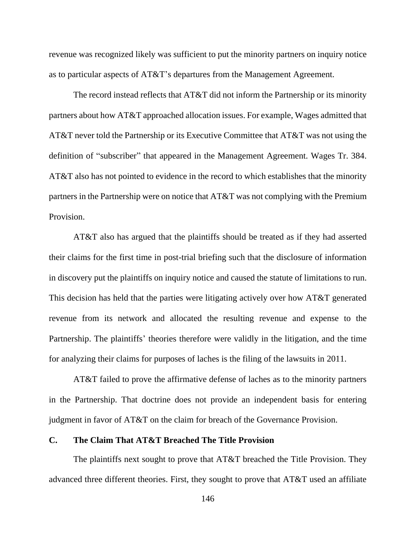revenue was recognized likely was sufficient to put the minority partners on inquiry notice as to particular aspects of AT&T's departures from the Management Agreement.

The record instead reflects that AT&T did not inform the Partnership or its minority partners about how AT&T approached allocation issues. For example, Wages admitted that AT&T never told the Partnership or its Executive Committee that AT&T was not using the definition of "subscriber" that appeared in the Management Agreement. Wages Tr. 384. AT&T also has not pointed to evidence in the record to which establishes that the minority partners in the Partnership were on notice that AT&T was not complying with the Premium Provision.

AT&T also has argued that the plaintiffs should be treated as if they had asserted their claims for the first time in post-trial briefing such that the disclosure of information in discovery put the plaintiffs on inquiry notice and caused the statute of limitations to run. This decision has held that the parties were litigating actively over how AT&T generated revenue from its network and allocated the resulting revenue and expense to the Partnership. The plaintiffs' theories therefore were validly in the litigation, and the time for analyzing their claims for purposes of laches is the filing of the lawsuits in 2011.

AT&T failed to prove the affirmative defense of laches as to the minority partners in the Partnership. That doctrine does not provide an independent basis for entering judgment in favor of AT&T on the claim for breach of the Governance Provision.

## **C. The Claim That AT&T Breached The Title Provision**

The plaintiffs next sought to prove that AT&T breached the Title Provision. They advanced three different theories. First, they sought to prove that AT&T used an affiliate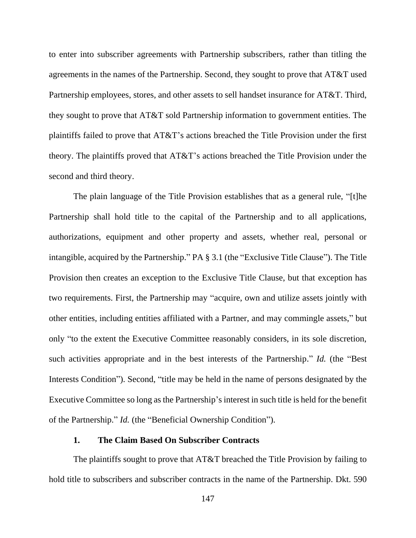to enter into subscriber agreements with Partnership subscribers, rather than titling the agreements in the names of the Partnership. Second, they sought to prove that AT&T used Partnership employees, stores, and other assets to sell handset insurance for AT&T. Third, they sought to prove that AT&T sold Partnership information to government entities. The plaintiffs failed to prove that AT&T's actions breached the Title Provision under the first theory. The plaintiffs proved that AT&T's actions breached the Title Provision under the second and third theory.

The plain language of the Title Provision establishes that as a general rule, "[t]he Partnership shall hold title to the capital of the Partnership and to all applications, authorizations, equipment and other property and assets, whether real, personal or intangible, acquired by the Partnership." PA § 3.1 (the "Exclusive Title Clause"). The Title Provision then creates an exception to the Exclusive Title Clause, but that exception has two requirements. First, the Partnership may "acquire, own and utilize assets jointly with other entities, including entities affiliated with a Partner, and may commingle assets," but only "to the extent the Executive Committee reasonably considers, in its sole discretion, such activities appropriate and in the best interests of the Partnership." *Id.* (the "Best Interests Condition"). Second, "title may be held in the name of persons designated by the Executive Committee so long as the Partnership's interest in such title is held for the benefit of the Partnership." *Id.* (the "Beneficial Ownership Condition").

## **1. The Claim Based On Subscriber Contracts**

The plaintiffs sought to prove that AT&T breached the Title Provision by failing to hold title to subscribers and subscriber contracts in the name of the Partnership. Dkt. 590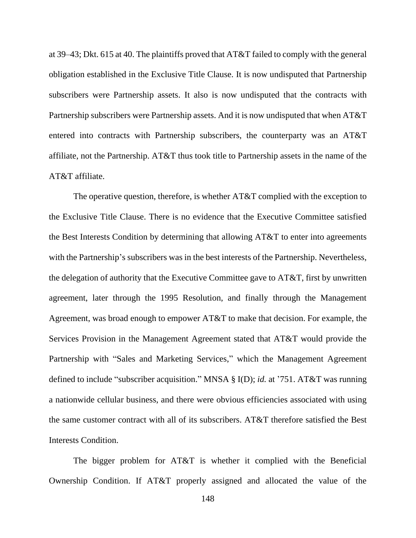at 39–43; Dkt. 615 at 40. The plaintiffs proved that AT&T failed to comply with the general obligation established in the Exclusive Title Clause. It is now undisputed that Partnership subscribers were Partnership assets. It also is now undisputed that the contracts with Partnership subscribers were Partnership assets. And it is now undisputed that when AT&T entered into contracts with Partnership subscribers, the counterparty was an AT&T affiliate, not the Partnership. AT&T thus took title to Partnership assets in the name of the AT&T affiliate.

The operative question, therefore, is whether AT&T complied with the exception to the Exclusive Title Clause. There is no evidence that the Executive Committee satisfied the Best Interests Condition by determining that allowing AT&T to enter into agreements with the Partnership's subscribers was in the best interests of the Partnership. Nevertheless, the delegation of authority that the Executive Committee gave to AT&T, first by unwritten agreement, later through the 1995 Resolution, and finally through the Management Agreement, was broad enough to empower AT&T to make that decision. For example, the Services Provision in the Management Agreement stated that AT&T would provide the Partnership with "Sales and Marketing Services," which the Management Agreement defined to include "subscriber acquisition." MNSA § I(D); *id.* at '751. AT&T was running a nationwide cellular business, and there were obvious efficiencies associated with using the same customer contract with all of its subscribers. AT&T therefore satisfied the Best Interests Condition.

The bigger problem for AT&T is whether it complied with the Beneficial Ownership Condition. If AT&T properly assigned and allocated the value of the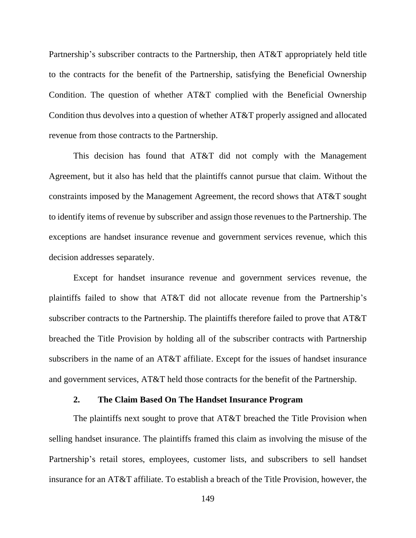Partnership's subscriber contracts to the Partnership, then AT&T appropriately held title to the contracts for the benefit of the Partnership, satisfying the Beneficial Ownership Condition. The question of whether AT&T complied with the Beneficial Ownership Condition thus devolves into a question of whether AT&T properly assigned and allocated revenue from those contracts to the Partnership.

This decision has found that AT&T did not comply with the Management Agreement, but it also has held that the plaintiffs cannot pursue that claim. Without the constraints imposed by the Management Agreement, the record shows that AT&T sought to identify items of revenue by subscriber and assign those revenues to the Partnership. The exceptions are handset insurance revenue and government services revenue, which this decision addresses separately.

Except for handset insurance revenue and government services revenue, the plaintiffs failed to show that AT&T did not allocate revenue from the Partnership's subscriber contracts to the Partnership. The plaintiffs therefore failed to prove that AT&T breached the Title Provision by holding all of the subscriber contracts with Partnership subscribers in the name of an AT&T affiliate. Except for the issues of handset insurance and government services, AT&T held those contracts for the benefit of the Partnership.

#### **2. The Claim Based On The Handset Insurance Program**

The plaintiffs next sought to prove that AT&T breached the Title Provision when selling handset insurance. The plaintiffs framed this claim as involving the misuse of the Partnership's retail stores, employees, customer lists, and subscribers to sell handset insurance for an AT&T affiliate. To establish a breach of the Title Provision, however, the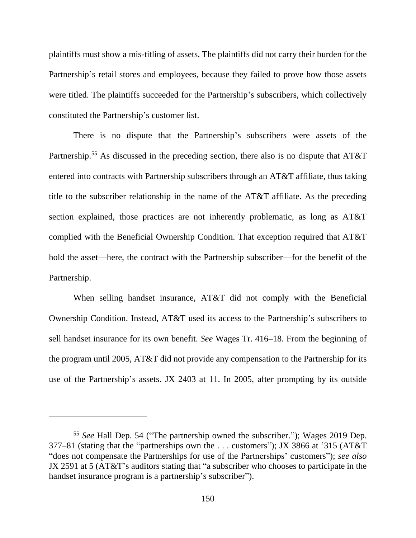plaintiffs must show a mis-titling of assets. The plaintiffs did not carry their burden for the Partnership's retail stores and employees, because they failed to prove how those assets were titled. The plaintiffs succeeded for the Partnership's subscribers, which collectively constituted the Partnership's customer list.

There is no dispute that the Partnership's subscribers were assets of the Partnership.<sup>55</sup> As discussed in the preceding section, there also is no dispute that AT&T entered into contracts with Partnership subscribers through an AT&T affiliate, thus taking title to the subscriber relationship in the name of the AT&T affiliate. As the preceding section explained, those practices are not inherently problematic, as long as AT&T complied with the Beneficial Ownership Condition. That exception required that AT&T hold the asset—here, the contract with the Partnership subscriber—for the benefit of the Partnership.

When selling handset insurance, AT&T did not comply with the Beneficial Ownership Condition. Instead, AT&T used its access to the Partnership's subscribers to sell handset insurance for its own benefit. *See* Wages Tr. 416–18. From the beginning of the program until 2005, AT&T did not provide any compensation to the Partnership for its use of the Partnership's assets. JX 2403 at 11. In 2005, after prompting by its outside

<sup>55</sup> *See* Hall Dep. 54 ("The partnership owned the subscriber."); Wages 2019 Dep. 377–81 (stating that the "partnerships own the . . . customers"); JX 3866 at '315 (AT&T "does not compensate the Partnerships for use of the Partnerships' customers"); *see also* JX 2591 at 5 (AT&T's auditors stating that "a subscriber who chooses to participate in the handset insurance program is a partnership's subscriber").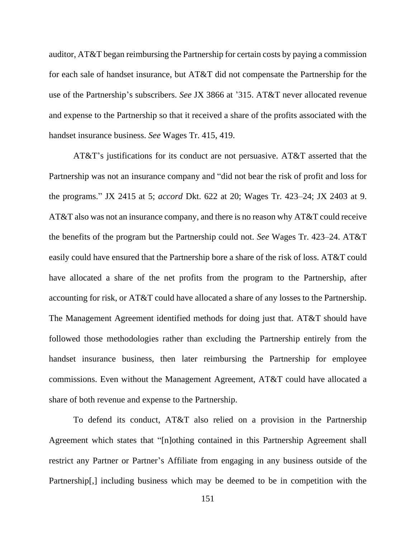auditor, AT&T began reimbursing the Partnership for certain costs by paying a commission for each sale of handset insurance, but AT&T did not compensate the Partnership for the use of the Partnership's subscribers. *See* JX 3866 at '315. AT&T never allocated revenue and expense to the Partnership so that it received a share of the profits associated with the handset insurance business. *See* Wages Tr. 415, 419.

AT&T's justifications for its conduct are not persuasive. AT&T asserted that the Partnership was not an insurance company and "did not bear the risk of profit and loss for the programs." JX 2415 at 5; *accord* Dkt. 622 at 20; Wages Tr. 423–24; JX 2403 at 9. AT&T also was not an insurance company, and there is no reason why AT&T could receive the benefits of the program but the Partnership could not. *See* Wages Tr. 423–24. AT&T easily could have ensured that the Partnership bore a share of the risk of loss. AT&T could have allocated a share of the net profits from the program to the Partnership, after accounting for risk, or AT&T could have allocated a share of any losses to the Partnership. The Management Agreement identified methods for doing just that. AT&T should have followed those methodologies rather than excluding the Partnership entirely from the handset insurance business, then later reimbursing the Partnership for employee commissions. Even without the Management Agreement, AT&T could have allocated a share of both revenue and expense to the Partnership.

To defend its conduct, AT&T also relied on a provision in the Partnership Agreement which states that "[n]othing contained in this Partnership Agreement shall restrict any Partner or Partner's Affiliate from engaging in any business outside of the Partnership[,] including business which may be deemed to be in competition with the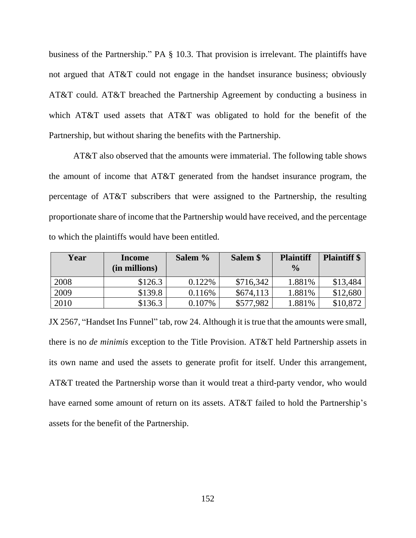business of the Partnership." PA § 10.3. That provision is irrelevant. The plaintiffs have not argued that AT&T could not engage in the handset insurance business; obviously AT&T could. AT&T breached the Partnership Agreement by conducting a business in which AT&T used assets that AT&T was obligated to hold for the benefit of the Partnership, but without sharing the benefits with the Partnership.

AT&T also observed that the amounts were immaterial. The following table shows the amount of income that AT&T generated from the handset insurance program, the percentage of AT&T subscribers that were assigned to the Partnership, the resulting proportionate share of income that the Partnership would have received, and the percentage to which the plaintiffs would have been entitled.

| Year | <b>Income</b><br>(in millions) | Salem % | Salem \$  | <b>Plaintiff</b><br>$\frac{0}{0}$ | <b>Plaintiff</b> \$ |
|------|--------------------------------|---------|-----------|-----------------------------------|---------------------|
| 2008 | \$126.3                        | 0.122\% | \$716,342 | 1.881%                            | \$13,484            |
| 2009 | \$139.8                        | 0.116\% | \$674,113 | 1.881%                            | \$12,680            |
| 2010 | \$136.3                        | 0.107%  | \$577,982 | 1.881%                            | \$10,872            |

JX 2567, "Handset Ins Funnel" tab, row 24. Although it is true that the amounts were small, there is no *de minimis* exception to the Title Provision. AT&T held Partnership assets in its own name and used the assets to generate profit for itself. Under this arrangement, AT&T treated the Partnership worse than it would treat a third-party vendor, who would have earned some amount of return on its assets. AT&T failed to hold the Partnership's assets for the benefit of the Partnership.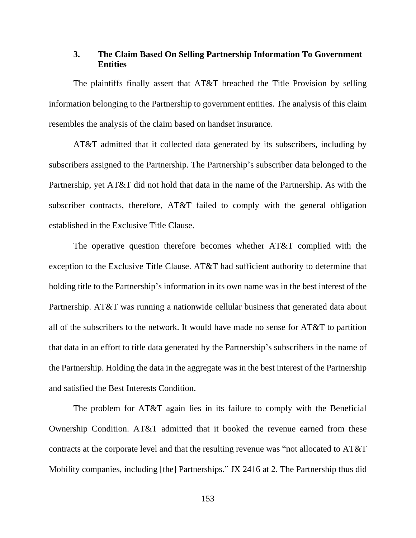## **3. The Claim Based On Selling Partnership Information To Government Entities**

The plaintiffs finally assert that AT&T breached the Title Provision by selling information belonging to the Partnership to government entities. The analysis of this claim resembles the analysis of the claim based on handset insurance.

AT&T admitted that it collected data generated by its subscribers, including by subscribers assigned to the Partnership. The Partnership's subscriber data belonged to the Partnership, yet AT&T did not hold that data in the name of the Partnership. As with the subscriber contracts, therefore, AT&T failed to comply with the general obligation established in the Exclusive Title Clause.

The operative question therefore becomes whether AT&T complied with the exception to the Exclusive Title Clause. AT&T had sufficient authority to determine that holding title to the Partnership's information in its own name was in the best interest of the Partnership. AT&T was running a nationwide cellular business that generated data about all of the subscribers to the network. It would have made no sense for AT&T to partition that data in an effort to title data generated by the Partnership's subscribers in the name of the Partnership. Holding the data in the aggregate was in the best interest of the Partnership and satisfied the Best Interests Condition.

The problem for AT&T again lies in its failure to comply with the Beneficial Ownership Condition. AT&T admitted that it booked the revenue earned from these contracts at the corporate level and that the resulting revenue was "not allocated to AT&T Mobility companies, including [the] Partnerships." JX 2416 at 2. The Partnership thus did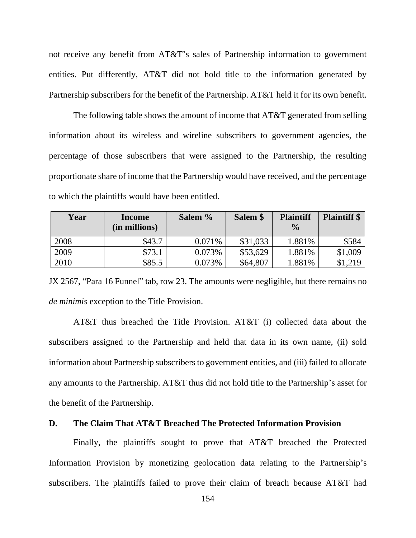not receive any benefit from AT&T's sales of Partnership information to government entities. Put differently, AT&T did not hold title to the information generated by Partnership subscribers for the benefit of the Partnership. AT&T held it for its own benefit.

The following table shows the amount of income that AT&T generated from selling information about its wireless and wireline subscribers to government agencies, the percentage of those subscribers that were assigned to the Partnership, the resulting proportionate share of income that the Partnership would have received, and the percentage to which the plaintiffs would have been entitled.

| Year | <b>Income</b><br>(in millions) | Salem % | Salem \$ | <b>Plaintiff</b><br>$\frac{0}{0}$ | <b>Plaintiff</b> \$ |
|------|--------------------------------|---------|----------|-----------------------------------|---------------------|
| 2008 | \$43.7                         | 0.071%  | \$31,033 | 1.881%                            | \$584               |
| 2009 | \$73.1                         | 0.073%  | \$53,629 | 1.881%                            | \$1,009             |
| 2010 | \$85.5                         | 0.073%  | \$64,807 | 1.881%                            | \$1,219             |

JX 2567, "Para 16 Funnel" tab, row 23. The amounts were negligible, but there remains no *de minimis* exception to the Title Provision.

AT&T thus breached the Title Provision. AT&T (i) collected data about the subscribers assigned to the Partnership and held that data in its own name, (ii) sold information about Partnership subscribers to government entities, and (iii) failed to allocate any amounts to the Partnership. AT&T thus did not hold title to the Partnership's asset for the benefit of the Partnership.

# **D. The Claim That AT&T Breached The Protected Information Provision**

Finally, the plaintiffs sought to prove that AT&T breached the Protected Information Provision by monetizing geolocation data relating to the Partnership's subscribers. The plaintiffs failed to prove their claim of breach because AT&T had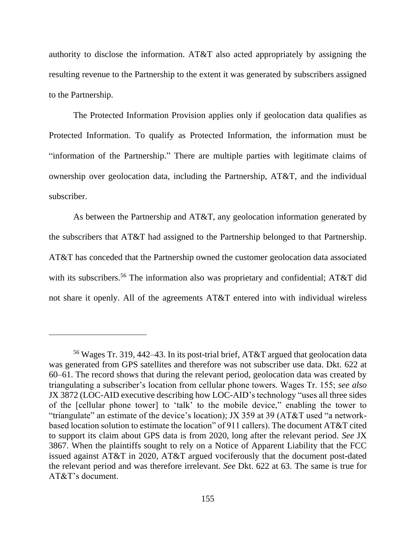authority to disclose the information. AT&T also acted appropriately by assigning the resulting revenue to the Partnership to the extent it was generated by subscribers assigned to the Partnership.

The Protected Information Provision applies only if geolocation data qualifies as Protected Information. To qualify as Protected Information, the information must be "information of the Partnership." There are multiple parties with legitimate claims of ownership over geolocation data, including the Partnership, AT&T, and the individual subscriber.

As between the Partnership and AT&T, any geolocation information generated by the subscribers that AT&T had assigned to the Partnership belonged to that Partnership. AT&T has conceded that the Partnership owned the customer geolocation data associated with its subscribers.<sup>56</sup> The information also was proprietary and confidential; AT&T did not share it openly. All of the agreements AT&T entered into with individual wireless

<sup>56</sup> Wages Tr. 319, 442–43. In its post-trial brief, AT&T argued that geolocation data was generated from GPS satellites and therefore was not subscriber use data. Dkt. 622 at 60–61. The record shows that during the relevant period, geolocation data was created by triangulating a subscriber's location from cellular phone towers. Wages Tr. 155; *see also* JX 3872 (LOC-AID executive describing how LOC-AID's technology "uses all three sides of the [cellular phone tower] to 'talk' to the mobile device," enabling the tower to "triangulate" an estimate of the device's location); JX 359 at 39 (AT&T used "a networkbased location solution to estimate the location" of 911 callers). The document AT&T cited to support its claim about GPS data is from 2020, long after the relevant period. *See* JX 3867. When the plaintiffs sought to rely on a Notice of Apparent Liability that the FCC issued against AT&T in 2020, AT&T argued vociferously that the document post-dated the relevant period and was therefore irrelevant. *See* Dkt. 622 at 63. The same is true for AT&T's document.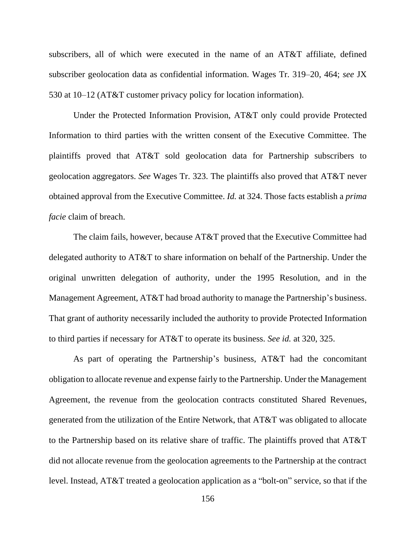subscribers, all of which were executed in the name of an AT&T affiliate, defined subscriber geolocation data as confidential information. Wages Tr. 319–20, 464; *see* JX 530 at 10–12 (AT&T customer privacy policy for location information).

Under the Protected Information Provision, AT&T only could provide Protected Information to third parties with the written consent of the Executive Committee. The plaintiffs proved that AT&T sold geolocation data for Partnership subscribers to geolocation aggregators. *See* Wages Tr. 323. The plaintiffs also proved that AT&T never obtained approval from the Executive Committee. *Id.* at 324. Those facts establish a *prima facie* claim of breach.

The claim fails, however, because AT&T proved that the Executive Committee had delegated authority to AT&T to share information on behalf of the Partnership. Under the original unwritten delegation of authority, under the 1995 Resolution, and in the Management Agreement, AT&T had broad authority to manage the Partnership's business. That grant of authority necessarily included the authority to provide Protected Information to third parties if necessary for AT&T to operate its business. *See id.* at 320, 325.

As part of operating the Partnership's business, AT&T had the concomitant obligation to allocate revenue and expense fairly to the Partnership. Under the Management Agreement, the revenue from the geolocation contracts constituted Shared Revenues, generated from the utilization of the Entire Network, that AT&T was obligated to allocate to the Partnership based on its relative share of traffic. The plaintiffs proved that AT&T did not allocate revenue from the geolocation agreements to the Partnership at the contract level. Instead, AT&T treated a geolocation application as a "bolt-on" service, so that if the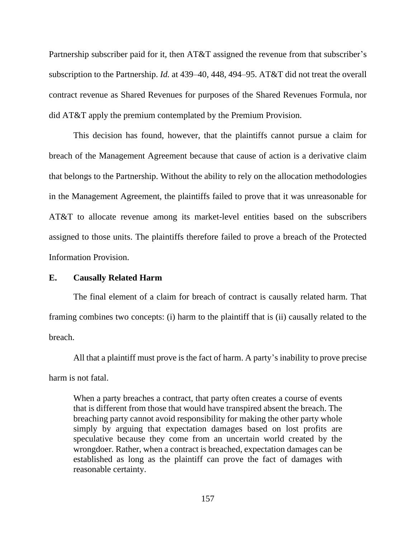Partnership subscriber paid for it, then AT&T assigned the revenue from that subscriber's subscription to the Partnership. *Id.* at 439–40, 448, 494–95. AT&T did not treat the overall contract revenue as Shared Revenues for purposes of the Shared Revenues Formula, nor did AT&T apply the premium contemplated by the Premium Provision.

This decision has found, however, that the plaintiffs cannot pursue a claim for breach of the Management Agreement because that cause of action is a derivative claim that belongs to the Partnership. Without the ability to rely on the allocation methodologies in the Management Agreement, the plaintiffs failed to prove that it was unreasonable for AT&T to allocate revenue among its market-level entities based on the subscribers assigned to those units. The plaintiffs therefore failed to prove a breach of the Protected Information Provision.

#### **E. Causally Related Harm**

The final element of a claim for breach of contract is causally related harm. That framing combines two concepts: (i) harm to the plaintiff that is (ii) causally related to the breach.

All that a plaintiff must prove is the fact of harm. A party's inability to prove precise harm is not fatal.

When a party breaches a contract, that party often creates a course of events that is different from those that would have transpired absent the breach. The breaching party cannot avoid responsibility for making the other party whole simply by arguing that expectation damages based on lost profits are speculative because they come from an uncertain world created by the wrongdoer. Rather, when a contract is breached, expectation damages can be established as long as the plaintiff can prove the fact of damages with reasonable certainty.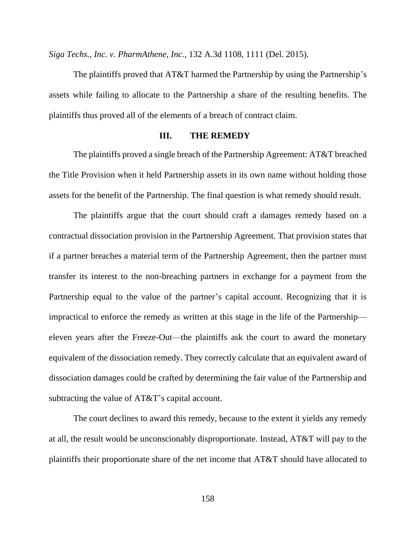*Siga Techs., Inc. v. PharmAthene, Inc.*, 132 A.3d 1108, 1111 (Del. 2015).

The plaintiffs proved that AT&T harmed the Partnership by using the Partnership's assets while failing to allocate to the Partnership a share of the resulting benefits. The plaintiffs thus proved all of the elements of a breach of contract claim.

# **III. THE REMEDY**

The plaintiffs proved a single breach of the Partnership Agreement: AT&T breached the Title Provision when it held Partnership assets in its own name without holding those assets for the benefit of the Partnership. The final question is what remedy should result.

The plaintiffs argue that the court should craft a damages remedy based on a contractual dissociation provision in the Partnership Agreement. That provision states that if a partner breaches a material term of the Partnership Agreement, then the partner must transfer its interest to the non-breaching partners in exchange for a payment from the Partnership equal to the value of the partner's capital account. Recognizing that it is impractical to enforce the remedy as written at this stage in the life of the Partnership eleven years after the Freeze-Out—the plaintiffs ask the court to award the monetary equivalent of the dissociation remedy. They correctly calculate that an equivalent award of dissociation damages could be crafted by determining the fair value of the Partnership and subtracting the value of AT&T's capital account.

The court declines to award this remedy, because to the extent it yields any remedy at all, the result would be unconscionably disproportionate. Instead, AT&T will pay to the plaintiffs their proportionate share of the net income that AT&T should have allocated to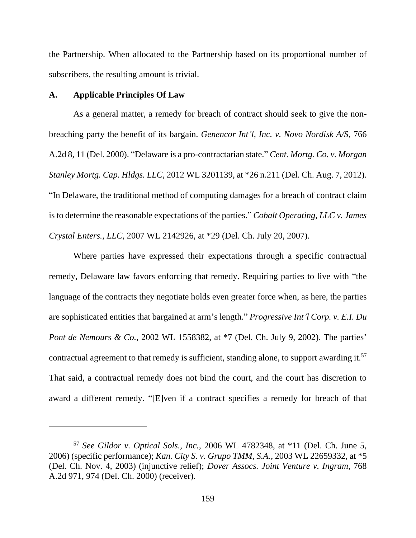the Partnership. When allocated to the Partnership based on its proportional number of subscribers, the resulting amount is trivial.

## **A. Applicable Principles Of Law**

As a general matter, a remedy for breach of contract should seek to give the nonbreaching party the benefit of its bargain. *Genencor Int'l, Inc. v. Novo Nordisk A/S*, 766 A.2d 8, 11 (Del. 2000). "Delaware is a pro-contractarian state." *Cent. Mortg. Co. v. Morgan Stanley Mortg. Cap. Hldgs. LLC*, 2012 WL 3201139, at \*26 n.211 (Del. Ch. Aug. 7, 2012). "In Delaware, the traditional method of computing damages for a breach of contract claim is to determine the reasonable expectations of the parties." *Cobalt Operating, LLC v. James Crystal Enters., LLC*, 2007 WL 2142926, at \*29 (Del. Ch. July 20, 2007).

Where parties have expressed their expectations through a specific contractual remedy, Delaware law favors enforcing that remedy. Requiring parties to live with "the language of the contracts they negotiate holds even greater force when, as here, the parties are sophisticated entities that bargained at arm's length." *Progressive Int'l Corp. v. E.I. Du Pont de Nemours & Co.*, 2002 WL 1558382, at \*7 (Del. Ch. July 9, 2002). The parties' contractual agreement to that remedy is sufficient, standing alone, to support awarding it.<sup>57</sup> That said, a contractual remedy does not bind the court, and the court has discretion to award a different remedy. "[E]ven if a contract specifies a remedy for breach of that

<sup>57</sup> *See Gildor v. Optical Sols., Inc.*, 2006 WL 4782348, at \*11 (Del. Ch. June 5, 2006) (specific performance); *Kan. City S. v. Grupo TMM, S.A.*, 2003 WL 22659332, at \*5 (Del. Ch. Nov. 4, 2003) (injunctive relief); *Dover Assocs. Joint Venture v. Ingram*, 768 A.2d 971, 974 (Del. Ch. 2000) (receiver).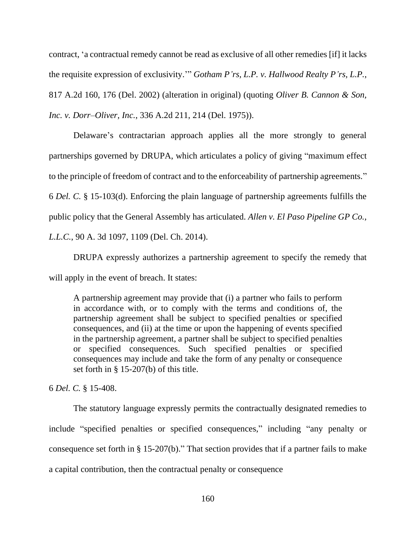contract, 'a contractual remedy cannot be read as exclusive of all other remedies [if] it lacks the requisite expression of exclusivity.'" *Gotham P'rs, L.P. v. Hallwood Realty P'rs, L.P.*, 817 A.2d 160, 176 (Del. 2002) (alteration in original) (quoting *Oliver B. Cannon & Son, Inc. v. Dorr–Oliver, Inc.*, 336 A.2d 211, 214 (Del. 1975)).

Delaware's contractarian approach applies all the more strongly to general partnerships governed by DRUPA, which articulates a policy of giving "maximum effect to the principle of freedom of contract and to the enforceability of partnership agreements." 6 *Del. C.* § 15-103(d). Enforcing the plain language of partnership agreements fulfills the public policy that the General Assembly has articulated. *Allen v. El Paso Pipeline GP Co., L.L.C.*, 90 A. 3d 1097, 1109 (Del. Ch. 2014).

DRUPA expressly authorizes a partnership agreement to specify the remedy that will apply in the event of breach. It states:

A partnership agreement may provide that (i) a partner who fails to perform in accordance with, or to comply with the terms and conditions of, the partnership agreement shall be subject to specified penalties or specified consequences, and (ii) at the time or upon the happening of events specified in the partnership agreement, a partner shall be subject to specified penalties or specified consequences. Such specified penalties or specified consequences may include and take the form of any penalty or consequence set forth in § 15-207(b) of this title.

6 *Del. C.* § 15-408.

The statutory language expressly permits the contractually designated remedies to include "specified penalties or specified consequences," including "any penalty or consequence set forth in § 15-207(b)." That section provides that if a partner fails to make a capital contribution, then the contractual penalty or consequence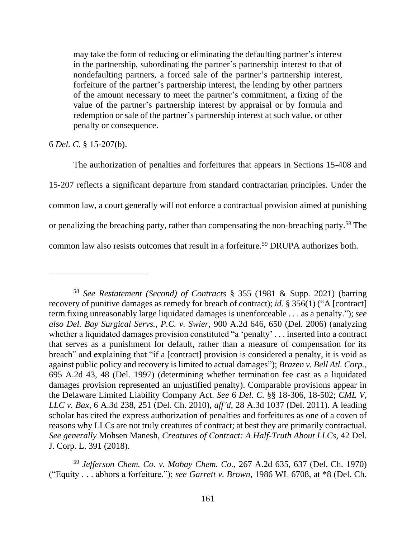may take the form of reducing or eliminating the defaulting partner's interest in the partnership, subordinating the partner's partnership interest to that of nondefaulting partners, a forced sale of the partner's partnership interest, forfeiture of the partner's partnership interest, the lending by other partners of the amount necessary to meet the partner's commitment, a fixing of the value of the partner's partnership interest by appraisal or by formula and redemption or sale of the partner's partnership interest at such value, or other penalty or consequence.

6 *Del. C.* § 15-207(b).

The authorization of penalties and forfeitures that appears in Sections 15-408 and 15-207 reflects a significant departure from standard contractarian principles. Under the common law, a court generally will not enforce a contractual provision aimed at punishing or penalizing the breaching party, rather than compensating the non-breaching party.<sup>58</sup> The common law also resists outcomes that result in a forfeiture.<sup>59</sup> DRUPA authorizes both.

<sup>58</sup> *See Restatement (Second) of Contracts* § 355 (1981 & Supp. 2021) (barring recovery of punitive damages as remedy for breach of contract); *id.* § 356(1) ("A [contract] term fixing unreasonably large liquidated damages is unenforceable . . . as a penalty."); *see also Del. Bay Surgical Servs., P.C. v. Swier*, 900 A.2d 646, 650 (Del. 2006) (analyzing whether a liquidated damages provision constituted "a 'penalty' . . . inserted into a contract that serves as a punishment for default, rather than a measure of compensation for its breach" and explaining that "if a [contract] provision is considered a penalty, it is void as against public policy and recovery is limited to actual damages"); *Brazen v. Bell Atl. Corp.*, 695 A.2d 43, 48 (Del. 1997) (determining whether termination fee cast as a liquidated damages provision represented an unjustified penalty). Comparable provisions appear in the Delaware Limited Liability Company Act. *See* 6 *Del. C.* §§ 18-306, 18-502; *CML V, LLC v. Bax*, 6 A.3d 238, 251 (Del. Ch. 2010), *aff'd*, 28 A.3d 1037 (Del. 2011). A leading scholar has cited the express authorization of penalties and forfeitures as one of a coven of reasons why LLCs are not truly creatures of contract; at best they are primarily contractual. *See generally* Mohsen Manesh, *Creatures of Contract: A Half-Truth About LLCs*, 42 Del. J. Corp. L. 391 (2018).

<sup>59</sup> *Jefferson Chem. Co. v. Mobay Chem. Co.*, 267 A.2d 635, 637 (Del. Ch. 1970) ("Equity . . . abhors a forfeiture."); *see Garrett v. Brown*, 1986 WL 6708, at \*8 (Del. Ch.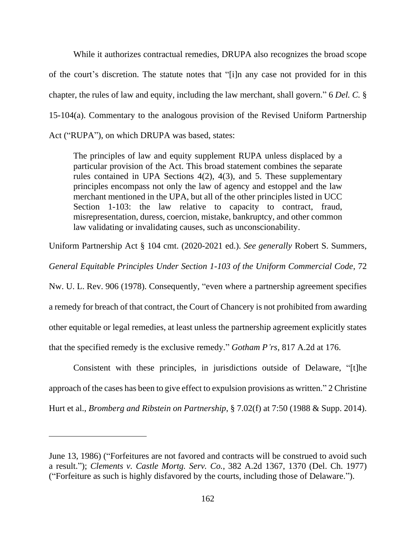While it authorizes contractual remedies, DRUPA also recognizes the broad scope of the court's discretion. The statute notes that "[i]n any case not provided for in this chapter, the rules of law and equity, including the law merchant, shall govern." 6 *Del. C.* § 15-104(a). Commentary to the analogous provision of the Revised Uniform Partnership Act ("RUPA"), on which DRUPA was based, states:

The principles of law and equity supplement RUPA unless displaced by a particular provision of the Act. This broad statement combines the separate rules contained in UPA Sections 4(2), 4(3), and 5. These supplementary principles encompass not only the law of agency and estoppel and the law merchant mentioned in the UPA, but all of the other principles listed in UCC Section 1-103: the law relative to capacity to contract, fraud, misrepresentation, duress, coercion, mistake, bankruptcy, and other common law validating or invalidating causes, such as unconscionability.

Uniform Partnership Act § 104 cmt. (2020-2021 ed.). *See generally* Robert S. Summers*,* 

*General Equitable Principles Under Section 1-103 of the Uniform Commercial Code*, 72

Nw. U. L. Rev. 906 (1978). Consequently, "even where a partnership agreement specifies a remedy for breach of that contract, the Court of Chancery is not prohibited from awarding other equitable or legal remedies, at least unless the partnership agreement explicitly states that the specified remedy is the exclusive remedy." *Gotham P'rs*, 817 A.2d at 176.

Consistent with these principles, in jurisdictions outside of Delaware, "[t]he approach of the cases has been to give effect to expulsion provisions as written." 2 Christine Hurt et al., *Bromberg and Ribstein on Partnership*, § 7.02(f) at 7:50 (1988 & Supp. 2014).

June 13, 1986) ("Forfeitures are not favored and contracts will be construed to avoid such a result."); *Clements v. Castle Mortg. Serv. Co.*, 382 A.2d 1367, 1370 (Del. Ch. 1977) ("Forfeiture as such is highly disfavored by the courts, including those of Delaware.").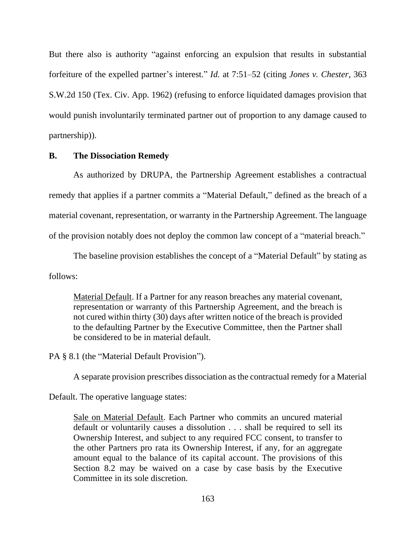But there also is authority "against enforcing an expulsion that results in substantial forfeiture of the expelled partner's interest." *Id.* at 7:51–52 (citing *Jones v. Chester*, 363 S.W.2d 150 (Tex. Civ. App. 1962) (refusing to enforce liquidated damages provision that would punish involuntarily terminated partner out of proportion to any damage caused to partnership)).

#### **B. The Dissociation Remedy**

As authorized by DRUPA, the Partnership Agreement establishes a contractual remedy that applies if a partner commits a "Material Default," defined as the breach of a material covenant, representation, or warranty in the Partnership Agreement. The language of the provision notably does not deploy the common law concept of a "material breach."

The baseline provision establishes the concept of a "Material Default" by stating as follows:

Material Default. If a Partner for any reason breaches any material covenant, representation or warranty of this Partnership Agreement, and the breach is not cured within thirty (30) days after written notice of the breach is provided to the defaulting Partner by the Executive Committee, then the Partner shall be considered to be in material default.

PA § 8.1 (the "Material Default Provision").

A separate provision prescribes dissociation as the contractual remedy for a Material

Default. The operative language states:

Sale on Material Default. Each Partner who commits an uncured material default or voluntarily causes a dissolution . . . shall be required to sell its Ownership Interest, and subject to any required FCC consent, to transfer to the other Partners pro rata its Ownership Interest, if any, for an aggregate amount equal to the balance of its capital account. The provisions of this Section 8.2 may be waived on a case by case basis by the Executive Committee in its sole discretion.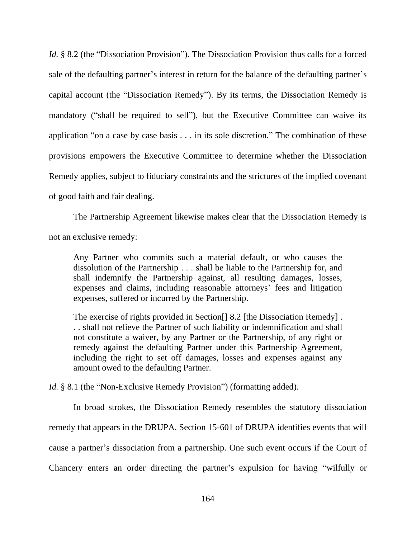*Id.* § 8.2 (the "Dissociation Provision"). The Dissociation Provision thus calls for a forced sale of the defaulting partner's interest in return for the balance of the defaulting partner's capital account (the "Dissociation Remedy"). By its terms, the Dissociation Remedy is mandatory ("shall be required to sell"), but the Executive Committee can waive its application "on a case by case basis . . . in its sole discretion." The combination of these provisions empowers the Executive Committee to determine whether the Dissociation Remedy applies, subject to fiduciary constraints and the strictures of the implied covenant of good faith and fair dealing.

The Partnership Agreement likewise makes clear that the Dissociation Remedy is not an exclusive remedy:

Any Partner who commits such a material default, or who causes the dissolution of the Partnership . . . shall be liable to the Partnership for, and shall indemnify the Partnership against, all resulting damages, losses, expenses and claims, including reasonable attorneys' fees and litigation expenses, suffered or incurred by the Partnership.

The exercise of rights provided in Section[] 8.2 [the Dissociation Remedy] . . . shall not relieve the Partner of such liability or indemnification and shall not constitute a waiver, by any Partner or the Partnership, of any right or remedy against the defaulting Partner under this Partnership Agreement, including the right to set off damages, losses and expenses against any amount owed to the defaulting Partner.

*Id.* § 8.1 (the "Non-Exclusive Remedy Provision") (formatting added).

In broad strokes, the Dissociation Remedy resembles the statutory dissociation remedy that appears in the DRUPA. Section 15-601 of DRUPA identifies events that will cause a partner's dissociation from a partnership. One such event occurs if the Court of Chancery enters an order directing the partner's expulsion for having "wilfully or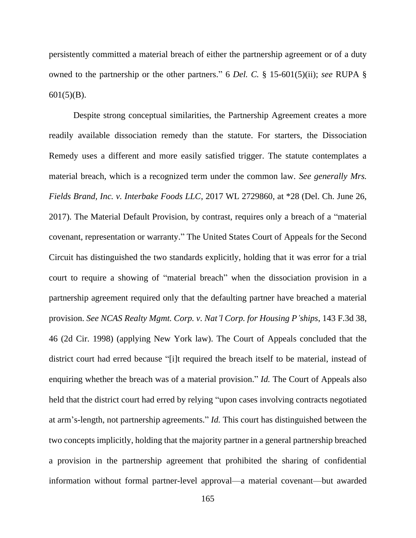persistently committed a material breach of either the partnership agreement or of a duty owned to the partnership or the other partners." 6 *Del. C.* § 15-601(5)(ii); *see* RUPA §  $601(5)(B)$ .

Despite strong conceptual similarities, the Partnership Agreement creates a more readily available dissociation remedy than the statute. For starters, the Dissociation Remedy uses a different and more easily satisfied trigger. The statute contemplates a material breach, which is a recognized term under the common law. *See generally Mrs. Fields Brand, Inc. v. Interbake Foods LLC*, 2017 WL 2729860, at \*28 (Del. Ch. June 26, 2017). The Material Default Provision, by contrast, requires only a breach of a "material covenant, representation or warranty." The United States Court of Appeals for the Second Circuit has distinguished the two standards explicitly, holding that it was error for a trial court to require a showing of "material breach" when the dissociation provision in a partnership agreement required only that the defaulting partner have breached a material provision. *See NCAS Realty Mgmt. Corp. v. Nat'l Corp. for Housing P'ships*, 143 F.3d 38, 46 (2d Cir. 1998) (applying New York law). The Court of Appeals concluded that the district court had erred because "[i]t required the breach itself to be material, instead of enquiring whether the breach was of a material provision." *Id.* The Court of Appeals also held that the district court had erred by relying "upon cases involving contracts negotiated at arm's-length, not partnership agreements." *Id.* This court has distinguished between the two concepts implicitly, holding that the majority partner in a general partnership breached a provision in the partnership agreement that prohibited the sharing of confidential information without formal partner-level approval—a material covenant—but awarded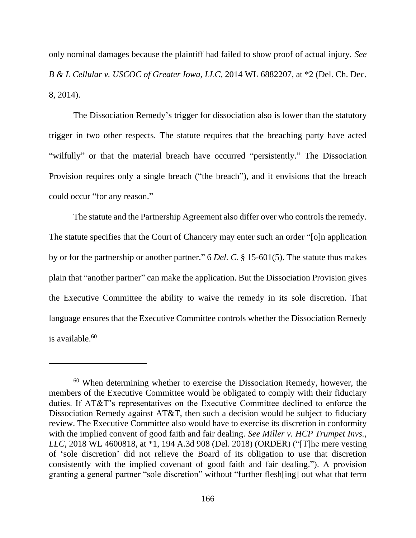only nominal damages because the plaintiff had failed to show proof of actual injury. *See B & L Cellular v. USCOC of Greater Iowa, LLC*, 2014 WL 6882207, at \*2 (Del. Ch. Dec. 8, 2014).

The Dissociation Remedy's trigger for dissociation also is lower than the statutory trigger in two other respects. The statute requires that the breaching party have acted "wilfully" or that the material breach have occurred "persistently." The Dissociation Provision requires only a single breach ("the breach"), and it envisions that the breach could occur "for any reason."

The statute and the Partnership Agreement also differ over who controls the remedy. The statute specifies that the Court of Chancery may enter such an order "[o]n application by or for the partnership or another partner." 6 *Del. C.* § 15-601(5). The statute thus makes plain that "another partner" can make the application. But the Dissociation Provision gives the Executive Committee the ability to waive the remedy in its sole discretion. That language ensures that the Executive Committee controls whether the Dissociation Remedy is available.<sup>60</sup>

<sup>60</sup> When determining whether to exercise the Dissociation Remedy, however, the members of the Executive Committee would be obligated to comply with their fiduciary duties. If AT&T's representatives on the Executive Committee declined to enforce the Dissociation Remedy against AT&T, then such a decision would be subject to fiduciary review. The Executive Committee also would have to exercise its discretion in conformity with the implied convent of good faith and fair dealing. *See Miller v. HCP Trumpet Invs., LLC*, 2018 WL 4600818, at \*1, 194 A.3d 908 (Del. 2018) (ORDER) ("[T]he mere vesting of 'sole discretion' did not relieve the Board of its obligation to use that discretion consistently with the implied covenant of good faith and fair dealing."). A provision granting a general partner "sole discretion" without "further flesh[ing] out what that term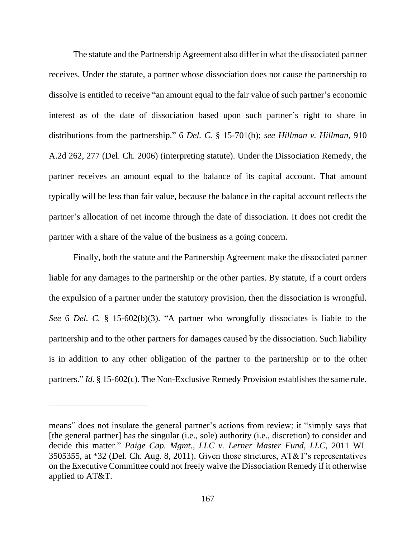The statute and the Partnership Agreement also differ in what the dissociated partner receives. Under the statute, a partner whose dissociation does not cause the partnership to dissolve is entitled to receive "an amount equal to the fair value of such partner's economic interest as of the date of dissociation based upon such partner's right to share in distributions from the partnership." 6 *Del. C.* § 15-701(b); *see Hillman v. Hillman*, 910 A.2d 262, 277 (Del. Ch. 2006) (interpreting statute). Under the Dissociation Remedy, the partner receives an amount equal to the balance of its capital account. That amount typically will be less than fair value, because the balance in the capital account reflects the partner's allocation of net income through the date of dissociation. It does not credit the partner with a share of the value of the business as a going concern.

Finally, both the statute and the Partnership Agreement make the dissociated partner liable for any damages to the partnership or the other parties. By statute, if a court orders the expulsion of a partner under the statutory provision, then the dissociation is wrongful. *See* 6 *Del. C.* § 15-602(b)(3). "A partner who wrongfully dissociates is liable to the partnership and to the other partners for damages caused by the dissociation. Such liability is in addition to any other obligation of the partner to the partnership or to the other partners." *Id.* § 15-602(c). The Non-Exclusive Remedy Provision establishes the same rule.

means" does not insulate the general partner's actions from review; it "simply says that [the general partner] has the singular (i.e., sole) authority (i.e., discretion) to consider and decide this matter." *Paige Cap. Mgmt., LLC v. Lerner Master Fund, LLC*, 2011 WL 3505355, at \*32 (Del. Ch. Aug. 8, 2011). Given those strictures, AT&T's representatives on the Executive Committee could not freely waive the Dissociation Remedy if it otherwise applied to AT&T.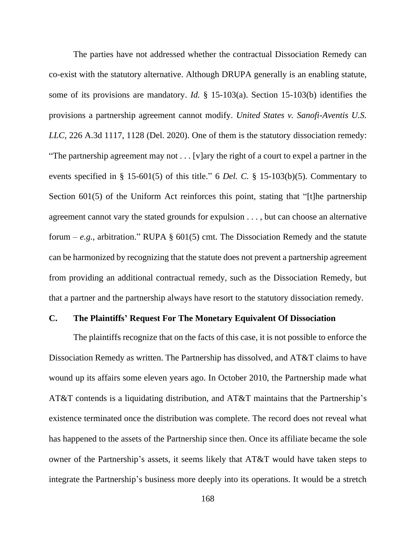The parties have not addressed whether the contractual Dissociation Remedy can co-exist with the statutory alternative. Although DRUPA generally is an enabling statute, some of its provisions are mandatory. *Id.* § 15-103(a). Section 15-103(b) identifies the provisions a partnership agreement cannot modify. *United States v. Sanofi-Aventis U.S. LLC*, 226 A.3d 1117, 1128 (Del. 2020). One of them is the statutory dissociation remedy: "The partnership agreement may not . . . [v]ary the right of a court to expel a partner in the events specified in § 15-601(5) of this title." 6 *Del. C.* § 15-103(b)(5). Commentary to Section 601(5) of the Uniform Act reinforces this point, stating that "[t]he partnership agreement cannot vary the stated grounds for expulsion . . . , but can choose an alternative forum – *e.g.*, arbitration." RUPA  $\S$  601(5) cmt. The Dissociation Remedy and the statute can be harmonized by recognizing that the statute does not prevent a partnership agreement from providing an additional contractual remedy, such as the Dissociation Remedy, but that a partner and the partnership always have resort to the statutory dissociation remedy.

# **C. The Plaintiffs' Request For The Monetary Equivalent Of Dissociation**

The plaintiffs recognize that on the facts of this case, it is not possible to enforce the Dissociation Remedy as written. The Partnership has dissolved, and AT&T claims to have wound up its affairs some eleven years ago. In October 2010, the Partnership made what AT&T contends is a liquidating distribution, and AT&T maintains that the Partnership's existence terminated once the distribution was complete. The record does not reveal what has happened to the assets of the Partnership since then. Once its affiliate became the sole owner of the Partnership's assets, it seems likely that AT&T would have taken steps to integrate the Partnership's business more deeply into its operations. It would be a stretch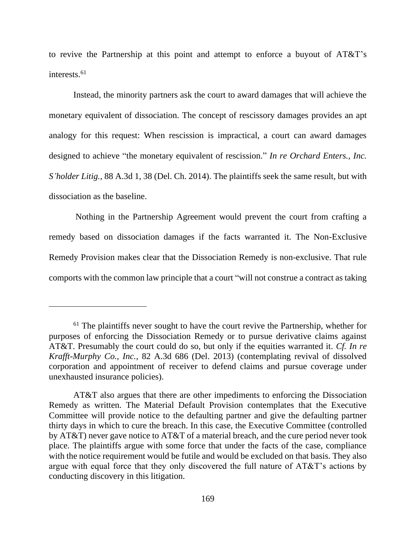to revive the Partnership at this point and attempt to enforce a buyout of AT&T's interests.<sup>61</sup>

Instead, the minority partners ask the court to award damages that will achieve the monetary equivalent of dissociation. The concept of rescissory damages provides an apt analogy for this request: When rescission is impractical, a court can award damages designed to achieve "the monetary equivalent of rescission." *In re Orchard Enters., Inc. S'holder Litig.*, 88 A.3d 1, 38 (Del. Ch. 2014). The plaintiffs seek the same result, but with dissociation as the baseline.

Nothing in the Partnership Agreement would prevent the court from crafting a remedy based on dissociation damages if the facts warranted it. The Non-Exclusive Remedy Provision makes clear that the Dissociation Remedy is non-exclusive. That rule comports with the common law principle that a court "will not construe a contract as taking

 $61$  The plaintiffs never sought to have the court revive the Partnership, whether for purposes of enforcing the Dissociation Remedy or to pursue derivative claims against AT&T. Presumably the court could do so, but only if the equities warranted it. *Cf. In re Krafft-Murphy Co., Inc.*, 82 A.3d 686 (Del. 2013) (contemplating revival of dissolved corporation and appointment of receiver to defend claims and pursue coverage under unexhausted insurance policies).

AT&T also argues that there are other impediments to enforcing the Dissociation Remedy as written. The Material Default Provision contemplates that the Executive Committee will provide notice to the defaulting partner and give the defaulting partner thirty days in which to cure the breach. In this case, the Executive Committee (controlled by AT&T) never gave notice to AT&T of a material breach, and the cure period never took place. The plaintiffs argue with some force that under the facts of the case, compliance with the notice requirement would be futile and would be excluded on that basis. They also argue with equal force that they only discovered the full nature of AT&T's actions by conducting discovery in this litigation.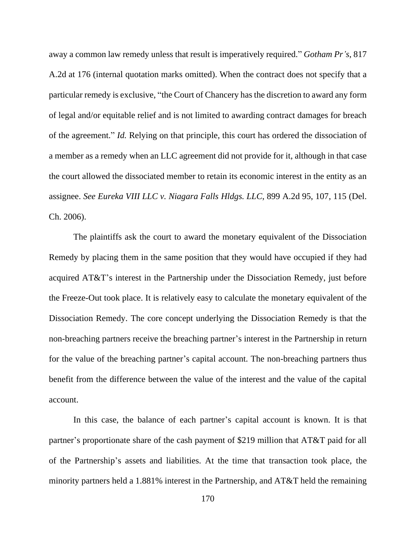away a common law remedy unless that result is imperatively required." *Gotham Pr's*, 817 A.2d at 176 (internal quotation marks omitted). When the contract does not specify that a particular remedy is exclusive, "the Court of Chancery has the discretion to award any form of legal and/or equitable relief and is not limited to awarding contract damages for breach of the agreement." *Id.* Relying on that principle, this court has ordered the dissociation of a member as a remedy when an LLC agreement did not provide for it, although in that case the court allowed the dissociated member to retain its economic interest in the entity as an assignee. *See Eureka VIII LLC v. Niagara Falls Hldgs. LLC*, 899 A.2d 95, 107, 115 (Del. Ch. 2006).

The plaintiffs ask the court to award the monetary equivalent of the Dissociation Remedy by placing them in the same position that they would have occupied if they had acquired AT&T's interest in the Partnership under the Dissociation Remedy, just before the Freeze-Out took place. It is relatively easy to calculate the monetary equivalent of the Dissociation Remedy. The core concept underlying the Dissociation Remedy is that the non-breaching partners receive the breaching partner's interest in the Partnership in return for the value of the breaching partner's capital account. The non-breaching partners thus benefit from the difference between the value of the interest and the value of the capital account.

In this case, the balance of each partner's capital account is known. It is that partner's proportionate share of the cash payment of \$219 million that AT&T paid for all of the Partnership's assets and liabilities. At the time that transaction took place, the minority partners held a 1.881% interest in the Partnership, and AT&T held the remaining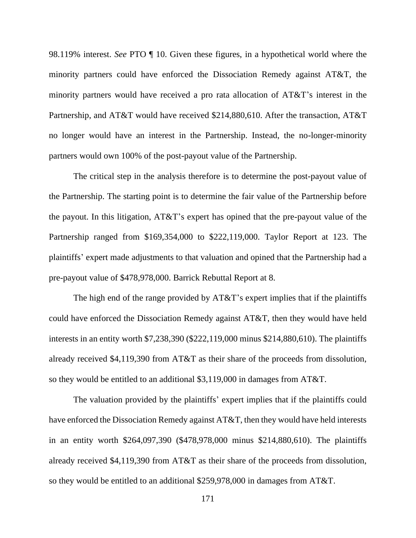98.119% interest. *See* PTO ¶ 10. Given these figures, in a hypothetical world where the minority partners could have enforced the Dissociation Remedy against AT&T, the minority partners would have received a pro rata allocation of AT&T's interest in the Partnership, and AT&T would have received \$214,880,610. After the transaction, AT&T no longer would have an interest in the Partnership. Instead, the no-longer-minority partners would own 100% of the post-payout value of the Partnership.

The critical step in the analysis therefore is to determine the post-payout value of the Partnership. The starting point is to determine the fair value of the Partnership before the payout. In this litigation, AT&T's expert has opined that the pre-payout value of the Partnership ranged from \$169,354,000 to \$222,119,000. Taylor Report at 123. The plaintiffs' expert made adjustments to that valuation and opined that the Partnership had a pre-payout value of \$478,978,000. Barrick Rebuttal Report at 8.

The high end of the range provided by AT&T's expert implies that if the plaintiffs could have enforced the Dissociation Remedy against AT&T, then they would have held interests in an entity worth \$7,238,390 (\$222,119,000 minus \$214,880,610). The plaintiffs already received \$4,119,390 from AT&T as their share of the proceeds from dissolution, so they would be entitled to an additional \$3,119,000 in damages from AT&T.

The valuation provided by the plaintiffs' expert implies that if the plaintiffs could have enforced the Dissociation Remedy against AT&T, then they would have held interests in an entity worth \$264,097,390 (\$478,978,000 minus \$214,880,610). The plaintiffs already received \$4,119,390 from AT&T as their share of the proceeds from dissolution, so they would be entitled to an additional \$259,978,000 in damages from AT&T.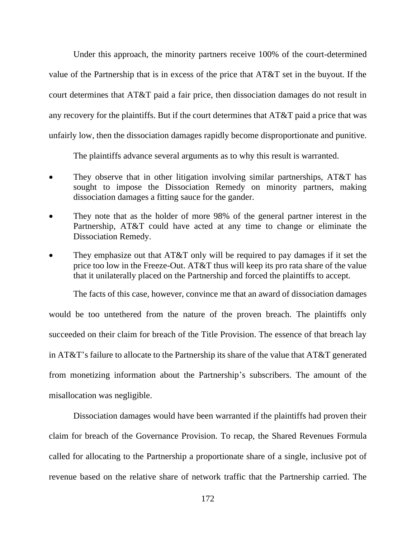Under this approach, the minority partners receive 100% of the court-determined value of the Partnership that is in excess of the price that AT&T set in the buyout. If the court determines that AT&T paid a fair price, then dissociation damages do not result in any recovery for the plaintiffs. But if the court determines that AT&T paid a price that was unfairly low, then the dissociation damages rapidly become disproportionate and punitive.

The plaintiffs advance several arguments as to why this result is warranted.

- They observe that in other litigation involving similar partnerships, AT&T has sought to impose the Dissociation Remedy on minority partners, making dissociation damages a fitting sauce for the gander.
- They note that as the holder of more 98% of the general partner interest in the Partnership, AT&T could have acted at any time to change or eliminate the Dissociation Remedy.
- They emphasize out that AT&T only will be required to pay damages if it set the price too low in the Freeze-Out. AT&T thus will keep its pro rata share of the value that it unilaterally placed on the Partnership and forced the plaintiffs to accept.

The facts of this case, however, convince me that an award of dissociation damages

would be too untethered from the nature of the proven breach. The plaintiffs only succeeded on their claim for breach of the Title Provision. The essence of that breach lay in AT&T's failure to allocate to the Partnership its share of the value that AT&T generated from monetizing information about the Partnership's subscribers. The amount of the misallocation was negligible.

Dissociation damages would have been warranted if the plaintiffs had proven their claim for breach of the Governance Provision. To recap, the Shared Revenues Formula called for allocating to the Partnership a proportionate share of a single, inclusive pot of revenue based on the relative share of network traffic that the Partnership carried. The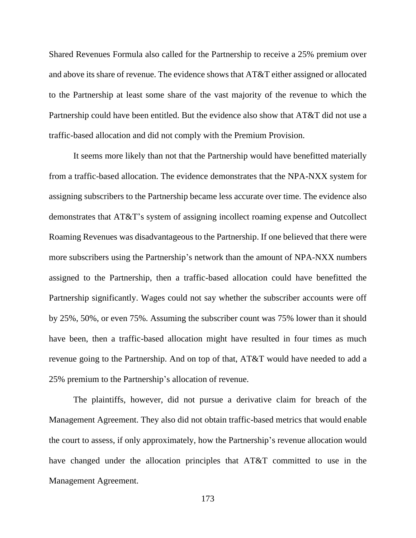Shared Revenues Formula also called for the Partnership to receive a 25% premium over and above its share of revenue. The evidence shows that AT&T either assigned or allocated to the Partnership at least some share of the vast majority of the revenue to which the Partnership could have been entitled. But the evidence also show that AT&T did not use a traffic-based allocation and did not comply with the Premium Provision.

It seems more likely than not that the Partnership would have benefitted materially from a traffic-based allocation. The evidence demonstrates that the NPA-NXX system for assigning subscribers to the Partnership became less accurate over time. The evidence also demonstrates that AT&T's system of assigning incollect roaming expense and Outcollect Roaming Revenues was disadvantageous to the Partnership. If one believed that there were more subscribers using the Partnership's network than the amount of NPA-NXX numbers assigned to the Partnership, then a traffic-based allocation could have benefitted the Partnership significantly. Wages could not say whether the subscriber accounts were off by 25%, 50%, or even 75%. Assuming the subscriber count was 75% lower than it should have been, then a traffic-based allocation might have resulted in four times as much revenue going to the Partnership. And on top of that, AT&T would have needed to add a 25% premium to the Partnership's allocation of revenue.

The plaintiffs, however, did not pursue a derivative claim for breach of the Management Agreement. They also did not obtain traffic-based metrics that would enable the court to assess, if only approximately, how the Partnership's revenue allocation would have changed under the allocation principles that AT&T committed to use in the Management Agreement.